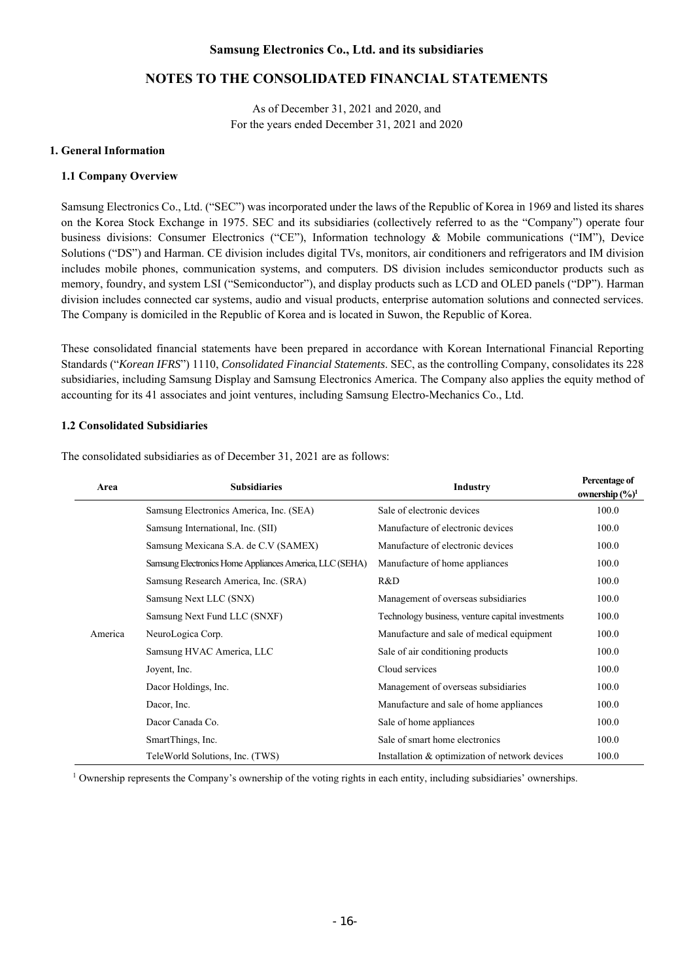As of December 31, 2021 and 2020, and For the years ended December 31, 2021 and 2020

### **1. General Information**

### **1.1 Company Overview**

Samsung Electronics Co., Ltd. ("SEC") was incorporated under the laws of the Republic of Korea in 1969 and listed its shares on the Korea Stock Exchange in 1975. SEC and its subsidiaries (collectively referred to as the "Company") operate four business divisions: Consumer Electronics ("CE"), Information technology & Mobile communications ("IM"), Device Solutions ("DS") and Harman. CE division includes digital TVs, monitors, air conditioners and refrigerators and IM division includes mobile phones, communication systems, and computers. DS division includes semiconductor products such as memory, foundry, and system LSI ("Semiconductor"), and display products such as LCD and OLED panels ("DP"). Harman division includes connected car systems, audio and visual products, enterprise automation solutions and connected services. The Company is domiciled in the Republic of Korea and is located in Suwon, the Republic of Korea.

These consolidated financial statements have been prepared in accordance with Korean International Financial Reporting Standards ("*Korean IFRS*") 1110, *Consolidated Financial Statements*. SEC, as the controlling Company, consolidates its 228 subsidiaries, including Samsung Display and Samsung Electronics America. The Company also applies the equity method of accounting for its 41 associates and joint ventures, including Samsung Electro-Mechanics Co., Ltd.

### **1.2 Consolidated Subsidiaries**

| Area    | <b>Subsidiaries</b>                                     | Industry                                         | Percentage of<br>ownership $(\frac{6}{6})^1$ |
|---------|---------------------------------------------------------|--------------------------------------------------|----------------------------------------------|
|         | Samsung Electronics America, Inc. (SEA)                 | Sale of electronic devices                       | 100.0                                        |
|         | Samsung International, Inc. (SII)                       | Manufacture of electronic devices                | 100.0                                        |
|         | Samsung Mexicana S.A. de C.V (SAMEX)                    | Manufacture of electronic devices                | 100.0                                        |
|         | Samsung Electronics Home Appliances America, LLC (SEHA) | Manufacture of home appliances                   | 100.0                                        |
|         | Samsung Research America, Inc. (SRA)                    | R&D                                              | 100.0                                        |
| America | Samsung Next LLC (SNX)                                  | Management of overseas subsidiaries              | 100.0                                        |
|         | Samsung Next Fund LLC (SNXF)                            | Technology business, venture capital investments | 100.0                                        |
|         | NeuroLogica Corp.                                       | Manufacture and sale of medical equipment        | 100.0                                        |
|         | Samsung HVAC America, LLC                               | Sale of air conditioning products                | 100.0                                        |
|         | Joyent, Inc.                                            | Cloud services                                   | 100.0                                        |
|         | Dacor Holdings, Inc.                                    | Management of overseas subsidiaries              | 100.0                                        |
|         | Dacor, Inc.                                             | Manufacture and sale of home appliances          | 100.0                                        |
|         | Dacor Canada Co.                                        | Sale of home appliances                          | 100.0                                        |
|         | SmartThings, Inc.                                       | Sale of smart home electronics                   | 100.0                                        |
|         | TeleWorld Solutions, Inc. (TWS)                         | Installation & optimization of network devices   | 100.0                                        |

The consolidated subsidiaries as of December 31, 2021 are as follows: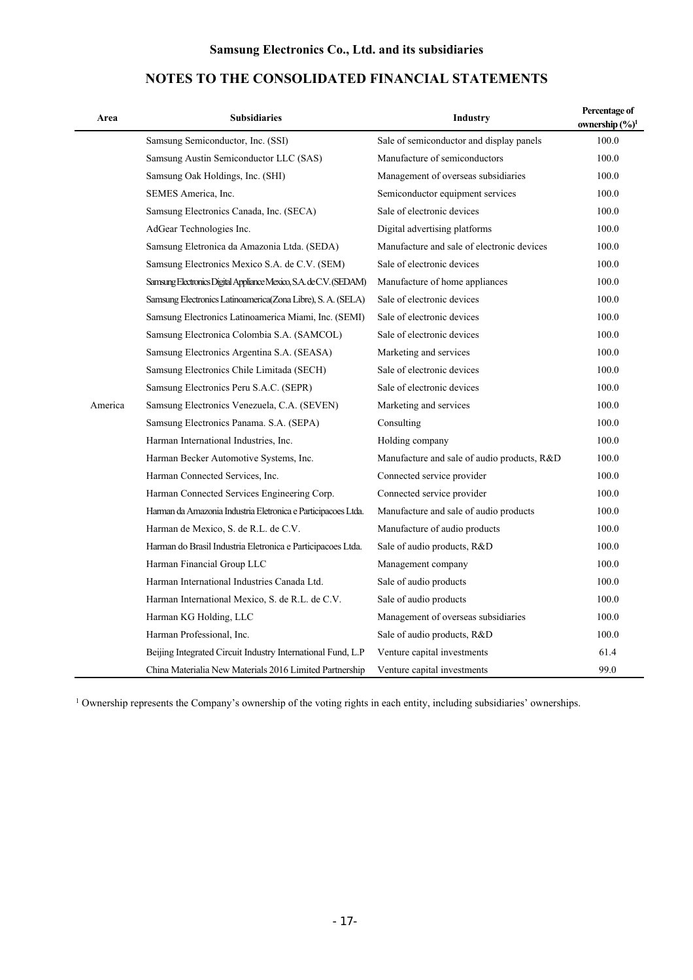# **NOTES TO THE CONSOLIDATED FINANCIAL STATEMENTS**

| Area    | <b>Subsidiaries</b>                                                | <b>Industry</b>                             | Percentage of<br>ownership $(\frac{6}{9})^1$ |
|---------|--------------------------------------------------------------------|---------------------------------------------|----------------------------------------------|
|         | Samsung Semiconductor, Inc. (SSI)                                  | Sale of semiconductor and display panels    | 100.0                                        |
|         | Samsung Austin Semiconductor LLC (SAS)                             | Manufacture of semiconductors               | 100.0                                        |
|         | Samsung Oak Holdings, Inc. (SHI)                                   | Management of overseas subsidiaries         | 100.0                                        |
|         | SEMES America, Inc.                                                | Semiconductor equipment services            | 100.0                                        |
|         | Samsung Electronics Canada, Inc. (SECA)                            | Sale of electronic devices                  | 100.0                                        |
|         | AdGear Technologies Inc.                                           | Digital advertising platforms               | 100.0                                        |
|         | Samsung Eletronica da Amazonia Ltda. (SEDA)                        | Manufacture and sale of electronic devices  | 100.0                                        |
|         | Samsung Electronics Mexico S.A. de C.V. (SEM)                      | Sale of electronic devices                  | 100.0                                        |
|         | Samsung Electronics Digital Appliance Mexico, S.A. de C.V. (SEDAM) | Manufacture of home appliances              | 100.0                                        |
|         | Samsung Electronics Latinoamerica(Zona Libre), S. A. (SELA)        | Sale of electronic devices                  | 100.0                                        |
|         | Samsung Electronics Latinoamerica Miami, Inc. (SEMI)               | Sale of electronic devices                  | 100.0                                        |
|         | Samsung Electronica Colombia S.A. (SAMCOL)                         | Sale of electronic devices                  | 100.0                                        |
|         | Samsung Electronics Argentina S.A. (SEASA)                         | Marketing and services                      | 100.0                                        |
|         | Samsung Electronics Chile Limitada (SECH)                          | Sale of electronic devices                  | 100.0                                        |
|         | Samsung Electronics Peru S.A.C. (SEPR)                             | Sale of electronic devices                  | 100.0                                        |
| America | Samsung Electronics Venezuela, C.A. (SEVEN)                        | Marketing and services                      | 100.0                                        |
|         | Samsung Electronics Panama. S.A. (SEPA)                            | Consulting                                  | 100.0                                        |
|         | Harman International Industries, Inc.                              | Holding company                             | 100.0                                        |
|         | Harman Becker Automotive Systems, Inc.                             | Manufacture and sale of audio products, R&D | 100.0                                        |
|         | Harman Connected Services, Inc.                                    | Connected service provider                  | 100.0                                        |
|         | Harman Connected Services Engineering Corp.                        | Connected service provider                  | 100.0                                        |
|         | Harman da Amazonia Industria Eletronica e Participacoes Ltda.      | Manufacture and sale of audio products      | 100.0                                        |
|         | Harman de Mexico, S. de R.L. de C.V.                               | Manufacture of audio products               | 100.0                                        |
|         | Harman do Brasil Industria Eletronica e Participacoes Ltda.        | Sale of audio products, R&D                 | 100.0                                        |
|         | Harman Financial Group LLC                                         | Management company                          | 100.0                                        |
|         | Harman International Industries Canada Ltd.                        | Sale of audio products                      | 100.0                                        |
|         | Harman International Mexico, S. de R.L. de C.V.                    | Sale of audio products                      | 100.0                                        |
|         | Harman KG Holding, LLC                                             | Management of overseas subsidiaries         | 100.0                                        |
|         | Harman Professional, Inc.                                          | Sale of audio products, R&D                 | 100.0                                        |
|         | Beijing Integrated Circuit Industry International Fund, L.P        | Venture capital investments                 | 61.4                                         |
|         | China Materialia New Materials 2016 Limited Partnership            | Venture capital investments                 | 99.0                                         |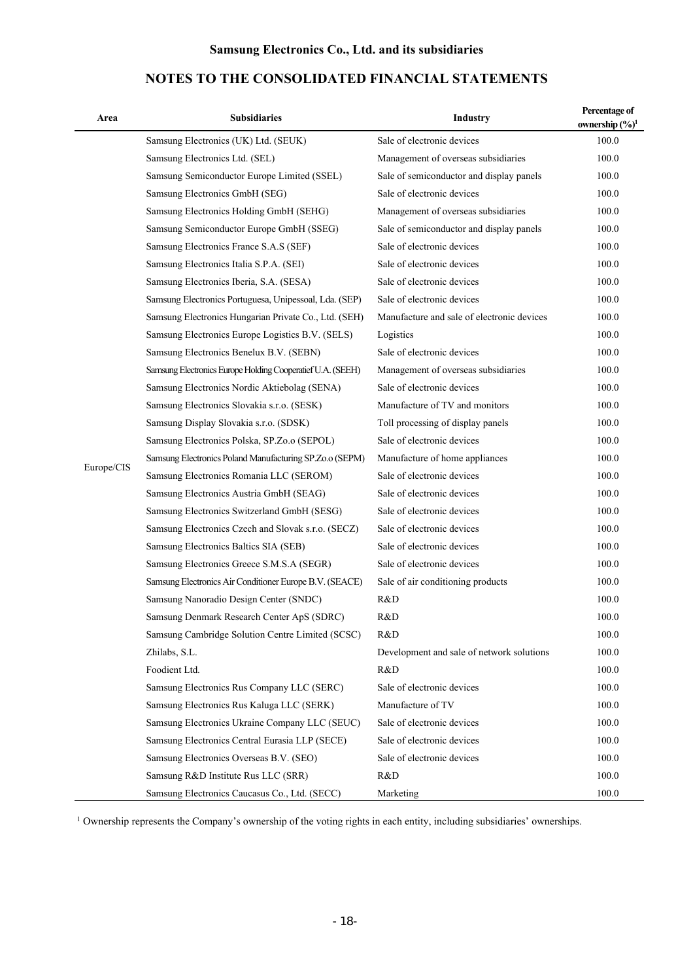# Area **Percentage of Subsidiaries Area** Industry **Percentage of Percentage of**  $\mathbf{C}(\mathbf{X})$ **ownership (%)1** Europe/CIS Samsung Electronics (UK) Ltd. (SEUK) Sale of electronic devices 100.0 Samsung Electronics Ltd. (SEL) Management of overseas subsidiaries 100.0 Samsung Semiconductor Europe Limited (SSEL) Sale of semiconductor and display panels 100.0 Samsung Electronics GmbH (SEG) Sale of electronic devices 100.0 Samsung Electronics Holding GmbH (SEHG) Management of overseas subsidiaries 100.0 Samsung Semiconductor Europe GmbH (SSEG) Sale of semiconductor and display panels 100.0 Samsung Electronics France S.A.S (SEF) Sale of electronic devices 100.0 Samsung Electronics Italia S.P.A. (SEI) Sale of electronic devices 100.0 Samsung Electronics Iberia, S.A. (SESA) Sale of electronic devices 100.0 Samsung Electronics Portuguesa, Unipessoal, Lda. (SEP) Sale of electronic devices 100.0 Samsung Electronics Hungarian Private Co., Ltd. (SEH) Manufacture and sale of electronic devices 100.0 Samsung Electronics Europe Logistics B.V. (SELS) Logistics 100.0 Samsung Electronics Benelux B.V. (SEBN) Sale of electronic devices 100.0 Samsung Electronics Europe Holding Cooperatief U.A. (SEEH) Management of overseas subsidiaries 100.0 Samsung Electronics Nordic Aktiebolag (SENA) Sale of electronic devices 100.0 Samsung Electronics Slovakia s.r.o. (SESK) Manufacture of TV and monitors 100.0 Samsung Display Slovakia s.r.o. (SDSK) Toll processing of display panels 100.0 Samsung Electronics Polska, SP.Zo.o (SEPOL) Sale of electronic devices 100.0 Samsung Electronics Poland Manufacturing SP.Zo.o (SEPM) Manufacture of home appliances 100.0 Samsung Electronics Romania LLC (SEROM) Sale of electronic devices 100.0 Samsung Electronics Austria GmbH (SEAG) Sale of electronic devices 100.0 Samsung Electronics Switzerland GmbH (SESG) Sale of electronic devices 100.0 Samsung Electronics Czech and Slovak s.r.o. (SECZ) Sale of electronic devices 100.0 Samsung Electronics Baltics SIA (SEB) Sale of electronic devices 100.0 Samsung Electronics Greece S.M.S.A (SEGR) Sale of electronic devices 100.0 Samsung Electronics Air Conditioner Europe B.V. (SEACE) Sale of air conditioning products 100.0 Samsung Nanoradio Design Center (SNDC) R&D 100.0 Samsung Denmark Research Center ApS (SDRC) R&D 100.0 Samsung Cambridge Solution Centre Limited (SCSC) R&D 100.0 Zhilabs, S.L. Development and sale of network solutions 100.0 Foodient Ltd. 100.0 Samsung Electronics Rus Company LLC (SERC) Sale of electronic devices 100.0 Samsung Electronics Rus Kaluga LLC (SERK) Manufacture of TV 100.0 Samsung Electronics Ukraine Company LLC (SEUC) Sale of electronic devices 100.0 Samsung Electronics Central Eurasia LLP (SECE) Sale of electronic devices 100.0 Samsung Electronics Overseas B.V. (SEO) Sale of electronic devices 100.0 Samsung R&D Institute Rus LLC (SRR) R&D 100.0 Samsung Electronics Caucasus Co., Ltd. (SECC) Marketing 100.0

# **NOTES TO THE CONSOLIDATED FINANCIAL STATEMENTS**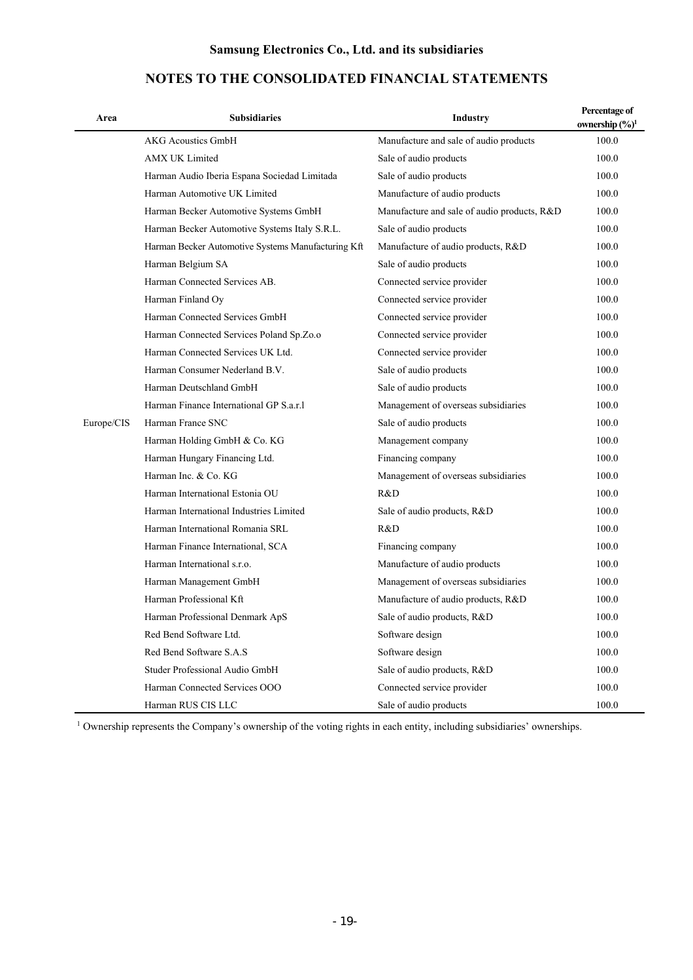| Area       | <b>Subsidiaries</b>                                | <b>Industry</b>                             | Percentage of<br>ownership $(\frac{6}{1})^1$ |
|------------|----------------------------------------------------|---------------------------------------------|----------------------------------------------|
|            | <b>AKG Acoustics GmbH</b>                          | Manufacture and sale of audio products      | 100.0                                        |
|            | <b>AMX UK Limited</b>                              | Sale of audio products                      | 100.0                                        |
|            | Harman Audio Iberia Espana Sociedad Limitada       | Sale of audio products                      | 100.0                                        |
|            | Harman Automotive UK Limited                       | Manufacture of audio products               | 100.0                                        |
|            | Harman Becker Automotive Systems GmbH              | Manufacture and sale of audio products, R&D | 100.0                                        |
|            | Harman Becker Automotive Systems Italy S.R.L.      | Sale of audio products                      | 100.0                                        |
|            | Harman Becker Automotive Systems Manufacturing Kft | Manufacture of audio products, R&D          | 100.0                                        |
|            | Harman Belgium SA                                  | Sale of audio products                      | 100.0                                        |
|            | Harman Connected Services AB.                      | Connected service provider                  | 100.0                                        |
|            | Harman Finland Oy                                  | Connected service provider                  | 100.0                                        |
|            | Harman Connected Services GmbH                     | Connected service provider                  | 100.0                                        |
|            | Harman Connected Services Poland Sp.Zo.o           | Connected service provider                  | 100.0                                        |
|            | Harman Connected Services UK Ltd.                  | Connected service provider                  | 100.0                                        |
|            | Harman Consumer Nederland B.V.                     | Sale of audio products                      | 100.0                                        |
|            | Harman Deutschland GmbH                            | Sale of audio products                      | 100.0                                        |
|            | Harman Finance International GP S.a.r.1            | Management of overseas subsidiaries         | 100.0                                        |
| Europe/CIS | Harman France SNC                                  | Sale of audio products                      | 100.0                                        |
|            | Harman Holding GmbH & Co. KG                       | Management company                          | 100.0                                        |
|            | Harman Hungary Financing Ltd.                      | Financing company                           | 100.0                                        |
|            | Harman Inc. & Co. KG                               | Management of overseas subsidiaries         | 100.0                                        |
|            | Harman International Estonia OU                    | R&D                                         | 100.0                                        |
|            | Harman International Industries Limited            | Sale of audio products, R&D                 | 100.0                                        |
|            | Harman International Romania SRL                   | R&D                                         | 100.0                                        |
|            | Harman Finance International, SCA                  | Financing company                           | 100.0                                        |
|            | Harman International s.r.o.                        | Manufacture of audio products               | 100.0                                        |
|            | Harman Management GmbH                             | Management of overseas subsidiaries         | 100.0                                        |
|            | Harman Professional Kft                            | Manufacture of audio products, R&D          | 100.0                                        |
|            | Harman Professional Denmark ApS                    | Sale of audio products, R&D                 | 100.0                                        |
|            | Red Bend Software Ltd.                             | Software design                             | 100.0                                        |
|            | Red Bend Software S.A.S                            | Software design                             | 100.0                                        |
|            | Studer Professional Audio GmbH                     | Sale of audio products, R&D                 | 100.0                                        |
|            | Harman Connected Services OOO                      | Connected service provider                  | 100.0                                        |
|            | Harman RUS CIS LLC                                 | Sale of audio products                      | 100.0                                        |

# **NOTES TO THE CONSOLIDATED FINANCIAL STATEMENTS**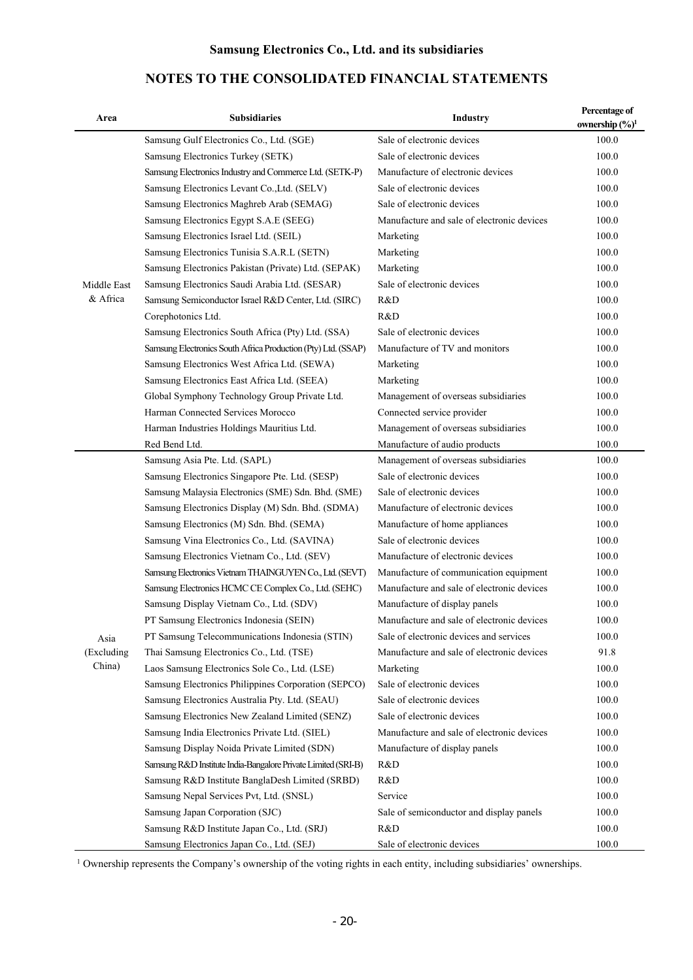### Area **Percentage of Subsidiaries Area** Industry **Percentage of**  $\mathbf{S}$ **ownership (%)1** Middle East & Africa Samsung Gulf Electronics Co., Ltd. (SGE) Sale of electronic devices 100.0 Samsung Electronics Turkey (SETK) Sale of electronic devices 100.0 Samsung Electronics Industry and Commerce Ltd. (SETK-P) Manufacture of electronic devices 100.0 Samsung Electronics Levant Co.,Ltd. (SELV) Sale of electronic devices 100.0 Samsung Electronics Maghreb Arab (SEMAG) Sale of electronic devices 100.0 Samsung Electronics Egypt S.A.E (SEEG) Manufacture and sale of electronic devices 100.0 Samsung Electronics Israel Ltd. (SEIL) Marketing 100.0 Samsung Electronics Tunisia S.A.R.L (SETN) Marketing 100.0 Samsung Electronics Pakistan (Private) Ltd. (SEPAK) Marketing 100.0 Samsung Electronics Saudi Arabia Ltd. (SESAR) Sale of electronic devices 100.0 Samsung Semiconductor Israel R&D Center, Ltd. (SIRC) R&D 100.0 Corephotonics Ltd. R&D 100.0 Samsung Electronics South Africa (Pty) Ltd. (SSA) Sale of electronic devices 100.0 Samsung Electronics South Africa Production (Pty) Ltd. (SSAP) Manufacture of TV and monitors 100.0 Samsung Electronics West Africa Ltd. (SEWA) Marketing 100.0 Samsung Electronics East Africa Ltd. (SEEA) Marketing 100.0 Global Symphony Technology Group Private Ltd. Management of overseas subsidiaries 100.0 Harman Connected Services Morocco Connected service provider 100.0 Harman Industries Holdings Mauritius Ltd. Management of overseas subsidiaries 100.0 Red Bend Ltd. 100.0 Asia (Excluding China) Samsung Asia Pte. Ltd. (SAPL) Management of overseas subsidiaries 100.0 Samsung Electronics Singapore Pte. Ltd. (SESP) Sale of electronic devices 100.0 Samsung Malaysia Electronics (SME) Sdn. Bhd. (SME) Sale of electronic devices 100.0 Samsung Electronics Display (M) Sdn. Bhd. (SDMA) Manufacture of electronic devices 100.0 Samsung Electronics (M) Sdn. Bhd. (SEMA) Manufacture of home appliances 100.0 Samsung Vina Electronics Co., Ltd. (SAVINA) Sale of electronic devices 100.0 Samsung Electronics Vietnam Co., Ltd. (SEV) Manufacture of electronic devices 100.0 Samsung Electronics Vietnam THAINGUYEN Co., Ltd. (SEVT) Manufacture of communication equipment 100.0 Samsung Electronics HCMC CE Complex Co., Ltd. (SEHC) Manufacture and sale of electronic devices 100.0 Samsung Display Vietnam Co., Ltd. (SDV) Manufacture of display panels 100.0 PT Samsung Electronics Indonesia (SEIN) Manufacture and sale of electronic devices 100.0 PT Samsung Telecommunications Indonesia (STIN) Sale of electronic devices and services 100.0 Thai Samsung Electronics Co., Ltd. (TSE) Manufacture and sale of electronic devices 91.8 Laos Samsung Electronics Sole Co., Ltd. (LSE) Marketing 100.0 Samsung Electronics Philippines Corporation (SEPCO) Sale of electronic devices 100.0 Samsung Electronics Australia Pty. Ltd. (SEAU) Sale of electronic devices 100.0 Samsung Electronics New Zealand Limited (SENZ) Sale of electronic devices 100.0 Samsung India Electronics Private Ltd. (SIEL) Manufacture and sale of electronic devices 100.0 Samsung Display Noida Private Limited (SDN) Manufacture of display panels 100.0 Samsung R&D Institute India-Bangalore Private Limited (SRI-B) R&D 100.0 Samsung R&D Institute BanglaDesh Limited (SRBD) R&D 100.0 Samsung Nepal Services Pvt, Ltd. (SNSL) Service 100.0 Samsung Japan Corporation (SJC) Sale of semiconductor and display panels 100.0 Samsung R&D Institute Japan Co., Ltd. (SRJ) R&D 100.0 Samsung Electronics Japan Co., Ltd. (SEJ) Sale of electronic devices 100.0

# **NOTES TO THE CONSOLIDATED FINANCIAL STATEMENTS**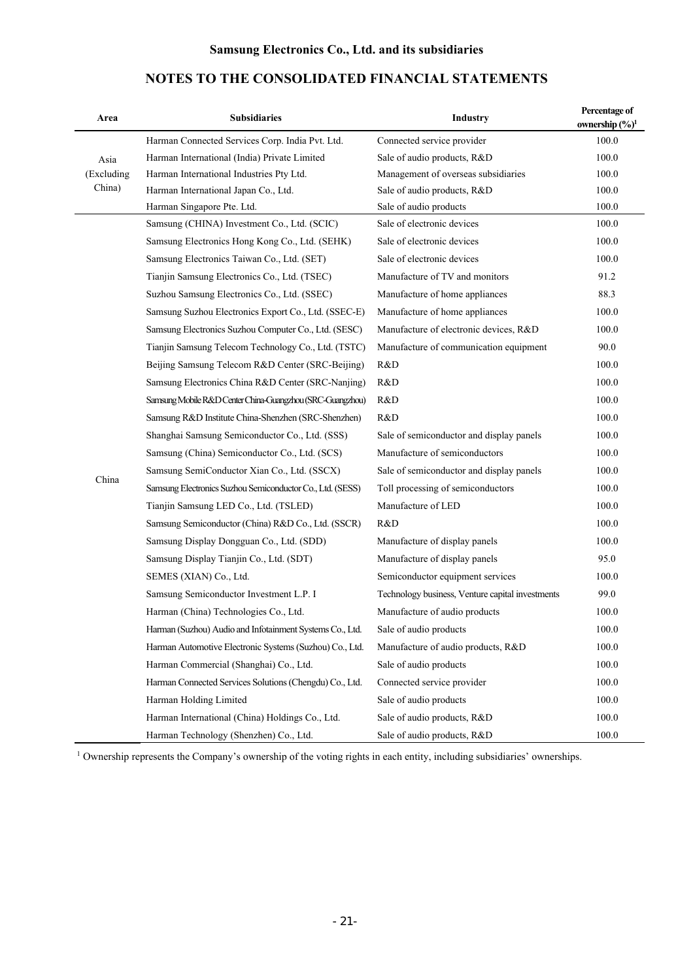# Area **Percentage of Subsidiaries Area Area** Industry **Percentage of**  $\mathbf{S}$ **ownership (%)1** Asia (Excluding China) Harman Connected Services Corp. India Pvt. Ltd. Connected service provider 100.0 Harman International (India) Private Limited Sale of audio products, R&D 100.0 Harman International Industries Pty Ltd. Management of overseas subsidiaries 100.0 Harman International Japan Co., Ltd. Sale of audio products, R&D 100.0 Harman Singapore Pte. Ltd. Sale of audio products 100.0 China Samsung (CHINA) Investment Co., Ltd. (SCIC) Sale of electronic devices 100.0 Samsung Electronics Hong Kong Co., Ltd. (SEHK) Sale of electronic devices 100.0 Samsung Electronics Taiwan Co., Ltd. (SET) Sale of electronic devices 100.0 Tianjin Samsung Electronics Co., Ltd. (TSEC) Manufacture of TV and monitors 91.2 Suzhou Samsung Electronics Co., Ltd. (SSEC) Manufacture of home appliances 88.3 Samsung Suzhou Electronics Export Co., Ltd. (SSEC-E) Manufacture of home appliances 100.0 Samsung Electronics Suzhou Computer Co., Ltd. (SESC) Manufacture of electronic devices, R&D 100.0 Tianjin Samsung Telecom Technology Co., Ltd. (TSTC) Manufacture of communication equipment 90.0 Beijing Samsung Telecom R&D Center (SRC-Beijing) R&D 100.0 Samsung Electronics China R&D Center (SRC-Nanjing) R&D 100.0 Samsung Mobile R&D Center China-Guangzhou (SRC-Guangzhou) R&D 100.0 Samsung R&D Institute China-Shenzhen (SRC-Shenzhen) R&D 100.0 Shanghai Samsung Semiconductor Co., Ltd. (SSS) Sale of semiconductor and display panels 100.0 Samsung (China) Semiconductor Co., Ltd. (SCS) Manufacture of semiconductors 100.0 Samsung SemiConductor Xian Co., Ltd. (SSCX) Sale of semiconductor and display panels 100.0 Samsung Electronics Suzhou Semiconductor Co., Ltd. (SESS) Toll processing of semiconductors 100.0 Tianjin Samsung LED Co., Ltd. (TSLED) Manufacture of LED 100.0 Samsung Semiconductor (China) R&D Co., Ltd. (SSCR) R&D 100.0 Samsung Display Dongguan Co., Ltd. (SDD) Manufacture of display panels 100.0 Samsung Display Tianjin Co., Ltd. (SDT) Manufacture of display panels 95.0 SEMES (XIAN) Co., Ltd. Semiconductor equipment services 100.0 Samsung Semiconductor Investment L.P. І Technology business, Venture capital investments 99.0 Harman (China) Technologies Co., Ltd. Manufacture of audio products 100.0 Harman (Suzhou) Audio and Infotainment Systems Co., Ltd. Sale of audio products 100.0 Harman Automotive Electronic Systems (Suzhou) Co., Ltd. Manufacture of audio products, R&D 100.0 Harman Commercial (Shanghai) Co., Ltd. Sale of audio products 100.0 Harman Connected Services Solutions (Chengdu) Co., Ltd. Connected service provider 100.0 Harman Holding Limited Sale of audio products 100.0 Harman International (China) Holdings Co., Ltd. Sale of audio products, R&D 100.0 Harman Technology (Shenzhen) Co., Ltd. Sale of audio products, R&D 100.0

# **NOTES TO THE CONSOLIDATED FINANCIAL STATEMENTS**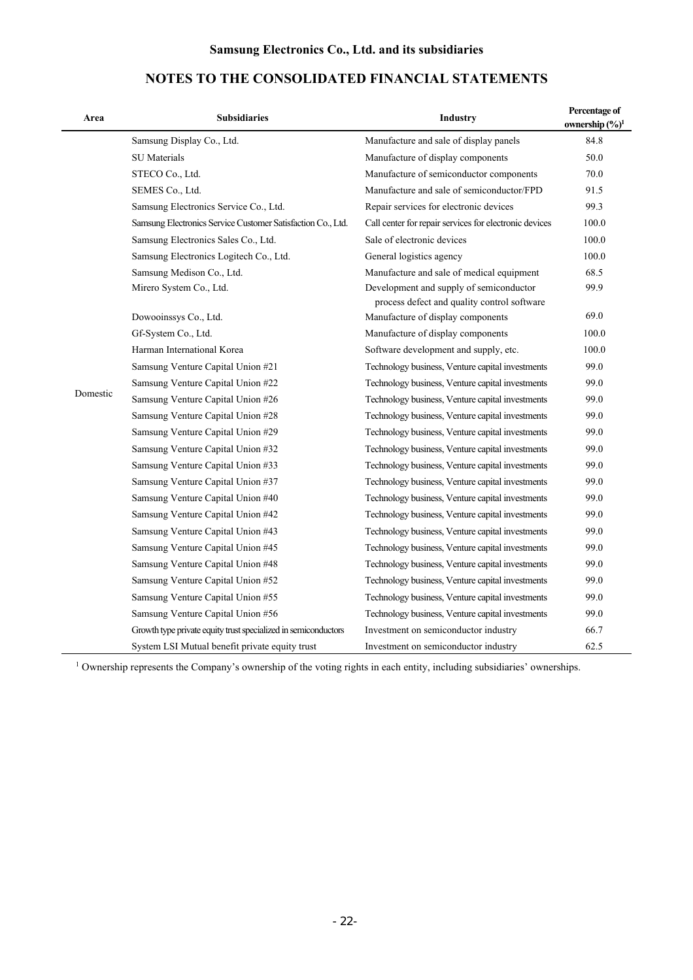| Area     | <b>Subsidiaries</b>                                            | Industry                                                                               | Percentage of<br>ownership $(\frac{6}{6})^1$ |
|----------|----------------------------------------------------------------|----------------------------------------------------------------------------------------|----------------------------------------------|
|          | Samsung Display Co., Ltd.                                      | Manufacture and sale of display panels                                                 | 84.8                                         |
|          | <b>SU</b> Materials                                            | Manufacture of display components                                                      | 50.0                                         |
|          | STECO Co., Ltd.                                                | Manufacture of semiconductor components                                                | 70.0                                         |
|          | SEMES Co., Ltd.                                                | Manufacture and sale of semiconductor/FPD                                              | 91.5                                         |
|          | Samsung Electronics Service Co., Ltd.                          | Repair services for electronic devices                                                 | 99.3                                         |
|          | Samsung Electronics Service Customer Satisfaction Co., Ltd.    | Call center for repair services for electronic devices                                 | 100.0                                        |
|          | Samsung Electronics Sales Co., Ltd.                            | Sale of electronic devices                                                             | 100.0                                        |
|          | Samsung Electronics Logitech Co., Ltd.                         | General logistics agency                                                               | 100.0                                        |
|          | Samsung Medison Co., Ltd.                                      | Manufacture and sale of medical equipment                                              | 68.5                                         |
|          | Mirero System Co., Ltd.                                        | Development and supply of semiconductor<br>process defect and quality control software | 99.9                                         |
|          | Dowooinssys Co., Ltd.                                          | Manufacture of display components                                                      | 69.0                                         |
|          | Gf-System Co., Ltd.                                            | Manufacture of display components                                                      | 100.0                                        |
|          | Harman International Korea                                     | Software development and supply, etc.                                                  | 100.0                                        |
|          | Samsung Venture Capital Union #21                              | Technology business, Venture capital investments                                       | 99.0                                         |
|          | Samsung Venture Capital Union #22                              | Technology business, Venture capital investments                                       | 99.0                                         |
| Domestic | Samsung Venture Capital Union #26                              | Technology business, Venture capital investments                                       | 99.0                                         |
|          | Samsung Venture Capital Union #28                              | Technology business, Venture capital investments                                       | 99.0                                         |
|          | Samsung Venture Capital Union #29                              | Technology business, Venture capital investments                                       | 99.0                                         |
|          | Samsung Venture Capital Union #32                              | Technology business, Venture capital investments                                       | 99.0                                         |
|          | Samsung Venture Capital Union #33                              | Technology business, Venture capital investments                                       | 99.0                                         |
|          | Samsung Venture Capital Union #37                              | Technology business, Venture capital investments                                       | 99.0                                         |
|          | Samsung Venture Capital Union #40                              | Technology business, Venture capital investments                                       | 99.0                                         |
|          | Samsung Venture Capital Union #42                              | Technology business, Venture capital investments                                       | 99.0                                         |
|          | Samsung Venture Capital Union #43                              | Technology business, Venture capital investments                                       | 99.0                                         |
|          | Samsung Venture Capital Union #45                              | Technology business, Venture capital investments                                       | 99.0                                         |
|          | Samsung Venture Capital Union #48                              | Technology business, Venture capital investments                                       | 99.0                                         |
|          | Samsung Venture Capital Union #52                              | Technology business, Venture capital investments                                       | 99.0                                         |
|          | Samsung Venture Capital Union #55                              | Technology business, Venture capital investments                                       | 99.0                                         |
|          | Samsung Venture Capital Union #56                              | Technology business, Venture capital investments                                       | 99.0                                         |
|          | Growth type private equity trust specialized in semiconductors | Investment on semiconductor industry                                                   | 66.7                                         |
|          | System LSI Mutual benefit private equity trust                 | Investment on semiconductor industry                                                   | 62.5                                         |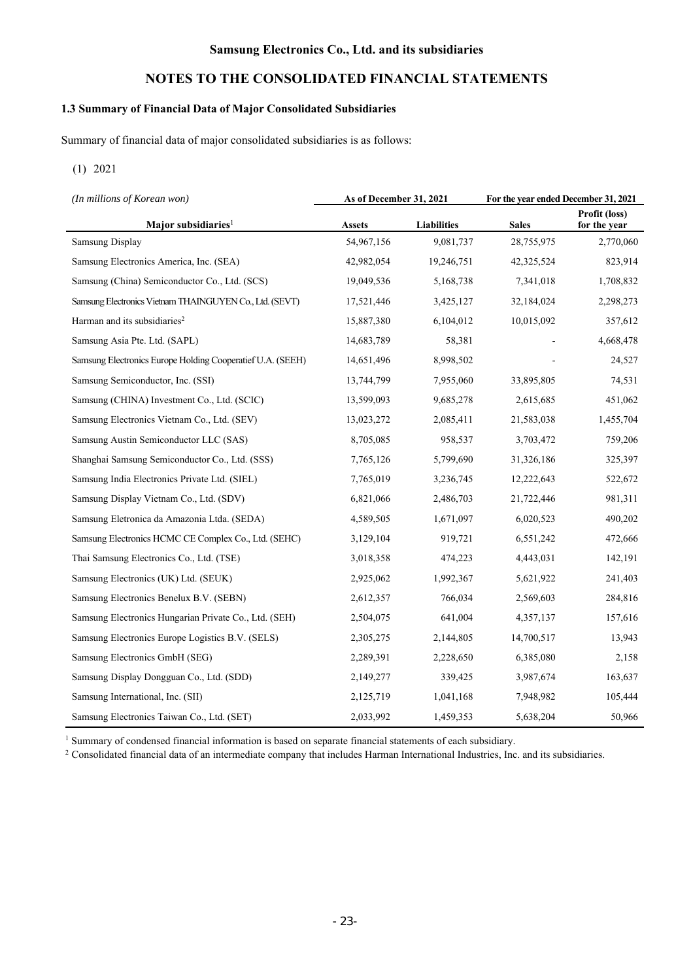# **NOTES TO THE CONSOLIDATED FINANCIAL STATEMENTS**

# **1.3 Summary of Financial Data of Major Consolidated Subsidiaries**

Summary of financial data of major consolidated subsidiaries is as follows:

### (1) 2021

| (In millions of Korean won)                                | As of December 31, 2021 |                    | For the year ended December 31, 2021 |                               |
|------------------------------------------------------------|-------------------------|--------------------|--------------------------------------|-------------------------------|
| Major subsidiaries <sup>1</sup>                            | <b>Assets</b>           | <b>Liabilities</b> | <b>Sales</b>                         | Profit (loss)<br>for the year |
| <b>Samsung Display</b>                                     | 54,967,156              | 9,081,737          | 28,755,975                           | 2,770,060                     |
| Samsung Electronics America, Inc. (SEA)                    | 42,982,054              | 19,246,751         | 42,325,524                           | 823,914                       |
| Samsung (China) Semiconductor Co., Ltd. (SCS)              | 19,049,536              | 5,168,738          | 7,341,018                            | 1,708,832                     |
| Samsung Electronics Vietnam THAINGUYEN Co., Ltd. (SEVT)    | 17,521,446              | 3,425,127          | 32,184,024                           | 2,298,273                     |
| Harman and its subsidiaries <sup>2</sup>                   | 15,887,380              | 6,104,012          | 10,015,092                           | 357,612                       |
| Samsung Asia Pte. Ltd. (SAPL)                              | 14,683,789              | 58,381             |                                      | 4,668,478                     |
| Samsung Electronics Europe Holding Cooperatief U.A. (SEEH) | 14,651,496              | 8,998,502          |                                      | 24,527                        |
| Samsung Semiconductor, Inc. (SSI)                          | 13,744,799              | 7,955,060          | 33,895,805                           | 74,531                        |
| Samsung (CHINA) Investment Co., Ltd. (SCIC)                | 13,599,093              | 9,685,278          | 2,615,685                            | 451,062                       |
| Samsung Electronics Vietnam Co., Ltd. (SEV)                | 13,023,272              | 2,085,411          | 21,583,038                           | 1,455,704                     |
| Samsung Austin Semiconductor LLC (SAS)                     | 8,705,085               | 958,537            | 3,703,472                            | 759,206                       |
| Shanghai Samsung Semiconductor Co., Ltd. (SSS)             | 7,765,126               | 5,799,690          | 31,326,186                           | 325,397                       |
| Samsung India Electronics Private Ltd. (SIEL)              | 7,765,019               | 3,236,745          | 12,222,643                           | 522,672                       |
| Samsung Display Vietnam Co., Ltd. (SDV)                    | 6,821,066               | 2,486,703          | 21,722,446                           | 981,311                       |
| Samsung Eletronica da Amazonia Ltda. (SEDA)                | 4,589,505               | 1,671,097          | 6,020,523                            | 490,202                       |
| Samsung Electronics HCMC CE Complex Co., Ltd. (SEHC)       | 3,129,104               | 919,721            | 6,551,242                            | 472,666                       |
| Thai Samsung Electronics Co., Ltd. (TSE)                   | 3,018,358               | 474,223            | 4,443,031                            | 142,191                       |
| Samsung Electronics (UK) Ltd. (SEUK)                       | 2,925,062               | 1,992,367          | 5,621,922                            | 241,403                       |
| Samsung Electronics Benelux B.V. (SEBN)                    | 2,612,357               | 766,034            | 2,569,603                            | 284,816                       |
| Samsung Electronics Hungarian Private Co., Ltd. (SEH)      | 2,504,075               | 641,004            | 4,357,137                            | 157,616                       |
| Samsung Electronics Europe Logistics B.V. (SELS)           | 2,305,275               | 2,144,805          | 14,700,517                           | 13,943                        |
| Samsung Electronics GmbH (SEG)                             | 2,289,391               | 2,228,650          | 6,385,080                            | 2,158                         |
| Samsung Display Dongguan Co., Ltd. (SDD)                   | 2,149,277               | 339,425            | 3,987,674                            | 163,637                       |
| Samsung International, Inc. (SII)                          | 2,125,719               | 1,041,168          | 7,948,982                            | 105,444                       |
| Samsung Electronics Taiwan Co., Ltd. (SET)                 | 2,033,992               | 1,459,353          | 5,638,204                            | 50,966                        |

<sup>1</sup> Summary of condensed financial information is based on separate financial statements of each subsidiary.<br><sup>2</sup> Consolidated financial data of an intermediate company that includes Harman International Industries, Inc. a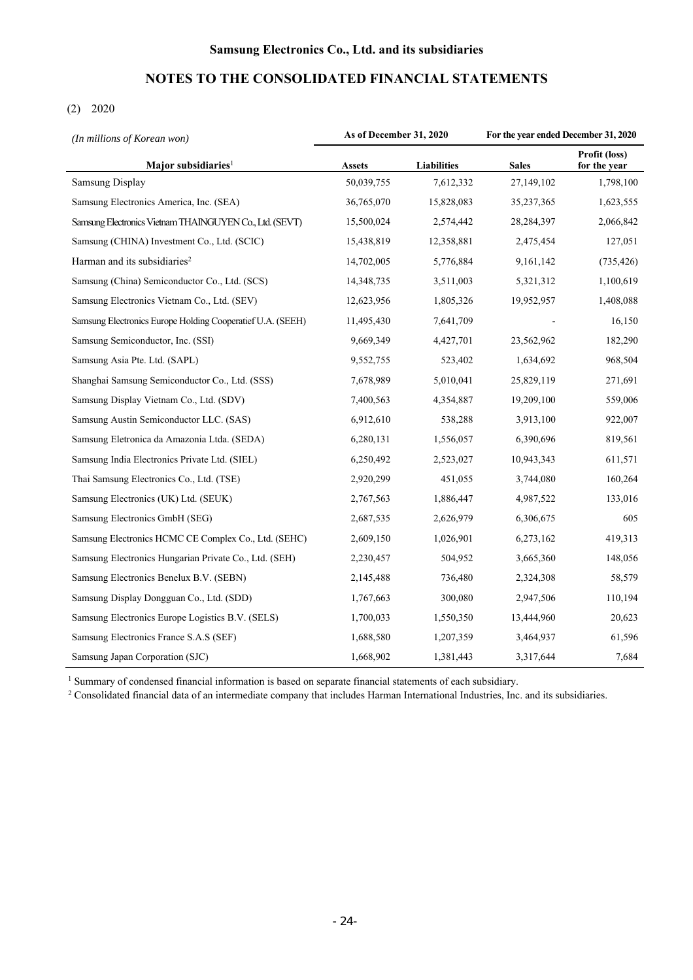# **NOTES TO THE CONSOLIDATED FINANCIAL STATEMENTS**

# (2) 2020

| (In millions of Korean won)                                | As of December 31, 2020 |                    | For the year ended December 31, 2020 |                               |
|------------------------------------------------------------|-------------------------|--------------------|--------------------------------------|-------------------------------|
| Major subsidiaries <sup>1</sup>                            | <b>Assets</b>           | <b>Liabilities</b> | <b>Sales</b>                         | Profit (loss)<br>for the year |
| <b>Samsung Display</b>                                     | 50,039,755              | 7,612,332          | 27,149,102                           | 1,798,100                     |
| Samsung Electronics America, Inc. (SEA)                    | 36,765,070              | 15,828,083         | 35,237,365                           | 1,623,555                     |
| Samsung Electronics Vietnam THAINGUYEN Co., Ltd. (SEVT)    | 15,500,024              | 2,574,442          | 28,284,397                           | 2,066,842                     |
| Samsung (CHINA) Investment Co., Ltd. (SCIC)                | 15,438,819              | 12,358,881         | 2,475,454                            | 127,051                       |
| Harman and its subsidiaries <sup>2</sup>                   | 14,702,005              | 5,776,884          | 9,161,142                            | (735, 426)                    |
| Samsung (China) Semiconductor Co., Ltd. (SCS)              | 14,348,735              | 3,511,003          | 5,321,312                            | 1,100,619                     |
| Samsung Electronics Vietnam Co., Ltd. (SEV)                | 12,623,956              | 1,805,326          | 19,952,957                           | 1,408,088                     |
| Samsung Electronics Europe Holding Cooperatief U.A. (SEEH) | 11,495,430              | 7,641,709          |                                      | 16,150                        |
| Samsung Semiconductor, Inc. (SSI)                          | 9,669,349               | 4,427,701          | 23,562,962                           | 182,290                       |
| Samsung Asia Pte. Ltd. (SAPL)                              | 9,552,755               | 523,402            | 1,634,692                            | 968,504                       |
| Shanghai Samsung Semiconductor Co., Ltd. (SSS)             | 7,678,989               | 5,010,041          | 25,829,119                           | 271,691                       |
| Samsung Display Vietnam Co., Ltd. (SDV)                    | 7,400,563               | 4,354,887          | 19,209,100                           | 559,006                       |
| Samsung Austin Semiconductor LLC. (SAS)                    | 6,912,610               | 538,288            | 3,913,100                            | 922,007                       |
| Samsung Eletronica da Amazonia Ltda. (SEDA)                | 6,280,131               | 1,556,057          | 6,390,696                            | 819,561                       |
| Samsung India Electronics Private Ltd. (SIEL)              | 6,250,492               | 2,523,027          | 10,943,343                           | 611,571                       |
| Thai Samsung Electronics Co., Ltd. (TSE)                   | 2,920,299               | 451,055            | 3,744,080                            | 160,264                       |
| Samsung Electronics (UK) Ltd. (SEUK)                       | 2,767,563               | 1,886,447          | 4,987,522                            | 133,016                       |
| Samsung Electronics GmbH (SEG)                             | 2,687,535               | 2,626,979          | 6,306,675                            | 605                           |
| Samsung Electronics HCMC CE Complex Co., Ltd. (SEHC)       | 2,609,150               | 1,026,901          | 6,273,162                            | 419,313                       |
| Samsung Electronics Hungarian Private Co., Ltd. (SEH)      | 2,230,457               | 504,952            | 3,665,360                            | 148,056                       |
| Samsung Electronics Benelux B.V. (SEBN)                    | 2,145,488               | 736,480            | 2,324,308                            | 58,579                        |
| Samsung Display Dongguan Co., Ltd. (SDD)                   | 1,767,663               | 300,080            | 2,947,506                            | 110,194                       |
| Samsung Electronics Europe Logistics B.V. (SELS)           | 1,700,033               | 1,550,350          | 13,444,960                           | 20,623                        |
| Samsung Electronics France S.A.S (SEF)                     | 1,688,580               | 1,207,359          | 3,464,937                            | 61,596                        |
| Samsung Japan Corporation (SJC)                            | 1,668,902               | 1,381,443          | 3,317,644                            | 7,684                         |

<sup>1</sup> Summary of condensed financial information is based on separate financial statements of each subsidiary.

<sup>2</sup> Consolidated financial data of an intermediate company that includes Harman International Industries, Inc. and its subsidiaries.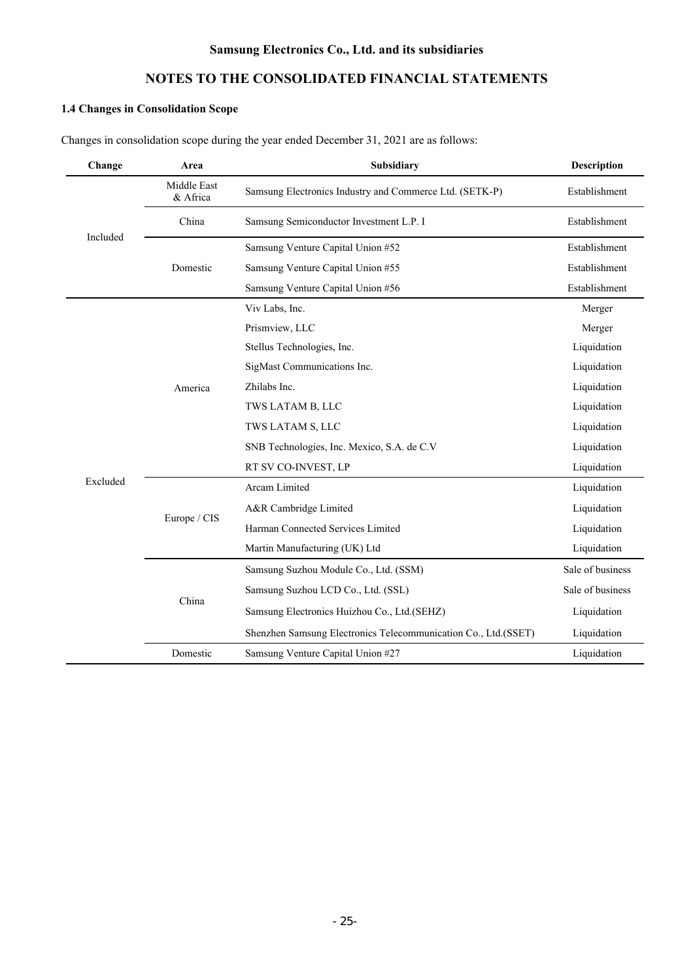# **NOTES TO THE CONSOLIDATED FINANCIAL STATEMENTS**

# **1.4 Changes in Consolidation Scope**

Changes in consolidation scope during the year ended December 31, 2021 are as follows:

| Change   | Subsidiary<br>Area      |                                                                |                  |
|----------|-------------------------|----------------------------------------------------------------|------------------|
|          | Middle East<br>& Africa | Samsung Electronics Industry and Commerce Ltd. (SETK-P)        | Establishment    |
| Included | China                   | Samsung Semiconductor Investment L.P. I                        | Establishment    |
|          |                         | Samsung Venture Capital Union #52                              | Establishment    |
|          | Domestic                | Samsung Venture Capital Union #55                              | Establishment    |
|          |                         | Samsung Venture Capital Union #56                              | Establishment    |
|          |                         | Viv Labs, Inc.                                                 | Merger           |
|          |                         | Prismview, LLC                                                 | Merger           |
|          |                         | Stellus Technologies, Inc.                                     | Liquidation      |
|          |                         | SigMast Communications Inc.                                    | Liquidation      |
|          | America                 | Zhilabs Inc.                                                   | Liquidation      |
|          |                         | TWS LATAM B, LLC                                               | Liquidation      |
|          |                         | TWS LATAM S, LLC                                               | Liquidation      |
|          |                         | SNB Technologies, Inc. Mexico, S.A. de C.V                     | Liquidation      |
|          |                         | RT SV CO-INVEST, LP                                            | Liquidation      |
| Excluded |                         | Arcam Limited                                                  | Liquidation      |
|          | Europe / CIS            | A&R Cambridge Limited                                          | Liquidation      |
|          |                         | Harman Connected Services Limited                              | Liquidation      |
|          |                         | Martin Manufacturing (UK) Ltd                                  | Liquidation      |
|          |                         | Samsung Suzhou Module Co., Ltd. (SSM)                          | Sale of business |
|          |                         | Samsung Suzhou LCD Co., Ltd. (SSL)                             | Sale of business |
|          | China                   | Samsung Electronics Huizhou Co., Ltd.(SEHZ)                    | Liquidation      |
|          |                         | Shenzhen Samsung Electronics Telecommunication Co., Ltd.(SSET) | Liquidation      |
|          | Domestic                | Samsung Venture Capital Union #27                              | Liquidation      |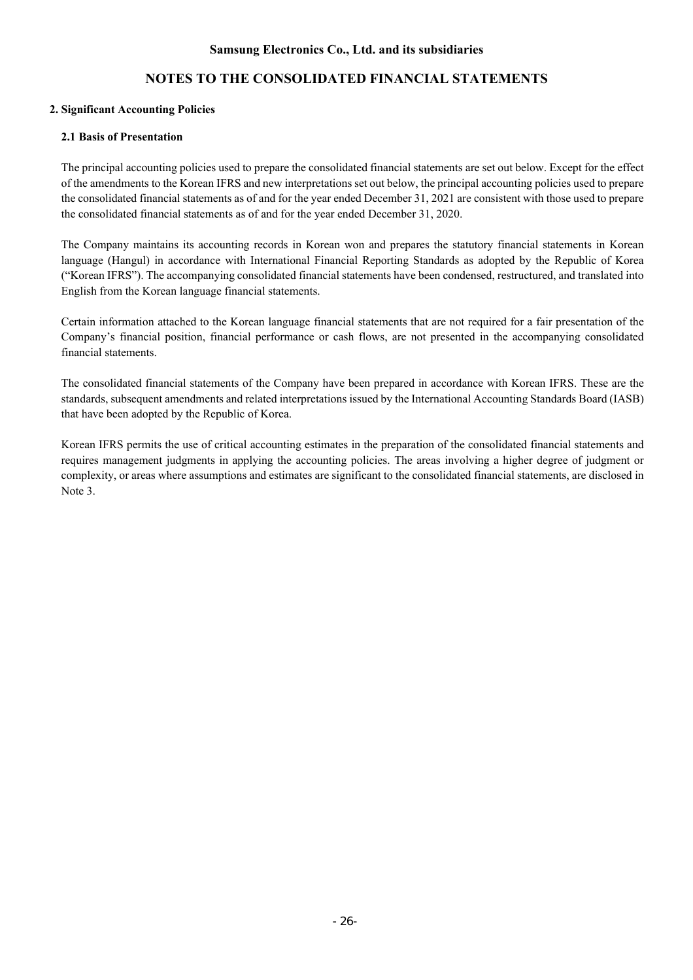# **NOTES TO THE CONSOLIDATED FINANCIAL STATEMENTS**

### **2. Significant Accounting Policies**

### **2.1 Basis of Presentation**

The principal accounting policies used to prepare the consolidated financial statements are set out below. Except for the effect of the amendments to the Korean IFRS and new interpretations set out below, the principal accounting policies used to prepare the consolidated financial statements as of and for the year ended December 31, 2021 are consistent with those used to prepare the consolidated financial statements as of and for the year ended December 31, 2020.

The Company maintains its accounting records in Korean won and prepares the statutory financial statements in Korean language (Hangul) in accordance with International Financial Reporting Standards as adopted by the Republic of Korea ("Korean IFRS"). The accompanying consolidated financial statements have been condensed, restructured, and translated into English from the Korean language financial statements.

Certain information attached to the Korean language financial statements that are not required for a fair presentation of the Company's financial position, financial performance or cash flows, are not presented in the accompanying consolidated financial statements.

The consolidated financial statements of the Company have been prepared in accordance with Korean IFRS. These are the standards, subsequent amendments and related interpretations issued by the International Accounting Standards Board (IASB) that have been adopted by the Republic of Korea.

Korean IFRS permits the use of critical accounting estimates in the preparation of the consolidated financial statements and requires management judgments in applying the accounting policies. The areas involving a higher degree of judgment or complexity, or areas where assumptions and estimates are significant to the consolidated financial statements, are disclosed in Note 3.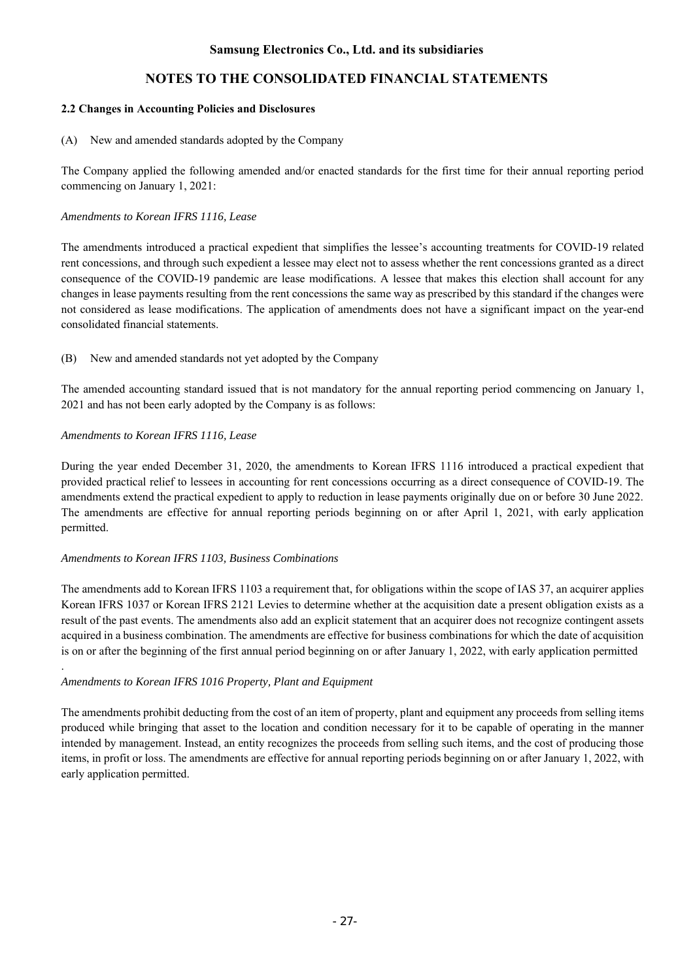### **2.2 Changes in Accounting Policies and Disclosures**

(A) New and amended standards adopted by the Company

The Company applied the following amended and/or enacted standards for the first time for their annual reporting period commencing on January 1, 2021:

### *Amendments to Korean IFRS 1116, Lease*

The amendments introduced a practical expedient that simplifies the lessee's accounting treatments for COVID-19 related rent concessions, and through such expedient a lessee may elect not to assess whether the rent concessions granted as a direct consequence of the COVID-19 pandemic are lease modifications. A lessee that makes this election shall account for any changes in lease payments resulting from the rent concessions the same way as prescribed by this standard if the changes were not considered as lease modifications. The application of amendments does not have a significant impact on the year-end consolidated financial statements.

(B) New and amended standards not yet adopted by the Company

The amended accounting standard issued that is not mandatory for the annual reporting period commencing on January 1, 2021 and has not been early adopted by the Company is as follows:

### *Amendments to Korean IFRS 1116, Lease*

.

During the year ended December 31, 2020, the amendments to Korean IFRS 1116 introduced a practical expedient that provided practical relief to lessees in accounting for rent concessions occurring as a direct consequence of COVID-19. The amendments extend the practical expedient to apply to reduction in lease payments originally due on or before 30 June 2022. The amendments are effective for annual reporting periods beginning on or after April 1, 2021, with early application permitted.

#### *Amendments to Korean IFRS 1103, Business Combinations*

The amendments add to Korean IFRS 1103 a requirement that, for obligations within the scope of IAS 37, an acquirer applies Korean IFRS 1037 or Korean IFRS 2121 Levies to determine whether at the acquisition date a present obligation exists as a result of the past events. The amendments also add an explicit statement that an acquirer does not recognize contingent assets acquired in a business combination. The amendments are effective for business combinations for which the date of acquisition is on or after the beginning of the first annual period beginning on or after January 1, 2022, with early application permitted

#### *Amendments to Korean IFRS 1016 Property, Plant and Equipment*

The amendments prohibit deducting from the cost of an item of property, plant and equipment any proceeds from selling items produced while bringing that asset to the location and condition necessary for it to be capable of operating in the manner intended by management. Instead, an entity recognizes the proceeds from selling such items, and the cost of producing those items, in profit or loss. The amendments are effective for annual reporting periods beginning on or after January 1, 2022, with early application permitted.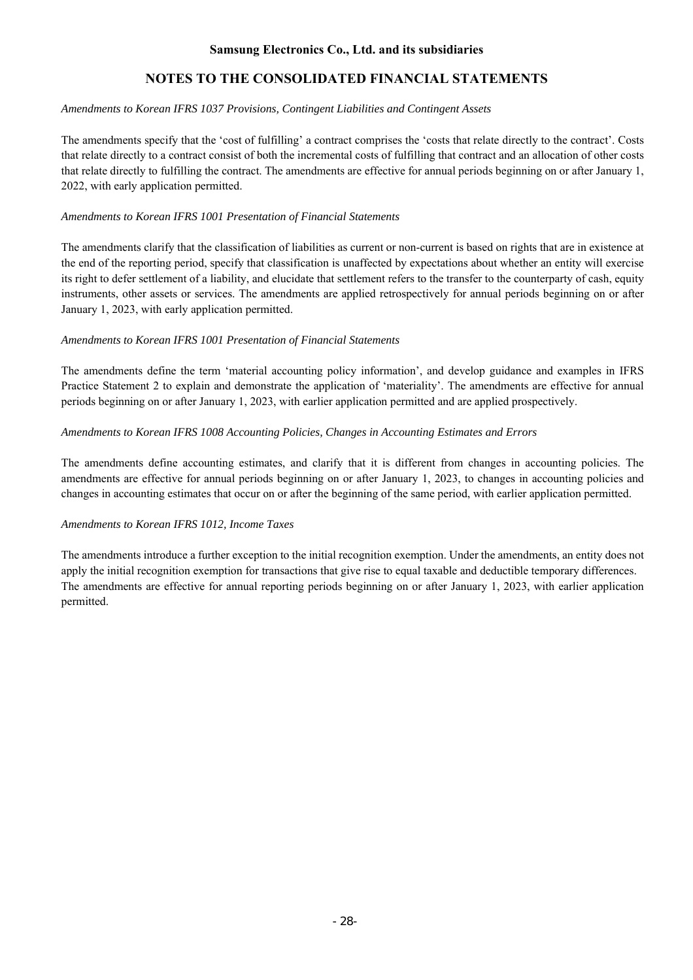# **NOTES TO THE CONSOLIDATED FINANCIAL STATEMENTS**

### *Amendments to Korean IFRS 1037 Provisions, Contingent Liabilities and Contingent Assets*

The amendments specify that the 'cost of fulfilling' a contract comprises the 'costs that relate directly to the contract'. Costs that relate directly to a contract consist of both the incremental costs of fulfilling that contract and an allocation of other costs that relate directly to fulfilling the contract. The amendments are effective for annual periods beginning on or after January 1, 2022, with early application permitted.

### *Amendments to Korean IFRS 1001 Presentation of Financial Statements*

The amendments clarify that the classification of liabilities as current or non-current is based on rights that are in existence at the end of the reporting period, specify that classification is unaffected by expectations about whether an entity will exercise its right to defer settlement of a liability, and elucidate that settlement refers to the transfer to the counterparty of cash, equity instruments, other assets or services. The amendments are applied retrospectively for annual periods beginning on or after January 1, 2023, with early application permitted.

### *Amendments to Korean IFRS 1001 Presentation of Financial Statements*

The amendments define the term 'material accounting policy information', and develop guidance and examples in IFRS Practice Statement 2 to explain and demonstrate the application of 'materiality'. The amendments are effective for annual periods beginning on or after January 1, 2023, with earlier application permitted and are applied prospectively.

### *Amendments to Korean IFRS 1008 Accounting Policies, Changes in Accounting Estimates and Errors*

The amendments define accounting estimates, and clarify that it is different from changes in accounting policies. The amendments are effective for annual periods beginning on or after January 1, 2023, to changes in accounting policies and changes in accounting estimates that occur on or after the beginning of the same period, with earlier application permitted.

### *Amendments to Korean IFRS 1012, Income Taxes*

The amendments introduce a further exception to the initial recognition exemption. Under the amendments, an entity does not apply the initial recognition exemption for transactions that give rise to equal taxable and deductible temporary differences. The amendments are effective for annual reporting periods beginning on or after January 1, 2023, with earlier application permitted.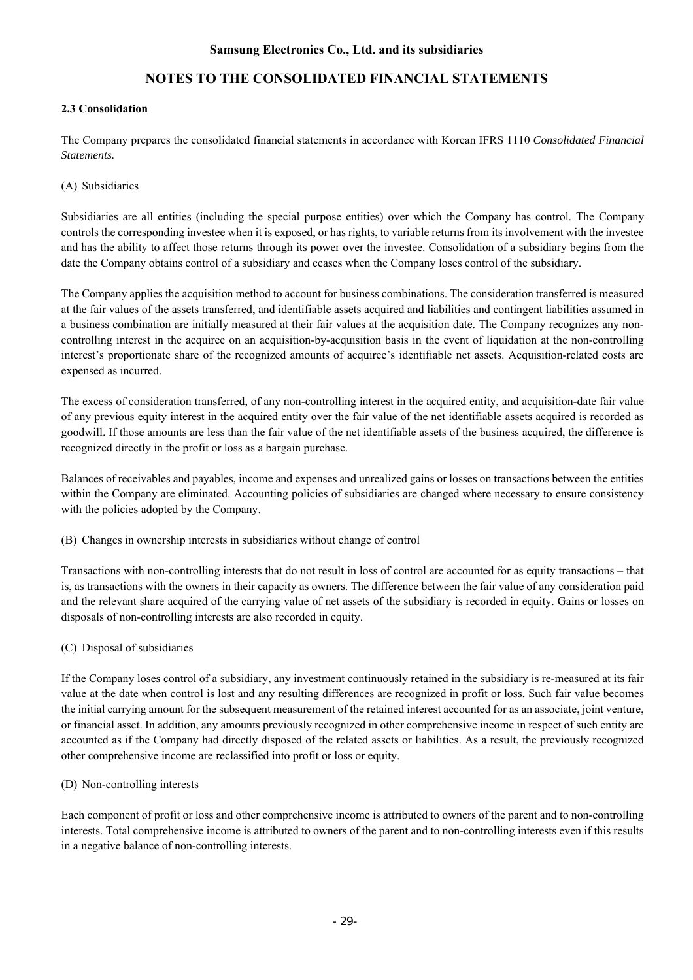# **NOTES TO THE CONSOLIDATED FINANCIAL STATEMENTS**

### **2.3 Consolidation**

The Company prepares the consolidated financial statements in accordance with Korean IFRS 1110 *Consolidated Financial Statements.* 

### (A) Subsidiaries

Subsidiaries are all entities (including the special purpose entities) over which the Company has control. The Company controls the corresponding investee when it is exposed, or has rights, to variable returns from its involvement with the investee and has the ability to affect those returns through its power over the investee. Consolidation of a subsidiary begins from the date the Company obtains control of a subsidiary and ceases when the Company loses control of the subsidiary.

The Company applies the acquisition method to account for business combinations. The consideration transferred is measured at the fair values of the assets transferred, and identifiable assets acquired and liabilities and contingent liabilities assumed in a business combination are initially measured at their fair values at the acquisition date. The Company recognizes any noncontrolling interest in the acquiree on an acquisition-by-acquisition basis in the event of liquidation at the non-controlling interest's proportionate share of the recognized amounts of acquiree's identifiable net assets. Acquisition-related costs are expensed as incurred.

The excess of consideration transferred, of any non-controlling interest in the acquired entity, and acquisition-date fair value of any previous equity interest in the acquired entity over the fair value of the net identifiable assets acquired is recorded as goodwill. If those amounts are less than the fair value of the net identifiable assets of the business acquired, the difference is recognized directly in the profit or loss as a bargain purchase.

Balances of receivables and payables, income and expenses and unrealized gains or losses on transactions between the entities within the Company are eliminated. Accounting policies of subsidiaries are changed where necessary to ensure consistency with the policies adopted by the Company.

(B) Changes in ownership interests in subsidiaries without change of control

Transactions with non-controlling interests that do not result in loss of control are accounted for as equity transactions – that is, as transactions with the owners in their capacity as owners. The difference between the fair value of any consideration paid and the relevant share acquired of the carrying value of net assets of the subsidiary is recorded in equity. Gains or losses on disposals of non-controlling interests are also recorded in equity.

### (C) Disposal of subsidiaries

If the Company loses control of a subsidiary, any investment continuously retained in the subsidiary is re-measured at its fair value at the date when control is lost and any resulting differences are recognized in profit or loss. Such fair value becomes the initial carrying amount for the subsequent measurement of the retained interest accounted for as an associate, joint venture, or financial asset. In addition, any amounts previously recognized in other comprehensive income in respect of such entity are accounted as if the Company had directly disposed of the related assets or liabilities. As a result, the previously recognized other comprehensive income are reclassified into profit or loss or equity.

#### (D) Non-controlling interests

Each component of profit or loss and other comprehensive income is attributed to owners of the parent and to non-controlling interests. Total comprehensive income is attributed to owners of the parent and to non-controlling interests even if this results in a negative balance of non-controlling interests.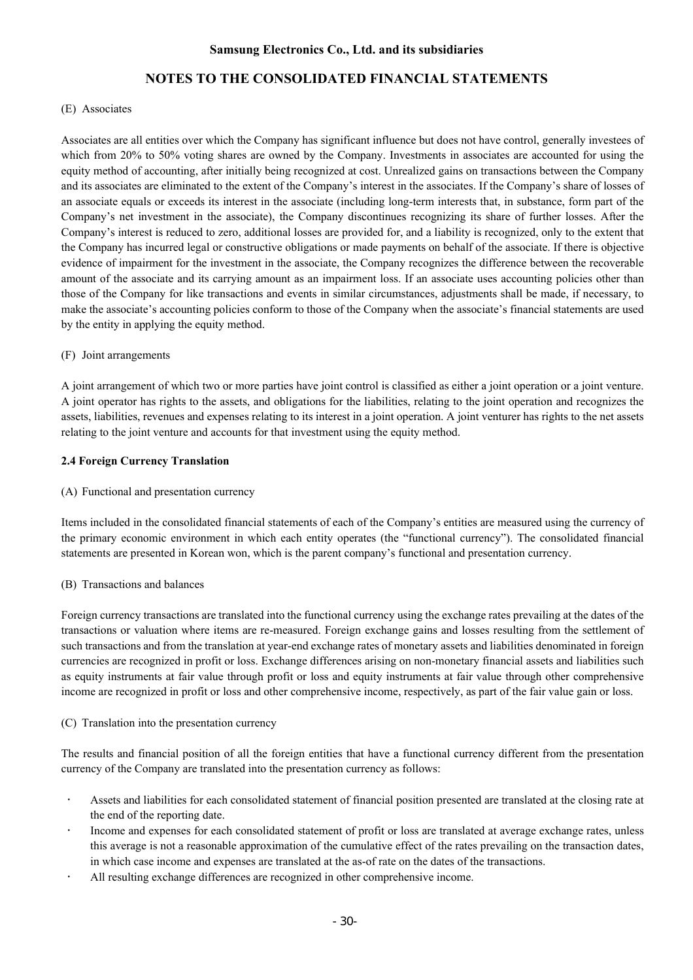# **NOTES TO THE CONSOLIDATED FINANCIAL STATEMENTS**

#### (E) Associates

Associates are all entities over which the Company has significant influence but does not have control, generally investees of which from 20% to 50% voting shares are owned by the Company. Investments in associates are accounted for using the equity method of accounting, after initially being recognized at cost. Unrealized gains on transactions between the Company and its associates are eliminated to the extent of the Company's interest in the associates. If the Company's share of losses of an associate equals or exceeds its interest in the associate (including long-term interests that, in substance, form part of the Company's net investment in the associate), the Company discontinues recognizing its share of further losses. After the Company's interest is reduced to zero, additional losses are provided for, and a liability is recognized, only to the extent that the Company has incurred legal or constructive obligations or made payments on behalf of the associate. If there is objective evidence of impairment for the investment in the associate, the Company recognizes the difference between the recoverable amount of the associate and its carrying amount as an impairment loss. If an associate uses accounting policies other than those of the Company for like transactions and events in similar circumstances, adjustments shall be made, if necessary, to make the associate's accounting policies conform to those of the Company when the associate's financial statements are used by the entity in applying the equity method.

#### (F) Joint arrangements

A joint arrangement of which two or more parties have joint control is classified as either a joint operation or a joint venture. A joint operator has rights to the assets, and obligations for the liabilities, relating to the joint operation and recognizes the assets, liabilities, revenues and expenses relating to its interest in a joint operation. A joint venturer has rights to the net assets relating to the joint venture and accounts for that investment using the equity method.

#### **2.4 Foreign Currency Translation**

(A) Functional and presentation currency

Items included in the consolidated financial statements of each of the Company's entities are measured using the currency of the primary economic environment in which each entity operates (the "functional currency"). The consolidated financial statements are presented in Korean won, which is the parent company's functional and presentation currency.

#### (B) Transactions and balances

Foreign currency transactions are translated into the functional currency using the exchange rates prevailing at the dates of the transactions or valuation where items are re-measured. Foreign exchange gains and losses resulting from the settlement of such transactions and from the translation at year-end exchange rates of monetary assets and liabilities denominated in foreign currencies are recognized in profit or loss. Exchange differences arising on non-monetary financial assets and liabilities such as equity instruments at fair value through profit or loss and equity instruments at fair value through other comprehensive income are recognized in profit or loss and other comprehensive income, respectively, as part of the fair value gain or loss.

#### (C) Translation into the presentation currency

The results and financial position of all the foreign entities that have a functional currency different from the presentation currency of the Company are translated into the presentation currency as follows:

- Assets and liabilities for each consolidated statement of financial position presented are translated at the closing rate at the end of the reporting date.
- Income and expenses for each consolidated statement of profit or loss are translated at average exchange rates, unless this average is not a reasonable approximation of the cumulative effect of the rates prevailing on the transaction dates, in which case income and expenses are translated at the as-of rate on the dates of the transactions.
- All resulting exchange differences are recognized in other comprehensive income.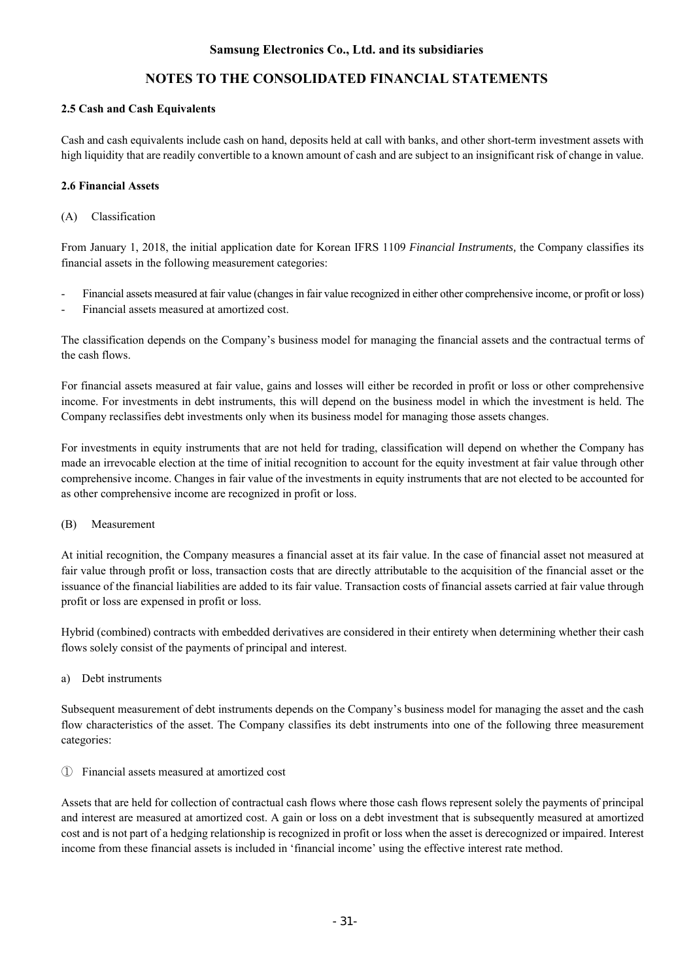# **NOTES TO THE CONSOLIDATED FINANCIAL STATEMENTS**

### **2.5 Cash and Cash Equivalents**

Cash and cash equivalents include cash on hand, deposits held at call with banks, and other short-term investment assets with high liquidity that are readily convertible to a known amount of cash and are subject to an insignificant risk of change in value.

### **2.6 Financial Assets**

(A) Classification

From January 1, 2018, the initial application date for Korean IFRS 1109 *Financial Instruments,* the Company classifies its financial assets in the following measurement categories:

- Financial assets measured at fair value (changes in fair value recognized in either other comprehensive income, or profit or loss)
- Financial assets measured at amortized cost.

The classification depends on the Company's business model for managing the financial assets and the contractual terms of the cash flows.

For financial assets measured at fair value, gains and losses will either be recorded in profit or loss or other comprehensive income. For investments in debt instruments, this will depend on the business model in which the investment is held. The Company reclassifies debt investments only when its business model for managing those assets changes.

For investments in equity instruments that are not held for trading, classification will depend on whether the Company has made an irrevocable election at the time of initial recognition to account for the equity investment at fair value through other comprehensive income. Changes in fair value of the investments in equity instruments that are not elected to be accounted for as other comprehensive income are recognized in profit or loss.

#### (B) Measurement

At initial recognition, the Company measures a financial asset at its fair value. In the case of financial asset not measured at fair value through profit or loss, transaction costs that are directly attributable to the acquisition of the financial asset or the issuance of the financial liabilities are added to its fair value. Transaction costs of financial assets carried at fair value through profit or loss are expensed in profit or loss.

Hybrid (combined) contracts with embedded derivatives are considered in their entirety when determining whether their cash flows solely consist of the payments of principal and interest.

a) Debt instruments

Subsequent measurement of debt instruments depends on the Company's business model for managing the asset and the cash flow characteristics of the asset. The Company classifies its debt instruments into one of the following three measurement categories:

① Financial assets measured at amortized cost

Assets that are held for collection of contractual cash flows where those cash flows represent solely the payments of principal and interest are measured at amortized cost. A gain or loss on a debt investment that is subsequently measured at amortized cost and is not part of a hedging relationship is recognized in profit or loss when the asset is derecognized or impaired. Interest income from these financial assets is included in 'financial income' using the effective interest rate method.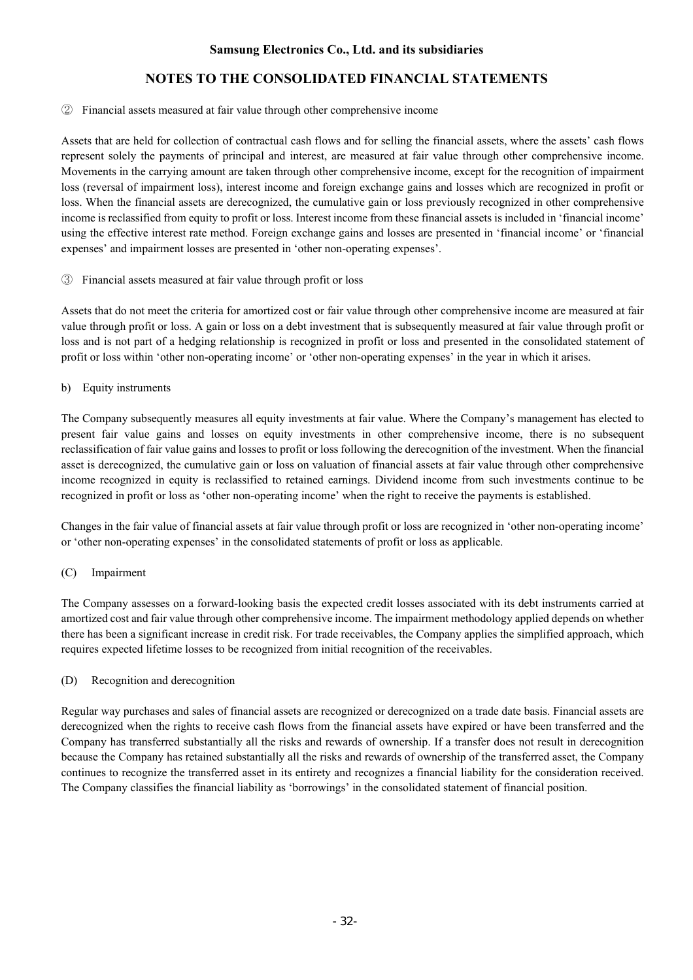### ② Financial assets measured at fair value through other comprehensive income

Assets that are held for collection of contractual cash flows and for selling the financial assets, where the assets' cash flows represent solely the payments of principal and interest, are measured at fair value through other comprehensive income. Movements in the carrying amount are taken through other comprehensive income, except for the recognition of impairment loss (reversal of impairment loss), interest income and foreign exchange gains and losses which are recognized in profit or loss. When the financial assets are derecognized, the cumulative gain or loss previously recognized in other comprehensive income is reclassified from equity to profit or loss. Interest income from these financial assets is included in 'financial income' using the effective interest rate method. Foreign exchange gains and losses are presented in 'financial income' or 'financial expenses' and impairment losses are presented in 'other non-operating expenses'.

#### ③ Financial assets measured at fair value through profit or loss

Assets that do not meet the criteria for amortized cost or fair value through other comprehensive income are measured at fair value through profit or loss. A gain or loss on a debt investment that is subsequently measured at fair value through profit or loss and is not part of a hedging relationship is recognized in profit or loss and presented in the consolidated statement of profit or loss within 'other non-operating income' or 'other non-operating expenses' in the year in which it arises.

### b) Equity instruments

The Company subsequently measures all equity investments at fair value. Where the Company's management has elected to present fair value gains and losses on equity investments in other comprehensive income, there is no subsequent reclassification of fair value gains and losses to profit or loss following the derecognition of the investment. When the financial asset is derecognized, the cumulative gain or loss on valuation of financial assets at fair value through other comprehensive income recognized in equity is reclassified to retained earnings. Dividend income from such investments continue to be recognized in profit or loss as 'other non-operating income' when the right to receive the payments is established.

Changes in the fair value of financial assets at fair value through profit or loss are recognized in 'other non-operating income' or 'other non-operating expenses' in the consolidated statements of profit or loss as applicable.

### (C) Impairment

The Company assesses on a forward-looking basis the expected credit losses associated with its debt instruments carried at amortized cost and fair value through other comprehensive income. The impairment methodology applied depends on whether there has been a significant increase in credit risk. For trade receivables, the Company applies the simplified approach, which requires expected lifetime losses to be recognized from initial recognition of the receivables.

#### (D) Recognition and derecognition

Regular way purchases and sales of financial assets are recognized or derecognized on a trade date basis. Financial assets are derecognized when the rights to receive cash flows from the financial assets have expired or have been transferred and the Company has transferred substantially all the risks and rewards of ownership. If a transfer does not result in derecognition because the Company has retained substantially all the risks and rewards of ownership of the transferred asset, the Company continues to recognize the transferred asset in its entirety and recognizes a financial liability for the consideration received. The Company classifies the financial liability as 'borrowings' in the consolidated statement of financial position.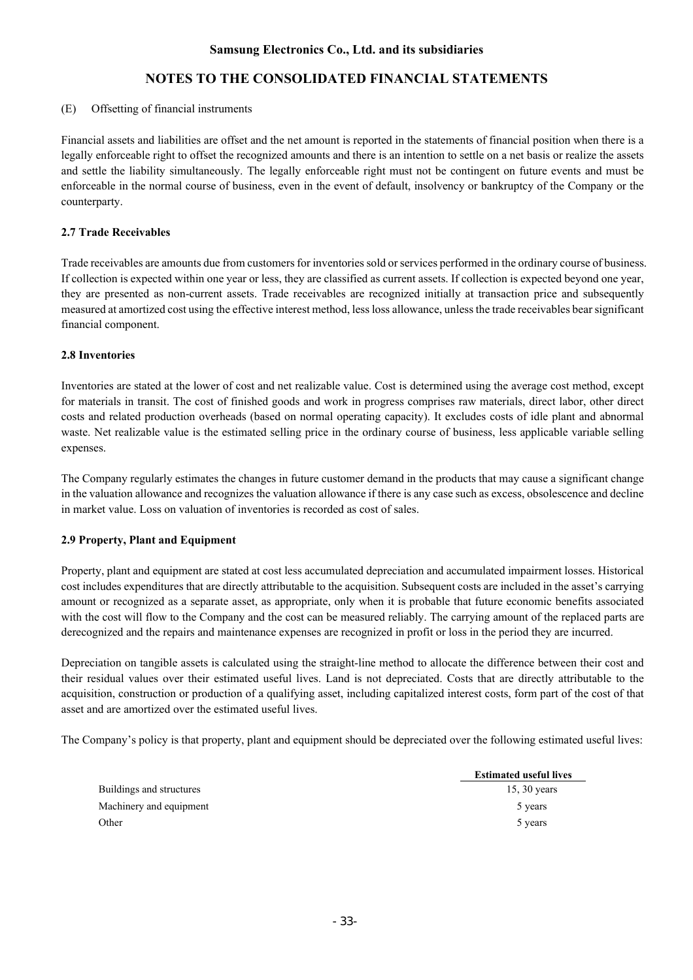#### (E) Offsetting of financial instruments

Financial assets and liabilities are offset and the net amount is reported in the statements of financial position when there is a legally enforceable right to offset the recognized amounts and there is an intention to settle on a net basis or realize the assets and settle the liability simultaneously. The legally enforceable right must not be contingent on future events and must be enforceable in the normal course of business, even in the event of default, insolvency or bankruptcy of the Company or the counterparty.

#### **2.7 Trade Receivables**

Trade receivables are amounts due from customers for inventories sold or services performed in the ordinary course of business. If collection is expected within one year or less, they are classified as current assets. If collection is expected beyond one year, they are presented as non-current assets. Trade receivables are recognized initially at transaction price and subsequently measured at amortized cost using the effective interest method, less loss allowance, unless the trade receivables bear significant financial component.

### **2.8 Inventories**

Inventories are stated at the lower of cost and net realizable value. Cost is determined using the average cost method, except for materials in transit. The cost of finished goods and work in progress comprises raw materials, direct labor, other direct costs and related production overheads (based on normal operating capacity). It excludes costs of idle plant and abnormal waste. Net realizable value is the estimated selling price in the ordinary course of business, less applicable variable selling expenses.

The Company regularly estimates the changes in future customer demand in the products that may cause a significant change in the valuation allowance and recognizes the valuation allowance if there is any case such as excess, obsolescence and decline in market value. Loss on valuation of inventories is recorded as cost of sales.

#### **2.9 Property, Plant and Equipment**

Property, plant and equipment are stated at cost less accumulated depreciation and accumulated impairment losses. Historical cost includes expenditures that are directly attributable to the acquisition. Subsequent costs are included in the asset's carrying amount or recognized as a separate asset, as appropriate, only when it is probable that future economic benefits associated with the cost will flow to the Company and the cost can be measured reliably. The carrying amount of the replaced parts are derecognized and the repairs and maintenance expenses are recognized in profit or loss in the period they are incurred.

Depreciation on tangible assets is calculated using the straight-line method to allocate the difference between their cost and their residual values over their estimated useful lives. Land is not depreciated. Costs that are directly attributable to the acquisition, construction or production of a qualifying asset, including capitalized interest costs, form part of the cost of that asset and are amortized over the estimated useful lives.

The Company's policy is that property, plant and equipment should be depreciated over the following estimated useful lives:

|                          | <b>Estimated useful lives</b> |
|--------------------------|-------------------------------|
| Buildings and structures | 15, $30$ years                |
| Machinery and equipment  | 5 years                       |
| Other                    | 5 years                       |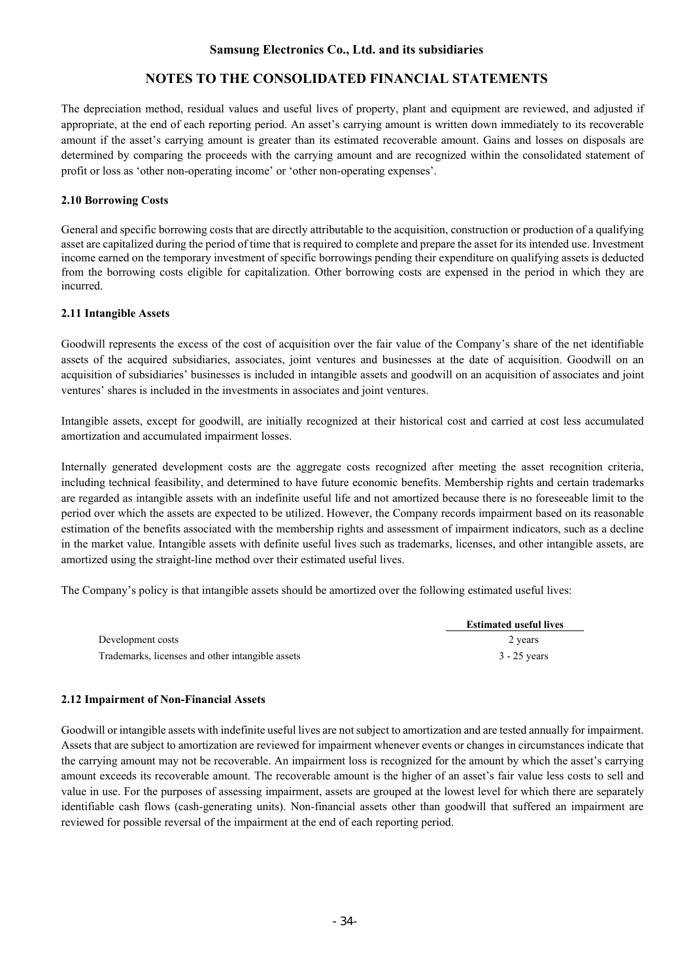# **NOTES TO THE CONSOLIDATED FINANCIAL STATEMENTS**

The depreciation method, residual values and useful lives of property, plant and equipment are reviewed, and adjusted if appropriate, at the end of each reporting period. An asset's carrying amount is written down immediately to its recoverable amount if the asset's carrying amount is greater than its estimated recoverable amount. Gains and losses on disposals are determined by comparing the proceeds with the carrying amount and are recognized within the consolidated statement of profit or loss as 'other non-operating income' or 'other non-operating expenses'.

### **2.10 Borrowing Costs**

General and specific borrowing costs that are directly attributable to the acquisition, construction or production of a qualifying asset are capitalized during the period of time that is required to complete and prepare the asset for its intended use. Investment income earned on the temporary investment of specific borrowings pending their expenditure on qualifying assets is deducted from the borrowing costs eligible for capitalization. Other borrowing costs are expensed in the period in which they are incurred.

#### **2.11 Intangible Assets**

Goodwill represents the excess of the cost of acquisition over the fair value of the Company's share of the net identifiable assets of the acquired subsidiaries, associates, joint ventures and businesses at the date of acquisition. Goodwill on an acquisition of subsidiaries' businesses is included in intangible assets and goodwill on an acquisition of associates and joint ventures' shares is included in the investments in associates and joint ventures.

Intangible assets, except for goodwill, are initially recognized at their historical cost and carried at cost less accumulated amortization and accumulated impairment losses.

Internally generated development costs are the aggregate costs recognized after meeting the asset recognition criteria, including technical feasibility, and determined to have future economic benefits. Membership rights and certain trademarks are regarded as intangible assets with an indefinite useful life and not amortized because there is no foreseeable limit to the period over which the assets are expected to be utilized. However, the Company records impairment based on its reasonable estimation of the benefits associated with the membership rights and assessment of impairment indicators, such as a decline in the market value. Intangible assets with definite useful lives such as trademarks, licenses, and other intangible assets, are amortized using the straight-line method over their estimated useful lives.

The Company's policy is that intangible assets should be amortized over the following estimated useful lives:

|                                                  | <b>Estimated useful lives</b> |
|--------------------------------------------------|-------------------------------|
| Development costs                                | 2 years                       |
| Trademarks, licenses and other intangible assets | $3 - 25$ years                |

#### **2.12 Impairment of Non-Financial Assets**

Goodwill or intangible assets with indefinite useful lives are not subject to amortization and are tested annually for impairment. Assets that are subject to amortization are reviewed for impairment whenever events or changes in circumstances indicate that the carrying amount may not be recoverable. An impairment loss is recognized for the amount by which the asset's carrying amount exceeds its recoverable amount. The recoverable amount is the higher of an asset's fair value less costs to sell and value in use. For the purposes of assessing impairment, assets are grouped at the lowest level for which there are separately identifiable cash flows (cash-generating units). Non-financial assets other than goodwill that suffered an impairment are reviewed for possible reversal of the impairment at the end of each reporting period.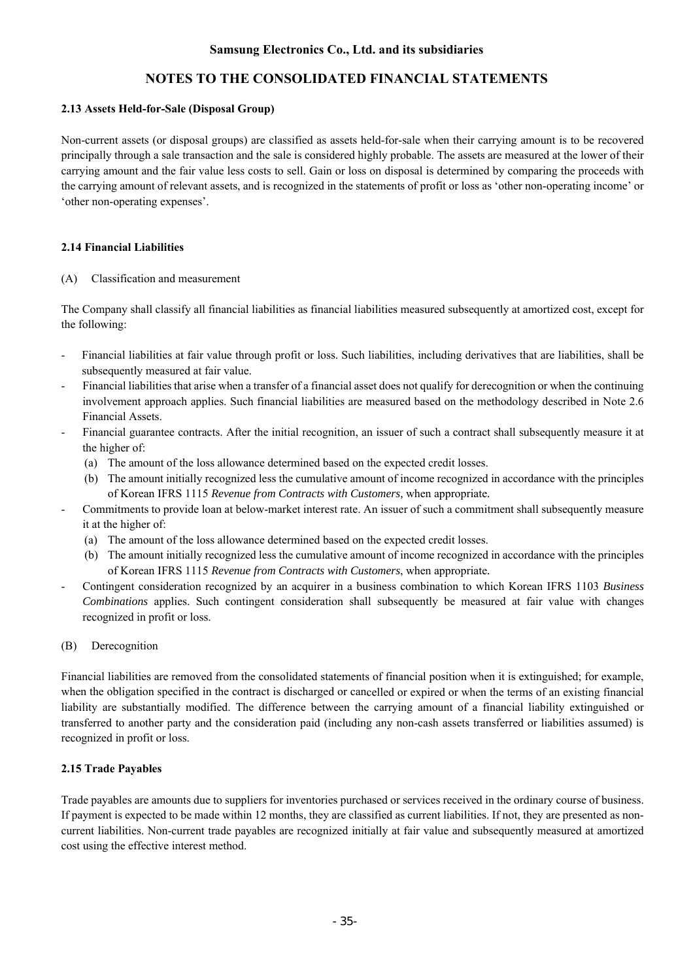# **NOTES TO THE CONSOLIDATED FINANCIAL STATEMENTS**

### **2.13 Assets Held-for-Sale (Disposal Group)**

Non-current assets (or disposal groups) are classified as assets held-for-sale when their carrying amount is to be recovered principally through a sale transaction and the sale is considered highly probable. The assets are measured at the lower of their carrying amount and the fair value less costs to sell. Gain or loss on disposal is determined by comparing the proceeds with the carrying amount of relevant assets, and is recognized in the statements of profit or loss as 'other non-operating income' or 'other non-operating expenses'.

### **2.14 Financial Liabilities**

#### (A) Classification and measurement

The Company shall classify all financial liabilities as financial liabilities measured subsequently at amortized cost, except for the following:

- Financial liabilities at fair value through profit or loss. Such liabilities, including derivatives that are liabilities, shall be subsequently measured at fair value.
- Financial liabilities that arise when a transfer of a financial asset does not qualify for derecognition or when the continuing involvement approach applies. Such financial liabilities are measured based on the methodology described in Note 2.6 Financial Assets.
- Financial guarantee contracts. After the initial recognition, an issuer of such a contract shall subsequently measure it at the higher of:
	- (a) The amount of the loss allowance determined based on the expected credit losses.
	- (b) The amount initially recognized less the cumulative amount of income recognized in accordance with the principles of Korean IFRS 1115 *Revenue from Contracts with Customers,* when appropriate*.*
- Commitments to provide loan at below-market interest rate. An issuer of such a commitment shall subsequently measure it at the higher of:
	- (a) The amount of the loss allowance determined based on the expected credit losses.
	- (b) The amount initially recognized less the cumulative amount of income recognized in accordance with the principles of Korean IFRS 1115 *Revenue from Contracts with Customers*, when appropriate*.*
- Contingent consideration recognized by an acquirer in a business combination to which Korean IFRS 1103 *Business Combinations* applies. Such contingent consideration shall subsequently be measured at fair value with changes recognized in profit or loss.

#### (B) Derecognition

Financial liabilities are removed from the consolidated statements of financial position when it is extinguished; for example, when the obligation specified in the contract is discharged or cancelled or expired or when the terms of an existing financial liability are substantially modified. The difference between the carrying amount of a financial liability extinguished or transferred to another party and the consideration paid (including any non-cash assets transferred or liabilities assumed) is recognized in profit or loss.

#### **2.15 Trade Payables**

Trade payables are amounts due to suppliers for inventories purchased or services received in the ordinary course of business. If payment is expected to be made within 12 months, they are classified as current liabilities. If not, they are presented as noncurrent liabilities. Non-current trade payables are recognized initially at fair value and subsequently measured at amortized cost using the effective interest method.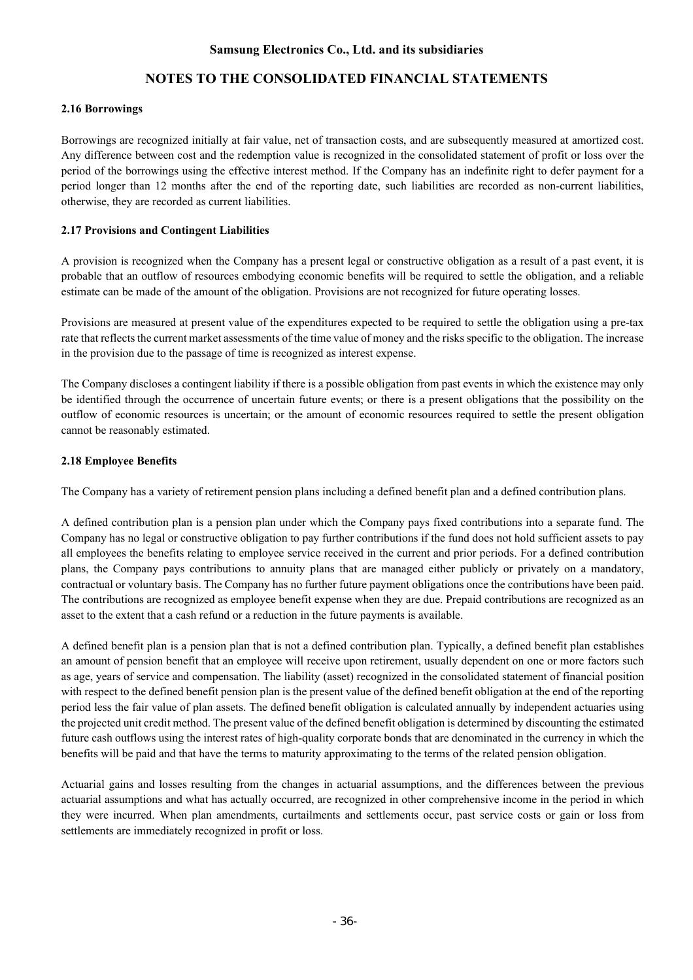# **NOTES TO THE CONSOLIDATED FINANCIAL STATEMENTS**

### **2.16 Borrowings**

Borrowings are recognized initially at fair value, net of transaction costs, and are subsequently measured at amortized cost. Any difference between cost and the redemption value is recognized in the consolidated statement of profit or loss over the period of the borrowings using the effective interest method. If the Company has an indefinite right to defer payment for a period longer than 12 months after the end of the reporting date, such liabilities are recorded as non-current liabilities, otherwise, they are recorded as current liabilities.

### **2.17 Provisions and Contingent Liabilities**

A provision is recognized when the Company has a present legal or constructive obligation as a result of a past event, it is probable that an outflow of resources embodying economic benefits will be required to settle the obligation, and a reliable estimate can be made of the amount of the obligation. Provisions are not recognized for future operating losses.

Provisions are measured at present value of the expenditures expected to be required to settle the obligation using a pre-tax rate that reflects the current market assessments of the time value of money and the risks specific to the obligation. The increase in the provision due to the passage of time is recognized as interest expense.

The Company discloses a contingent liability if there is a possible obligation from past events in which the existence may only be identified through the occurrence of uncertain future events; or there is a present obligations that the possibility on the outflow of economic resources is uncertain; or the amount of economic resources required to settle the present obligation cannot be reasonably estimated.

### **2.18 Employee Benefits**

The Company has a variety of retirement pension plans including a defined benefit plan and a defined contribution plans.

A defined contribution plan is a pension plan under which the Company pays fixed contributions into a separate fund. The Company has no legal or constructive obligation to pay further contributions if the fund does not hold sufficient assets to pay all employees the benefits relating to employee service received in the current and prior periods. For a defined contribution plans, the Company pays contributions to annuity plans that are managed either publicly or privately on a mandatory, contractual or voluntary basis. The Company has no further future payment obligations once the contributions have been paid. The contributions are recognized as employee benefit expense when they are due. Prepaid contributions are recognized as an asset to the extent that a cash refund or a reduction in the future payments is available.

A defined benefit plan is a pension plan that is not a defined contribution plan. Typically, a defined benefit plan establishes an amount of pension benefit that an employee will receive upon retirement, usually dependent on one or more factors such as age, years of service and compensation. The liability (asset) recognized in the consolidated statement of financial position with respect to the defined benefit pension plan is the present value of the defined benefit obligation at the end of the reporting period less the fair value of plan assets. The defined benefit obligation is calculated annually by independent actuaries using the projected unit credit method. The present value of the defined benefit obligation is determined by discounting the estimated future cash outflows using the interest rates of high-quality corporate bonds that are denominated in the currency in which the benefits will be paid and that have the terms to maturity approximating to the terms of the related pension obligation.

Actuarial gains and losses resulting from the changes in actuarial assumptions, and the differences between the previous actuarial assumptions and what has actually occurred, are recognized in other comprehensive income in the period in which they were incurred. When plan amendments, curtailments and settlements occur, past service costs or gain or loss from settlements are immediately recognized in profit or loss.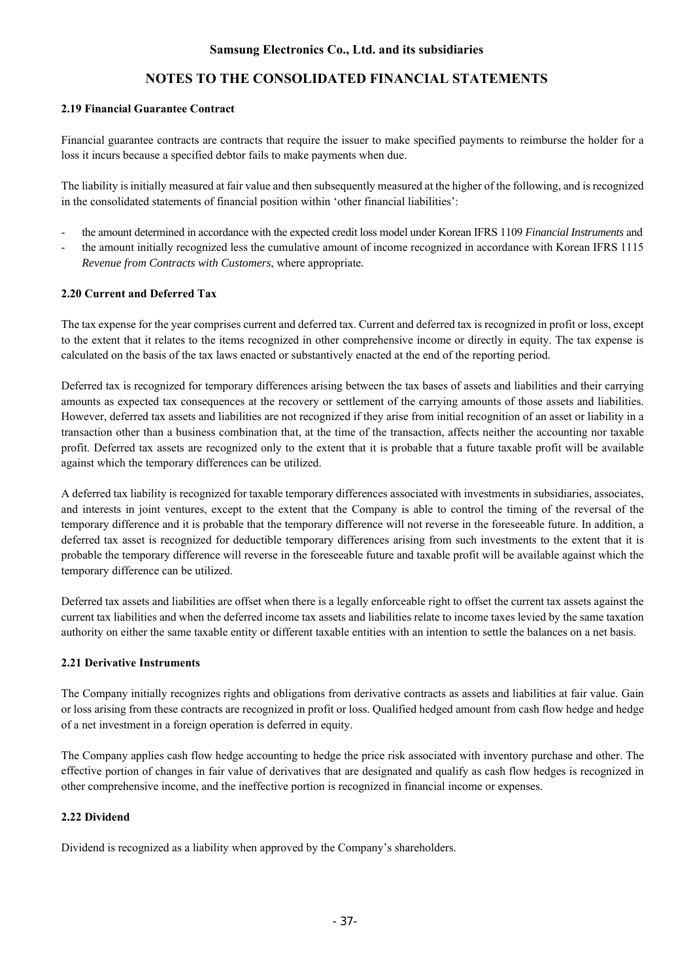### **2.19 Financial Guarantee Contract**

Financial guarantee contracts are contracts that require the issuer to make specified payments to reimburse the holder for a loss it incurs because a specified debtor fails to make payments when due.

The liability is initially measured at fair value and then subsequently measured at the higher of the following, and is recognized in the consolidated statements of financial position within 'other financial liabilities':

- the amount determined in accordance with the expected credit loss model under Korean IFRS 1109 *Financial Instruments* and
- the amount initially recognized less the cumulative amount of income recognized in accordance with Korean IFRS 1115 *Revenue from Contracts with Customers*, where appropriate*.*

### **2.20 Current and Deferred Tax**

The tax expense for the year comprises current and deferred tax. Current and deferred tax is recognized in profit or loss, except to the extent that it relates to the items recognized in other comprehensive income or directly in equity. The tax expense is calculated on the basis of the tax laws enacted or substantively enacted at the end of the reporting period.

Deferred tax is recognized for temporary differences arising between the tax bases of assets and liabilities and their carrying amounts as expected tax consequences at the recovery or settlement of the carrying amounts of those assets and liabilities. However, deferred tax assets and liabilities are not recognized if they arise from initial recognition of an asset or liability in a transaction other than a business combination that, at the time of the transaction, affects neither the accounting nor taxable profit. Deferred tax assets are recognized only to the extent that it is probable that a future taxable profit will be available against which the temporary differences can be utilized.

A deferred tax liability is recognized for taxable temporary differences associated with investments in subsidiaries, associates, and interests in joint ventures, except to the extent that the Company is able to control the timing of the reversal of the temporary difference and it is probable that the temporary difference will not reverse in the foreseeable future. In addition, a deferred tax asset is recognized for deductible temporary differences arising from such investments to the extent that it is probable the temporary difference will reverse in the foreseeable future and taxable profit will be available against which the temporary difference can be utilized.

Deferred tax assets and liabilities are offset when there is a legally enforceable right to offset the current tax assets against the current tax liabilities and when the deferred income tax assets and liabilities relate to income taxes levied by the same taxation authority on either the same taxable entity or different taxable entities with an intention to settle the balances on a net basis.

### **2.21 Derivative Instruments**

The Company initially recognizes rights and obligations from derivative contracts as assets and liabilities at fair value. Gain or loss arising from these contracts are recognized in profit or loss. Qualified hedged amount from cash flow hedge and hedge of a net investment in a foreign operation is deferred in equity.

The Company applies cash flow hedge accounting to hedge the price risk associated with inventory purchase and other. The effective portion of changes in fair value of derivatives that are designated and qualify as cash flow hedges is recognized in other comprehensive income, and the ineffective portion is recognized in financial income or expenses.

### **2.22 Dividend**

Dividend is recognized as a liability when approved by the Company's shareholders.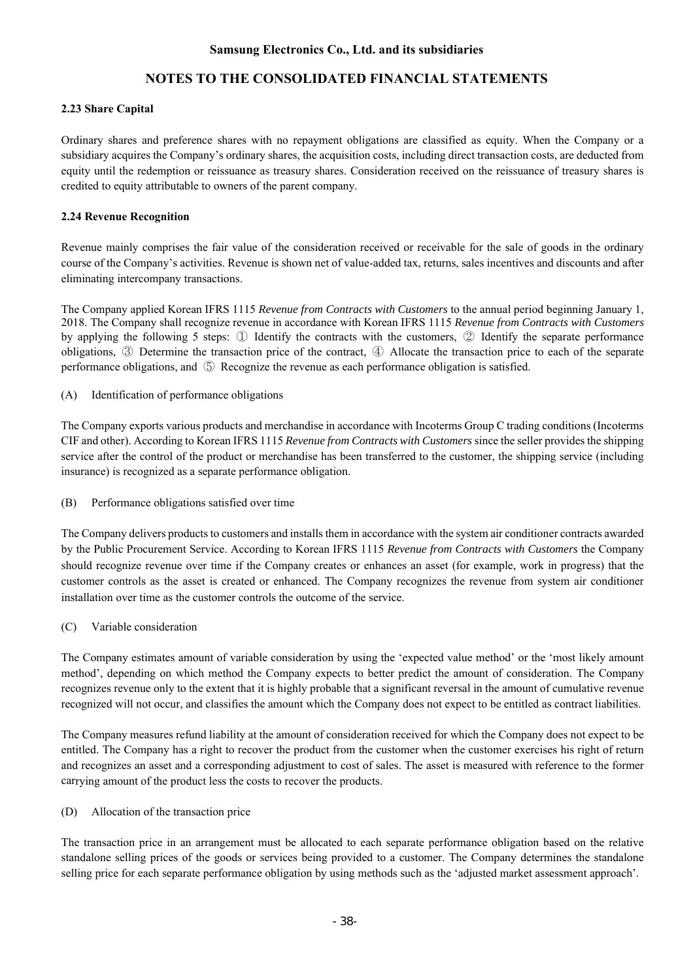# **NOTES TO THE CONSOLIDATED FINANCIAL STATEMENTS**

### **2.23 Share Capital**

Ordinary shares and preference shares with no repayment obligations are classified as equity. When the Company or a subsidiary acquires the Company's ordinary shares, the acquisition costs, including direct transaction costs, are deducted from equity until the redemption or reissuance as treasury shares. Consideration received on the reissuance of treasury shares is credited to equity attributable to owners of the parent company.

### **2.24 Revenue Recognition**

Revenue mainly comprises the fair value of the consideration received or receivable for the sale of goods in the ordinary course of the Company's activities. Revenue is shown net of value-added tax, returns, sales incentives and discounts and after eliminating intercompany transactions.

The Company applied Korean IFRS 1115 *Revenue from Contracts with Customers* to the annual period beginning January 1, 2018. The Company shall recognize revenue in accordance with Korean IFRS 1115 *Revenue from Contracts with Customers* by applying the following 5 steps: ① Identify the contracts with the customers, ② Identify the separate performance obligations, ③ Determine the transaction price of the contract, ④ Allocate the transaction price to each of the separate performance obligations, and ⑤ Recognize the revenue as each performance obligation is satisfied.

(A) Identification of performance obligations

The Company exports various products and merchandise in accordance with Incoterms Group C trading conditions (Incoterms CIF and other). According to Korean IFRS 1115 *Revenue from Contracts with Customers* since the seller provides the shipping service after the control of the product or merchandise has been transferred to the customer, the shipping service (including insurance) is recognized as a separate performance obligation.

(B) Performance obligations satisfied over time

The Company delivers products to customers and installs them in accordance with the system air conditioner contracts awarded by the Public Procurement Service. According to Korean IFRS 1115 *Revenue from Contracts with Customers* the Company should recognize revenue over time if the Company creates or enhances an asset (for example, work in progress) that the customer controls as the asset is created or enhanced. The Company recognizes the revenue from system air conditioner installation over time as the customer controls the outcome of the service.

(C) Variable consideration

The Company estimates amount of variable consideration by using the 'expected value method' or the 'most likely amount method', depending on which method the Company expects to better predict the amount of consideration. The Company recognizes revenue only to the extent that it is highly probable that a significant reversal in the amount of cumulative revenue recognized will not occur, and classifies the amount which the Company does not expect to be entitled as contract liabilities.

The Company measures refund liability at the amount of consideration received for which the Company does not expect to be entitled. The Company has a right to recover the product from the customer when the customer exercises his right of return and recognizes an asset and a corresponding adjustment to cost of sales. The asset is measured with reference to the former carrying amount of the product less the costs to recover the products.

(D) Allocation of the transaction price

The transaction price in an arrangement must be allocated to each separate performance obligation based on the relative standalone selling prices of the goods or services being provided to a customer. The Company determines the standalone selling price for each separate performance obligation by using methods such as the 'adjusted market assessment approach'.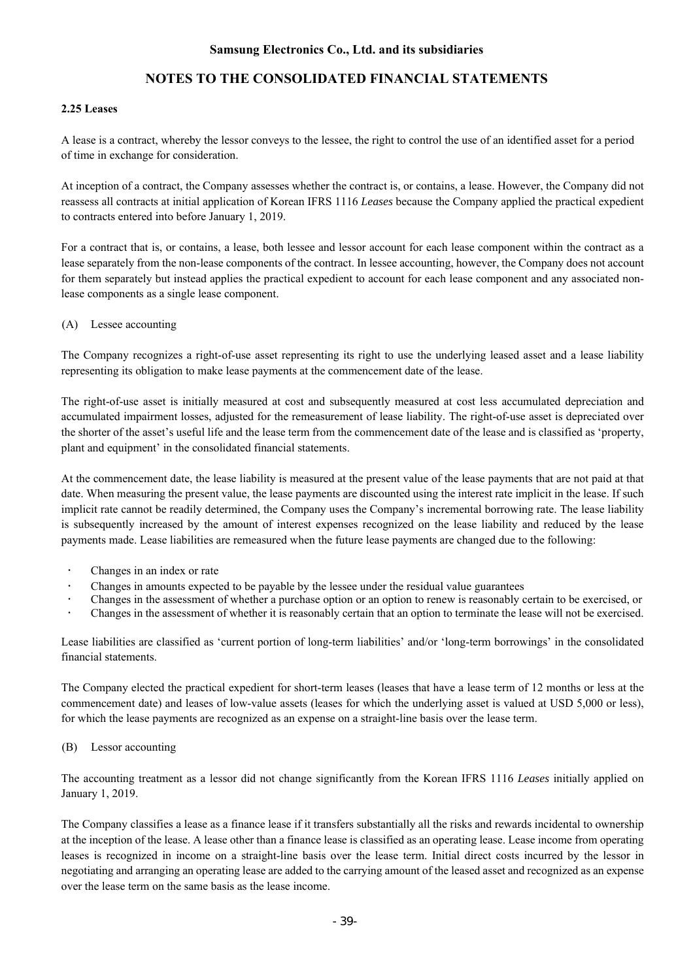# **NOTES TO THE CONSOLIDATED FINANCIAL STATEMENTS**

#### **2.25 Leases**

A lease is a contract, whereby the lessor conveys to the lessee, the right to control the use of an identified asset for a period of time in exchange for consideration.

At inception of a contract, the Company assesses whether the contract is, or contains, a lease. However, the Company did not reassess all contracts at initial application of Korean IFRS 1116 *Leases* because the Company applied the practical expedient to contracts entered into before January 1, 2019.

For a contract that is, or contains, a lease, both lessee and lessor account for each lease component within the contract as a lease separately from the non-lease components of the contract. In lessee accounting, however, the Company does not account for them separately but instead applies the practical expedient to account for each lease component and any associated nonlease components as a single lease component.

#### (A) Lessee accounting

The Company recognizes a right-of-use asset representing its right to use the underlying leased asset and a lease liability representing its obligation to make lease payments at the commencement date of the lease.

The right-of-use asset is initially measured at cost and subsequently measured at cost less accumulated depreciation and accumulated impairment losses, adjusted for the remeasurement of lease liability. The right-of-use asset is depreciated over the shorter of the asset's useful life and the lease term from the commencement date of the lease and is classified as 'property, plant and equipment' in the consolidated financial statements.

At the commencement date, the lease liability is measured at the present value of the lease payments that are not paid at that date. When measuring the present value, the lease payments are discounted using the interest rate implicit in the lease. If such implicit rate cannot be readily determined, the Company uses the Company's incremental borrowing rate. The lease liability is subsequently increased by the amount of interest expenses recognized on the lease liability and reduced by the lease payments made. Lease liabilities are remeasured when the future lease payments are changed due to the following:

- Changes in an index or rate
- Changes in amounts expected to be payable by the lessee under the residual value guarantees
- Changes in the assessment of whether a purchase option or an option to renew is reasonably certain to be exercised, or
- Changes in the assessment of whether it is reasonably certain that an option to terminate the lease will not be exercised.

Lease liabilities are classified as 'current portion of long-term liabilities' and/or 'long-term borrowings' in the consolidated financial statements.

The Company elected the practical expedient for short-term leases (leases that have a lease term of 12 months or less at the commencement date) and leases of low-value assets (leases for which the underlying asset is valued at USD 5,000 or less), for which the lease payments are recognized as an expense on a straight-line basis over the lease term.

#### (B) Lessor accounting

The accounting treatment as a lessor did not change significantly from the Korean IFRS 1116 *Leases* initially applied on January 1, 2019.

The Company classifies a lease as a finance lease if it transfers substantially all the risks and rewards incidental to ownership at the inception of the lease. A lease other than a finance lease is classified as an operating lease. Lease income from operating leases is recognized in income on a straight-line basis over the lease term. Initial direct costs incurred by the lessor in negotiating and arranging an operating lease are added to the carrying amount of the leased asset and recognized as an expense over the lease term on the same basis as the lease income.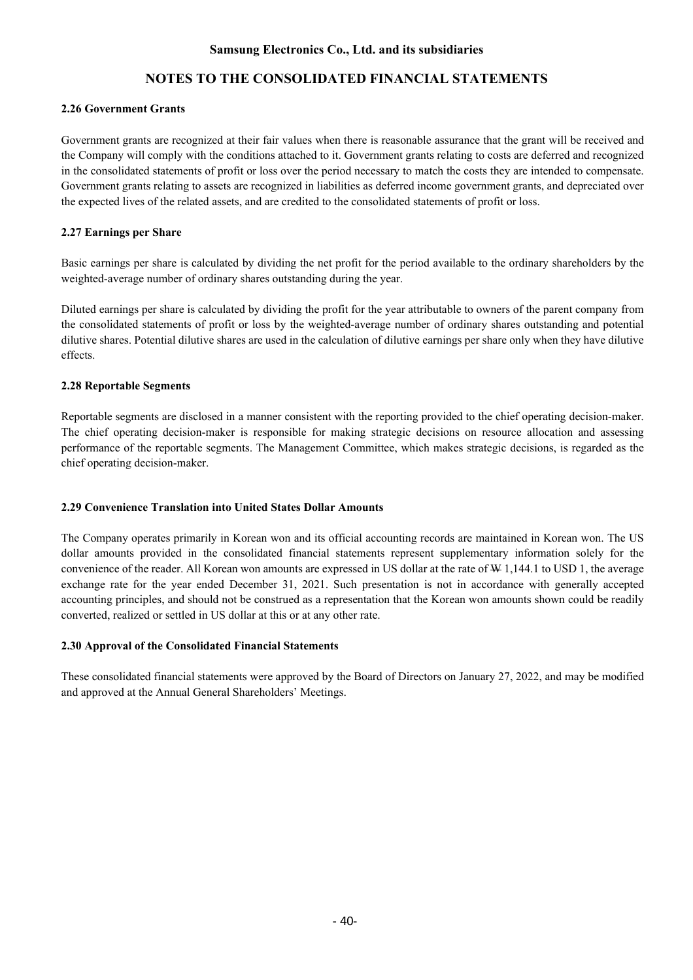# **NOTES TO THE CONSOLIDATED FINANCIAL STATEMENTS**

### **2.26 Government Grants**

Government grants are recognized at their fair values when there is reasonable assurance that the grant will be received and the Company will comply with the conditions attached to it. Government grants relating to costs are deferred and recognized in the consolidated statements of profit or loss over the period necessary to match the costs they are intended to compensate. Government grants relating to assets are recognized in liabilities as deferred income government grants, and depreciated over the expected lives of the related assets, and are credited to the consolidated statements of profit or loss.

### **2.27 Earnings per Share**

Basic earnings per share is calculated by dividing the net profit for the period available to the ordinary shareholders by the weighted-average number of ordinary shares outstanding during the year.

Diluted earnings per share is calculated by dividing the profit for the year attributable to owners of the parent company from the consolidated statements of profit or loss by the weighted-average number of ordinary shares outstanding and potential dilutive shares. Potential dilutive shares are used in the calculation of dilutive earnings per share only when they have dilutive effects.

### **2.28 Reportable Segments**

Reportable segments are disclosed in a manner consistent with the reporting provided to the chief operating decision-maker. The chief operating decision-maker is responsible for making strategic decisions on resource allocation and assessing performance of the reportable segments. The Management Committee, which makes strategic decisions, is regarded as the chief operating decision-maker.

#### **2.29 Convenience Translation into United States Dollar Amounts**

The Company operates primarily in Korean won and its official accounting records are maintained in Korean won. The US dollar amounts provided in the consolidated financial statements represent supplementary information solely for the convenience of the reader. All Korean won amounts are expressed in US dollar at the rate of W 1,144.1 to USD 1, the average exchange rate for the year ended December 31, 2021. Such presentation is not in accordance with generally accepted accounting principles, and should not be construed as a representation that the Korean won amounts shown could be readily converted, realized or settled in US dollar at this or at any other rate.

#### **2.30 Approval of the Consolidated Financial Statements**

These consolidated financial statements were approved by the Board of Directors on January 27, 2022, and may be modified and approved at the Annual General Shareholders' Meetings.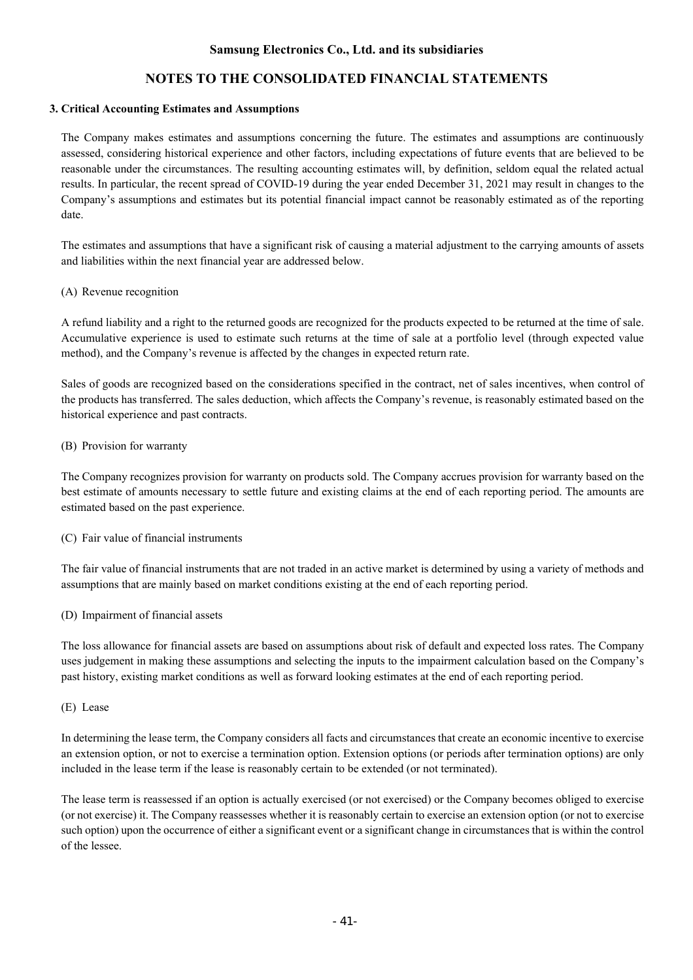### **3. Critical Accounting Estimates and Assumptions**

The Company makes estimates and assumptions concerning the future. The estimates and assumptions are continuously assessed, considering historical experience and other factors, including expectations of future events that are believed to be reasonable under the circumstances. The resulting accounting estimates will, by definition, seldom equal the related actual results. In particular, the recent spread of COVID-19 during the year ended December 31, 2021 may result in changes to the Company's assumptions and estimates but its potential financial impact cannot be reasonably estimated as of the reporting date.

The estimates and assumptions that have a significant risk of causing a material adjustment to the carrying amounts of assets and liabilities within the next financial year are addressed below.

### (A) Revenue recognition

A refund liability and a right to the returned goods are recognized for the products expected to be returned at the time of sale. Accumulative experience is used to estimate such returns at the time of sale at a portfolio level (through expected value method), and the Company's revenue is affected by the changes in expected return rate.

Sales of goods are recognized based on the considerations specified in the contract, net of sales incentives, when control of the products has transferred. The sales deduction, which affects the Company's revenue, is reasonably estimated based on the historical experience and past contracts.

### (B) Provision for warranty

The Company recognizes provision for warranty on products sold. The Company accrues provision for warranty based on the best estimate of amounts necessary to settle future and existing claims at the end of each reporting period. The amounts are estimated based on the past experience.

### (C) Fair value of financial instruments

The fair value of financial instruments that are not traded in an active market is determined by using a variety of methods and assumptions that are mainly based on market conditions existing at the end of each reporting period.

### (D) Impairment of financial assets

The loss allowance for financial assets are based on assumptions about risk of default and expected loss rates. The Company uses judgement in making these assumptions and selecting the inputs to the impairment calculation based on the Company's past history, existing market conditions as well as forward looking estimates at the end of each reporting period.

(E) Lease

In determining the lease term, the Company considers all facts and circumstances that create an economic incentive to exercise an extension option, or not to exercise a termination option. Extension options (or periods after termination options) are only included in the lease term if the lease is reasonably certain to be extended (or not terminated).

The lease term is reassessed if an option is actually exercised (or not exercised) or the Company becomes obliged to exercise (or not exercise) it. The Company reassesses whether it is reasonably certain to exercise an extension option (or not to exercise such option) upon the occurrence of either a significant event or a significant change in circumstances that is within the control of the lessee.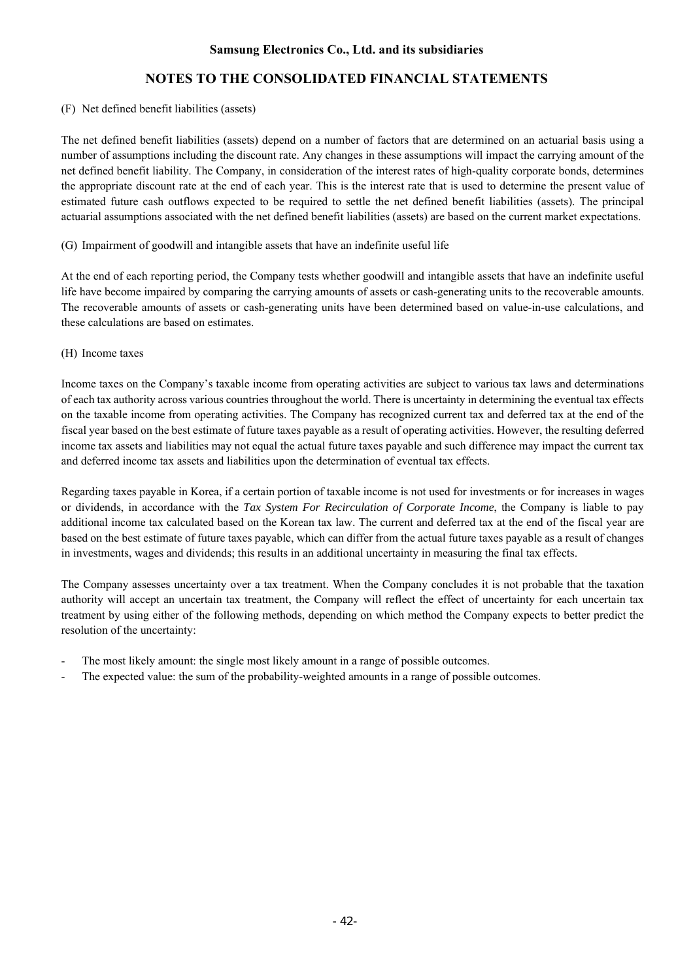### (F) Net defined benefit liabilities (assets)

The net defined benefit liabilities (assets) depend on a number of factors that are determined on an actuarial basis using a number of assumptions including the discount rate. Any changes in these assumptions will impact the carrying amount of the net defined benefit liability. The Company, in consideration of the interest rates of high-quality corporate bonds, determines the appropriate discount rate at the end of each year. This is the interest rate that is used to determine the present value of estimated future cash outflows expected to be required to settle the net defined benefit liabilities (assets). The principal actuarial assumptions associated with the net defined benefit liabilities (assets) are based on the current market expectations.

### (G) Impairment of goodwill and intangible assets that have an indefinite useful life

At the end of each reporting period, the Company tests whether goodwill and intangible assets that have an indefinite useful life have become impaired by comparing the carrying amounts of assets or cash-generating units to the recoverable amounts. The recoverable amounts of assets or cash-generating units have been determined based on value-in-use calculations, and these calculations are based on estimates.

(H) Income taxes

Income taxes on the Company's taxable income from operating activities are subject to various tax laws and determinations of each tax authority across various countries throughout the world. There is uncertainty in determining the eventual tax effects on the taxable income from operating activities. The Company has recognized current tax and deferred tax at the end of the fiscal year based on the best estimate of future taxes payable as a result of operating activities. However, the resulting deferred income tax assets and liabilities may not equal the actual future taxes payable and such difference may impact the current tax and deferred income tax assets and liabilities upon the determination of eventual tax effects.

Regarding taxes payable in Korea, if a certain portion of taxable income is not used for investments or for increases in wages or dividends, in accordance with the *Tax System For Recirculation of Corporate Income*, the Company is liable to pay additional income tax calculated based on the Korean tax law. The current and deferred tax at the end of the fiscal year are based on the best estimate of future taxes payable, which can differ from the actual future taxes payable as a result of changes in investments, wages and dividends; this results in an additional uncertainty in measuring the final tax effects.

The Company assesses uncertainty over a tax treatment. When the Company concludes it is not probable that the taxation authority will accept an uncertain tax treatment, the Company will reflect the effect of uncertainty for each uncertain tax treatment by using either of the following methods, depending on which method the Company expects to better predict the resolution of the uncertainty:

- The most likely amount: the single most likely amount in a range of possible outcomes.
- The expected value: the sum of the probability-weighted amounts in a range of possible outcomes.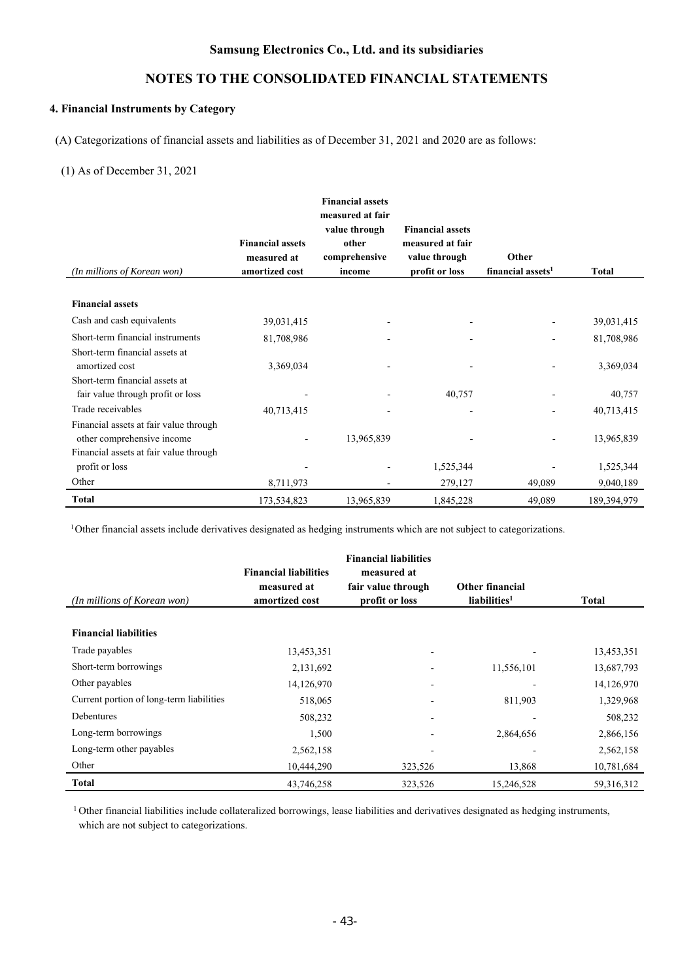# **NOTES TO THE CONSOLIDATED FINANCIAL STATEMENTS**

### **4. Financial Instruments by Category**

(A) Categorizations of financial assets and liabilities as of December 31, 2021 and 2020 are as follows:

#### (1) As of December 31, 2021

|                                        |                         | <b>Financial assets</b><br>measured at fair<br>value through | <b>Financial assets</b> |                               |             |
|----------------------------------------|-------------------------|--------------------------------------------------------------|-------------------------|-------------------------------|-------------|
|                                        | <b>Financial assets</b> | other                                                        | measured at fair        |                               |             |
|                                        | measured at             | comprehensive                                                | value through           | Other                         |             |
| (In millions of Korean won)            | amortized cost          | income                                                       | profit or loss          | financial assets <sup>1</sup> | Total       |
|                                        |                         |                                                              |                         |                               |             |
| <b>Financial assets</b>                |                         |                                                              |                         |                               |             |
| Cash and cash equivalents              | 39,031,415              |                                                              |                         |                               | 39,031,415  |
| Short-term financial instruments       | 81,708,986              |                                                              |                         |                               | 81,708,986  |
| Short-term financial assets at         |                         |                                                              |                         |                               |             |
| amortized cost                         | 3,369,034               |                                                              |                         |                               | 3,369,034   |
| Short-term financial assets at         |                         |                                                              |                         |                               |             |
| fair value through profit or loss      |                         |                                                              | 40,757                  |                               | 40,757      |
| Trade receivables                      | 40,713,415              |                                                              |                         |                               | 40,713,415  |
| Financial assets at fair value through |                         |                                                              |                         |                               |             |
| other comprehensive income             |                         | 13,965,839                                                   |                         |                               | 13,965,839  |
| Financial assets at fair value through |                         |                                                              |                         |                               |             |
| profit or loss                         |                         |                                                              | 1,525,344               |                               | 1,525,344   |
| Other                                  | 8,711,973               |                                                              | 279,127                 | 49,089                        | 9,040,189   |
| <b>Total</b>                           | 173,534,823             | 13,965,839                                                   | 1,845,228               | 49,089                        | 189,394,979 |

<sup>1</sup>Other financial assets include derivatives designated as hedging instruments which are not subject to categorizations.

| (In millions of Korean won)              | <b>Financial liabilities</b><br>measured at<br>amortized cost | <b>Financial liabilities</b><br>measured at<br>fair value through<br>profit or loss | Other financial<br>liabilities <sup>1</sup> | <b>Total</b> |
|------------------------------------------|---------------------------------------------------------------|-------------------------------------------------------------------------------------|---------------------------------------------|--------------|
| <b>Financial liabilities</b>             |                                                               |                                                                                     |                                             |              |
| Trade payables                           | 13,453,351                                                    |                                                                                     |                                             | 13,453,351   |
| Short-term borrowings                    | 2,131,692                                                     |                                                                                     | 11,556,101                                  | 13,687,793   |
| Other payables                           | 14,126,970                                                    |                                                                                     | $\overline{\phantom{0}}$                    | 14,126,970   |
| Current portion of long-term liabilities | 518,065                                                       |                                                                                     | 811,903                                     | 1,329,968    |
| Debentures                               | 508,232                                                       |                                                                                     |                                             | 508,232      |
| Long-term borrowings                     | 1,500                                                         |                                                                                     | 2,864,656                                   | 2,866,156    |
| Long-term other payables                 | 2,562,158                                                     |                                                                                     |                                             | 2,562,158    |
| Other                                    | 10,444,290                                                    | 323,526                                                                             | 13,868                                      | 10,781,684   |
| <b>Total</b>                             | 43,746,258                                                    | 323,526                                                                             | 15,246,528                                  | 59,316,312   |

<sup>1</sup> Other financial liabilities include collateralized borrowings, lease liabilities and derivatives designated as hedging instruments, which are not subject to categorizations.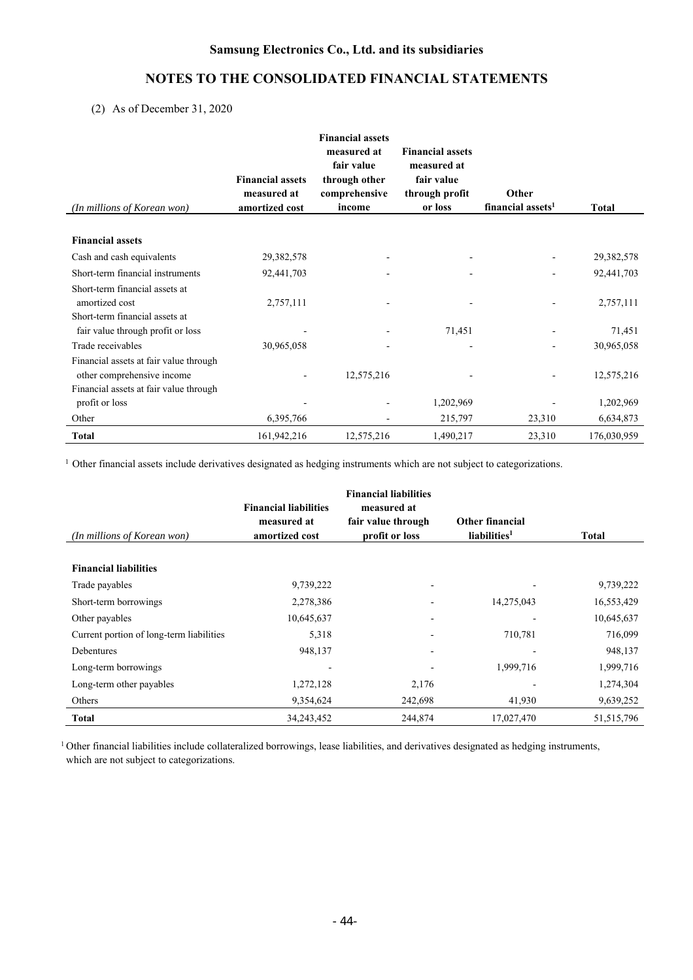# **NOTES TO THE CONSOLIDATED FINANCIAL STATEMENTS**

(2) As of December 31, 2020

| (In millions of Korean won)            | <b>Financial assets</b><br>measured at<br>amortized cost | <b>Financial assets</b><br>measured at<br>fair value<br>through other<br>comprehensive<br>income | <b>Financial assets</b><br>measured at<br>fair value<br>through profit<br>or loss | Other<br>financial assets <sup>1</sup> | Total       |
|----------------------------------------|----------------------------------------------------------|--------------------------------------------------------------------------------------------------|-----------------------------------------------------------------------------------|----------------------------------------|-------------|
| <b>Financial assets</b>                |                                                          |                                                                                                  |                                                                                   |                                        |             |
|                                        |                                                          |                                                                                                  |                                                                                   |                                        |             |
| Cash and cash equivalents              | 29,382,578                                               |                                                                                                  |                                                                                   |                                        | 29,382,578  |
| Short-term financial instruments       | 92,441,703                                               |                                                                                                  |                                                                                   |                                        | 92,441,703  |
| Short-term financial assets at         |                                                          |                                                                                                  |                                                                                   |                                        |             |
| amortized cost                         | 2,757,111                                                |                                                                                                  |                                                                                   |                                        | 2,757,111   |
| Short-term financial assets at         |                                                          |                                                                                                  |                                                                                   |                                        |             |
| fair value through profit or loss      |                                                          |                                                                                                  | 71,451                                                                            |                                        | 71,451      |
| Trade receivables                      | 30,965,058                                               |                                                                                                  |                                                                                   |                                        | 30,965,058  |
| Financial assets at fair value through |                                                          |                                                                                                  |                                                                                   |                                        |             |
| other comprehensive income             |                                                          | 12,575,216                                                                                       |                                                                                   |                                        | 12,575,216  |
| Financial assets at fair value through |                                                          |                                                                                                  |                                                                                   |                                        |             |
| profit or loss                         |                                                          |                                                                                                  | 1,202,969                                                                         |                                        | 1,202,969   |
| Other                                  | 6,395,766                                                |                                                                                                  | 215,797                                                                           | 23,310                                 | 6,634,873   |
| <b>Total</b>                           | 161,942,216                                              | 12,575,216                                                                                       | 1,490,217                                                                         | 23,310                                 | 176,030,959 |

<sup>1</sup> Other financial assets include derivatives designated as hedging instruments which are not subject to categorizations.

| (In millions of Korean won)              | <b>Financial liabilities</b><br>measured at<br>amortized cost | <b>Financial liabilities</b><br>measured at<br>fair value through<br>profit or loss |            | Total        |
|------------------------------------------|---------------------------------------------------------------|-------------------------------------------------------------------------------------|------------|--------------|
| <b>Financial liabilities</b>             |                                                               |                                                                                     |            |              |
| Trade payables                           | 9,739,222                                                     | $\overline{\phantom{0}}$                                                            |            | 9,739,222    |
| Short-term borrowings                    | 2,278,386                                                     |                                                                                     | 14,275,043 | 16,553,429   |
| Other payables                           | 10,645,637                                                    |                                                                                     |            | 10,645,637   |
| Current portion of long-term liabilities | 5,318                                                         |                                                                                     | 710,781    | 716,099      |
| Debentures                               | 948,137                                                       |                                                                                     |            | 948,137      |
| Long-term borrowings                     |                                                               |                                                                                     | 1,999,716  | 1,999,716    |
| Long-term other payables                 | 1,272,128                                                     | 2,176                                                                               |            | 1,274,304    |
| Others                                   | 9,354,624                                                     | 242,698                                                                             | 41,930     | 9,639,252    |
| Total                                    | 34, 243, 452                                                  | 244,874                                                                             | 17,027,470 | 51, 515, 796 |

<sup>1</sup> Other financial liabilities include collateralized borrowings, lease liabilities, and derivatives designated as hedging instruments, which are not subject to categorizations.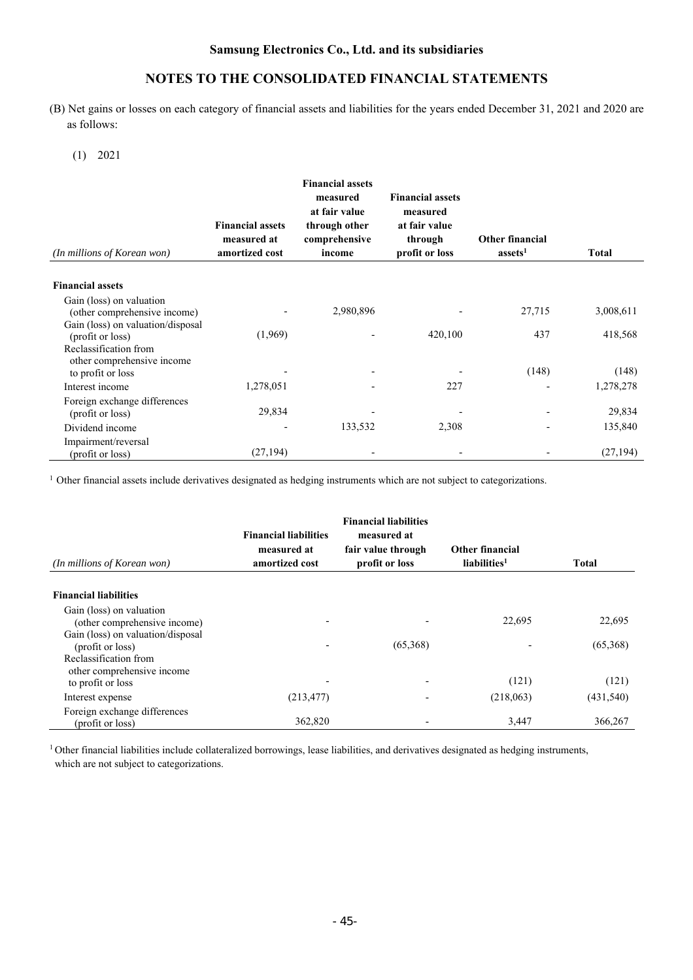(B) Net gains or losses on each category of financial assets and liabilities for the years ended December 31, 2021 and 2020 are as follows:

(1) 2021

| (In millions of Korean won)                              | <b>Financial assets</b><br>measured at<br>amortized cost | <b>Financial assets</b><br>measured<br>at fair value<br>through other<br>comprehensive<br>income | <b>Financial assets</b><br>measured<br>at fair value<br>through<br>profit or loss | <b>Other financial</b><br>assets <sup>1</sup> | <b>Total</b> |
|----------------------------------------------------------|----------------------------------------------------------|--------------------------------------------------------------------------------------------------|-----------------------------------------------------------------------------------|-----------------------------------------------|--------------|
| <b>Financial assets</b>                                  |                                                          |                                                                                                  |                                                                                   |                                               |              |
| Gain (loss) on valuation<br>(other comprehensive income) |                                                          | 2,980,896                                                                                        |                                                                                   | 27,715                                        | 3,008,611    |
| Gain (loss) on valuation/disposal<br>(profit or loss)    | (1,969)                                                  |                                                                                                  | 420,100                                                                           | 437                                           | 418,568      |
| Reclassification from<br>other comprehensive income      |                                                          |                                                                                                  |                                                                                   | (148)                                         | (148)        |
| to profit or loss<br>Interest income                     | 1,278,051                                                |                                                                                                  | 227                                                                               | -                                             | 1,278,278    |
| Foreign exchange differences<br>(profit or loss)         | 29,834                                                   |                                                                                                  |                                                                                   |                                               | 29,834       |
| Dividend income                                          |                                                          | 133,532                                                                                          | 2,308                                                                             |                                               | 135,840      |
| Impairment/reversal<br>(profit or loss)                  | (27, 194)                                                |                                                                                                  |                                                                                   |                                               | (27, 194)    |

<sup>1</sup> Other financial assets include derivatives designated as hedging instruments which are not subject to categorizations.

| (In millions of Korean won)       | <b>Financial liabilities</b><br>measured at<br>amortized cost | <b>Financial liabilities</b><br>measured at<br>fair value through<br>profit or loss | Other financial<br>liabilities <sup>1</sup> | <b>Total</b> |
|-----------------------------------|---------------------------------------------------------------|-------------------------------------------------------------------------------------|---------------------------------------------|--------------|
|                                   |                                                               |                                                                                     |                                             |              |
| <b>Financial liabilities</b>      |                                                               |                                                                                     |                                             |              |
| Gain (loss) on valuation          |                                                               |                                                                                     |                                             |              |
| (other comprehensive income)      |                                                               |                                                                                     | 22,695                                      | 22,695       |
| Gain (loss) on valuation/disposal |                                                               |                                                                                     |                                             |              |
| (profit or loss)                  |                                                               | (65,368)                                                                            |                                             | (65,368)     |
| Reclassification from             |                                                               |                                                                                     |                                             |              |
| other comprehensive income        |                                                               |                                                                                     |                                             |              |
| to profit or loss                 |                                                               |                                                                                     | (121)                                       | (121)        |
| Interest expense                  | (213, 477)                                                    |                                                                                     | (218,063)                                   | (431, 540)   |
| Foreign exchange differences      |                                                               |                                                                                     |                                             |              |
| (profit or loss)                  | 362,820                                                       |                                                                                     | 3,447                                       | 366,267      |

<sup>1</sup> Other financial liabilities include collateralized borrowings, lease liabilities, and derivatives designated as hedging instruments, which are not subject to categorizations.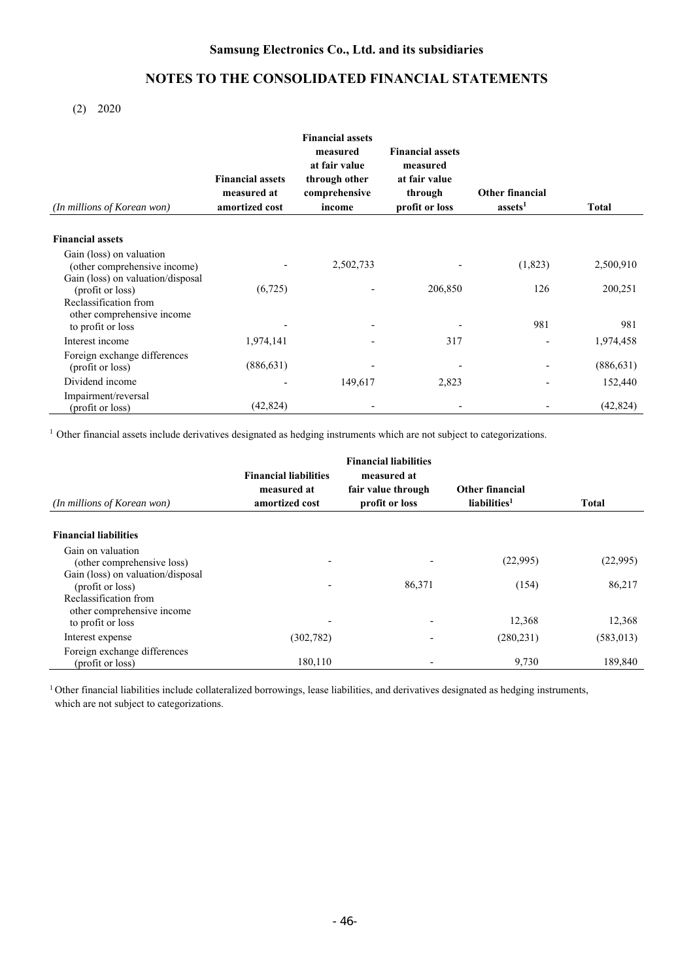(2) 2020

| (In millions of Korean won)                              | <b>Financial assets</b><br>measured at<br>amortized cost | <b>Financial assets</b><br>measured<br>at fair value<br>through other<br>comprehensive<br>income | <b>Financial assets</b><br>measured<br>at fair value<br>through<br>profit or loss | <b>Other financial</b><br>assets <sup>1</sup> | <b>Total</b>     |
|----------------------------------------------------------|----------------------------------------------------------|--------------------------------------------------------------------------------------------------|-----------------------------------------------------------------------------------|-----------------------------------------------|------------------|
| <b>Financial assets</b>                                  |                                                          |                                                                                                  |                                                                                   |                                               |                  |
| Gain (loss) on valuation<br>(other comprehensive income) |                                                          | 2,502,733                                                                                        |                                                                                   | (1,823)                                       | 2,500,910        |
| Gain (loss) on valuation/disposal<br>(profit or loss)    | (6,725)                                                  |                                                                                                  | 206,850                                                                           | 126                                           | 200,251          |
| Reclassification from<br>other comprehensive income      |                                                          |                                                                                                  |                                                                                   |                                               |                  |
| to profit or loss<br>Interest income                     | 1,974,141                                                |                                                                                                  | 317                                                                               | 981                                           | 981<br>1,974,458 |
| Foreign exchange differences                             |                                                          |                                                                                                  |                                                                                   |                                               |                  |
| (profit or loss)                                         | (886, 631)                                               |                                                                                                  |                                                                                   |                                               | (886, 631)       |
| Dividend income                                          |                                                          | 149,617                                                                                          | 2,823                                                                             |                                               | 152,440          |
| Impairment/reversal<br>(profit or loss)                  | (42, 824)                                                |                                                                                                  |                                                                                   |                                               | (42, 824)        |

<sup>1</sup> Other financial assets include derivatives designated as hedging instruments which are not subject to categorizations.

| (In millions of Korean won)                           | <b>Financial liabilities</b><br>measured at<br>amortized cost | <b>Financial liabilities</b><br>measured at<br>fair value through<br>profit or loss | Other financial<br>liabilities <sup>1</sup> | <b>Total</b> |
|-------------------------------------------------------|---------------------------------------------------------------|-------------------------------------------------------------------------------------|---------------------------------------------|--------------|
| <b>Financial liabilities</b>                          |                                                               |                                                                                     |                                             |              |
| Gain on valuation<br>(other comprehensive loss)       | ٠                                                             |                                                                                     | (22,995)                                    | (22,995)     |
| Gain (loss) on valuation/disposal<br>(profit or loss) | ٠                                                             | 86,371                                                                              | (154)                                       | 86,217       |
| Reclassification from<br>other comprehensive income   |                                                               |                                                                                     |                                             |              |
| to profit or loss                                     |                                                               |                                                                                     | 12,368                                      | 12,368       |
| Interest expense                                      | (302, 782)                                                    |                                                                                     | (280, 231)                                  | (583, 013)   |
| Foreign exchange differences<br>(profit or loss)      | 180,110                                                       |                                                                                     | 9,730                                       | 189,840      |

<sup>1</sup> Other financial liabilities include collateralized borrowings, lease liabilities, and derivatives designated as hedging instruments, which are not subject to categorizations.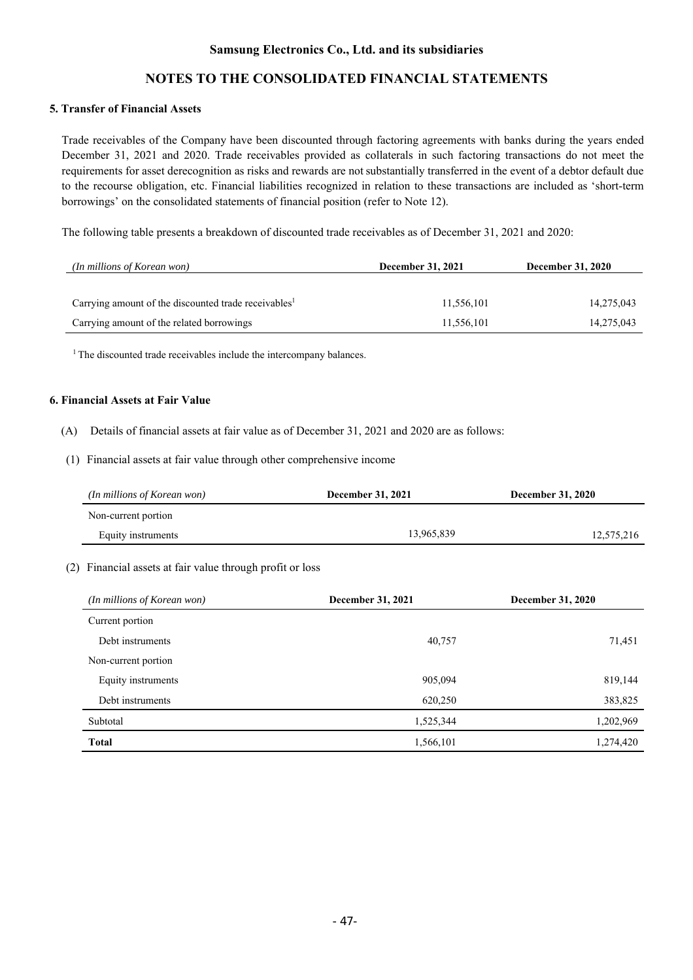# **NOTES TO THE CONSOLIDATED FINANCIAL STATEMENTS**

### **5. Transfer of Financial Assets**

Trade receivables of the Company have been discounted through factoring agreements with banks during the years ended December 31, 2021 and 2020. Trade receivables provided as collaterals in such factoring transactions do not meet the requirements for asset derecognition as risks and rewards are not substantially transferred in the event of a debtor default due to the recourse obligation, etc. Financial liabilities recognized in relation to these transactions are included as 'short-term borrowings' on the consolidated statements of financial position (refer to Note 12).

The following table presents a breakdown of discounted trade receivables as of December 31, 2021 and 2020:

| <i>(In millions of Korean won)</i>                               | <b>December 31, 2021</b> | <b>December 31, 2020</b> |  |
|------------------------------------------------------------------|--------------------------|--------------------------|--|
|                                                                  |                          |                          |  |
| Carrying amount of the discounted trade receivables <sup>1</sup> | 11,556,101               | 14,275,043               |  |
| Carrying amount of the related borrowings                        | 11,556,101               | 14,275,043               |  |

<sup>1</sup> The discounted trade receivables include the intercompany balances.

### **6. Financial Assets at Fair Value**

- (A) Details of financial assets at fair value as of December 31, 2021 and 2020 are as follows:
- (1) Financial assets at fair value through other comprehensive income

| (In millions of Korean won) | <b>December 31, 2021</b> | <b>December 31, 2020</b> |  |
|-----------------------------|--------------------------|--------------------------|--|
| Non-current portion         |                          |                          |  |
| Equity instruments          | 13.965.839               | 12,575,216               |  |

#### (2) Financial assets at fair value through profit or loss

| (In millions of Korean won) | December 31, 2021 | <b>December 31, 2020</b> |
|-----------------------------|-------------------|--------------------------|
| Current portion             |                   |                          |
| Debt instruments            | 40,757            | 71,451                   |
| Non-current portion         |                   |                          |
| Equity instruments          | 905,094           | 819,144                  |
| Debt instruments            | 620,250           | 383,825                  |
| Subtotal                    | 1,525,344         | 1,202,969                |
| <b>Total</b>                | 1,566,101         | 1,274,420                |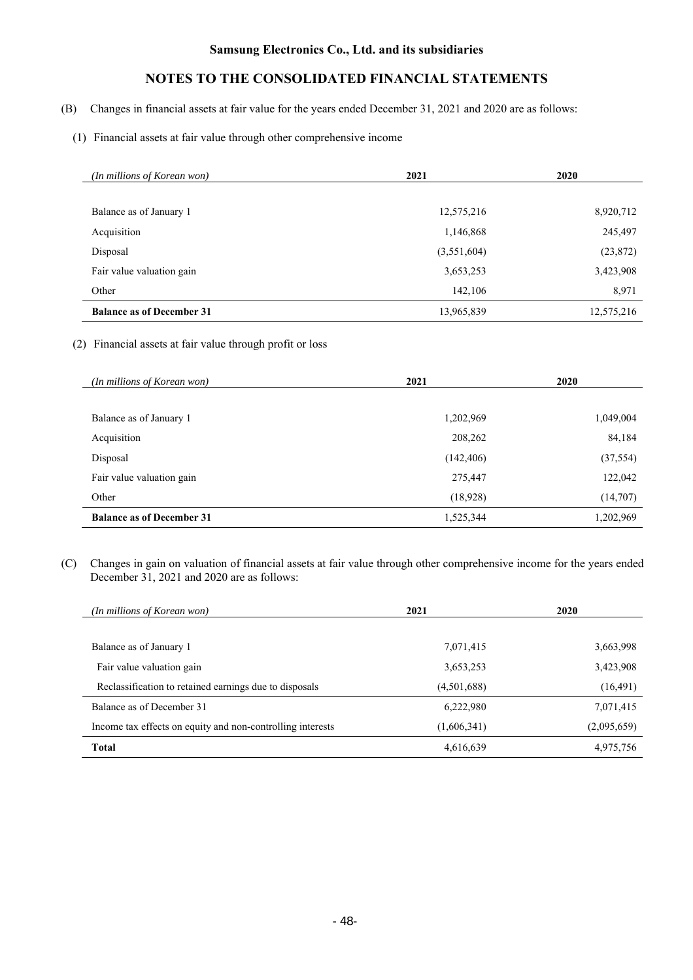# **NOTES TO THE CONSOLIDATED FINANCIAL STATEMENTS**

- (B) Changes in financial assets at fair value for the years ended December 31, 2021 and 2020 are as follows:
	- (1) Financial assets at fair value through other comprehensive income

| (In millions of Korean won)      | 2021        | 2020       |
|----------------------------------|-------------|------------|
|                                  |             |            |
| Balance as of January 1          | 12,575,216  | 8,920,712  |
| Acquisition                      | 1,146,868   | 245,497    |
| Disposal                         | (3,551,604) | (23,872)   |
| Fair value valuation gain        | 3,653,253   | 3,423,908  |
| Other                            | 142,106     | 8,971      |
| <b>Balance as of December 31</b> | 13,965,839  | 12,575,216 |

### (2) Financial assets at fair value through profit or loss

| (In millions of Korean won)      | 2021       | 2020      |
|----------------------------------|------------|-----------|
|                                  |            |           |
| Balance as of January 1          | 1,202,969  | 1,049,004 |
| Acquisition                      | 208,262    | 84,184    |
| Disposal                         | (142, 406) | (37, 554) |
| Fair value valuation gain        | 275,447    | 122,042   |
| Other                            | (18, 928)  | (14,707)  |
| <b>Balance as of December 31</b> | 1,525,344  | 1,202,969 |

(C) Changes in gain on valuation of financial assets at fair value through other comprehensive income for the years ended December 31, 2021 and 2020 are as follows:

| (In millions of Korean won)                                | 2021        | 2020        |
|------------------------------------------------------------|-------------|-------------|
|                                                            |             |             |
| Balance as of January 1                                    | 7,071,415   | 3,663,998   |
| Fair value valuation gain                                  | 3,653,253   | 3,423,908   |
| Reclassification to retained earnings due to disposals     | (4,501,688) | (16, 491)   |
| Balance as of December 31                                  | 6,222,980   | 7,071,415   |
| Income tax effects on equity and non-controlling interests | (1,606,341) | (2,095,659) |
| <b>Total</b>                                               | 4,616,639   | 4,975,756   |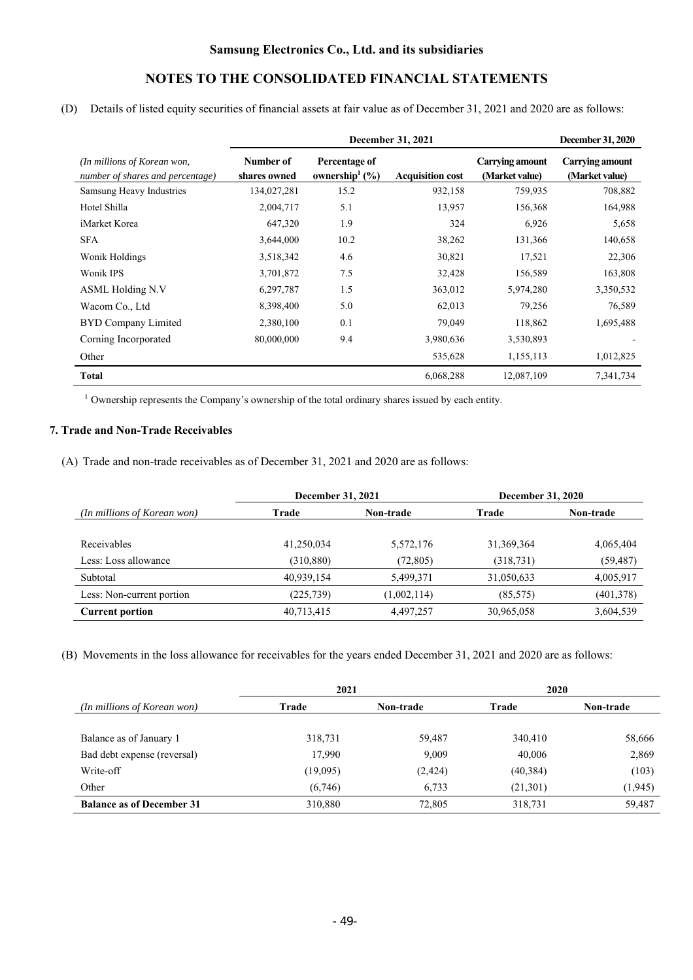(D) Details of listed equity securities of financial assets at fair value as of December 31, 2021 and 2020 are as follows:

|                                                                 | <b>December 31, 2021</b>  |                                                 |                         |                                          | <b>December 31, 2020</b>          |
|-----------------------------------------------------------------|---------------------------|-------------------------------------------------|-------------------------|------------------------------------------|-----------------------------------|
| (In millions of Korean won,<br>number of shares and percentage) | Number of<br>shares owned | Percentage of<br>ownership <sup>1</sup> $(\% )$ | <b>Acquisition cost</b> | <b>Carrying amount</b><br>(Market value) | Carrying amount<br>(Market value) |
| Samsung Heavy Industries                                        | 134,027,281               | 15.2                                            | 932,158                 | 759,935                                  | 708,882                           |
| Hotel Shilla                                                    | 2,004,717                 | 5.1                                             | 13,957                  | 156,368                                  | 164,988                           |
| iMarket Korea                                                   | 647,320                   | 1.9                                             | 324                     | 6,926                                    | 5,658                             |
| <b>SFA</b>                                                      | 3,644,000                 | 10.2                                            | 38,262                  | 131,366                                  | 140,658                           |
| Wonik Holdings                                                  | 3,518,342                 | 4.6                                             | 30,821                  | 17,521                                   | 22,306                            |
| Wonik IPS                                                       | 3,701,872                 | 7.5                                             | 32,428                  | 156,589                                  | 163,808                           |
| <b>ASML Holding N.V</b>                                         | 6,297,787                 | 1.5                                             | 363,012                 | 5,974,280                                | 3,350,532                         |
| Wacom Co., Ltd                                                  | 8,398,400                 | 5.0                                             | 62,013                  | 79,256                                   | 76,589                            |
| BYD Company Limited                                             | 2,380,100                 | 0.1                                             | 79,049                  | 118,862                                  | 1,695,488                         |
| Corning Incorporated                                            | 80,000,000                | 9.4                                             | 3,980,636               | 3,530,893                                |                                   |
| Other                                                           |                           |                                                 | 535,628                 | 1,155,113                                | 1,012,825                         |
| Total                                                           |                           |                                                 | 6,068,288               | 12,087,109                               | 7,341,734                         |

<sup>1</sup> Ownership represents the Company's ownership of the total ordinary shares issued by each entity.

### **7. Trade and Non-Trade Receivables**

(A) Trade and non-trade receivables as of December 31, 2021 and 2020 are as follows:

|                             | December 31, 2021         |             | <b>December 31, 2020</b> |            |  |
|-----------------------------|---------------------------|-------------|--------------------------|------------|--|
| (In millions of Korean won) | <b>Non-trade</b><br>Trade |             | Trade                    | Non-trade  |  |
|                             |                           |             |                          |            |  |
| Receivables                 | 41,250,034                | 5,572,176   | 31, 369, 364             | 4,065,404  |  |
| Less: Loss allowance        | (310, 880)                | (72, 805)   | (318, 731)               | (59, 487)  |  |
| Subtotal                    | 40.939.154                | 5,499,371   | 31,050,633               | 4,005,917  |  |
| Less: Non-current portion   | (225, 739)                | (1,002,114) | (85, 575)                | (401, 378) |  |
| <b>Current portion</b>      | 40,713,415                | 4,497,257   | 30,965,058               | 3,604,539  |  |

(B) Movements in the loss allowance for receivables for the years ended December 31, 2021 and 2020 are as follows:

|                                  | 2021     |                  | 2020      |           |  |
|----------------------------------|----------|------------------|-----------|-----------|--|
| (In millions of Korean won)      | Trade    | <b>Non-trade</b> | Trade     | Non-trade |  |
|                                  |          |                  |           |           |  |
| Balance as of January 1          | 318,731  | 59,487           | 340,410   | 58,666    |  |
| Bad debt expense (reversal)      | 17,990   | 9,009            | 40,006    | 2,869     |  |
| Write-off                        | (19,095) | (2, 424)         | (40, 384) | (103)     |  |
| Other                            | (6,746)  | 6,733            | (21, 301) | (1, 945)  |  |
| <b>Balance as of December 31</b> | 310,880  | 72,805           | 318,731   | 59,487    |  |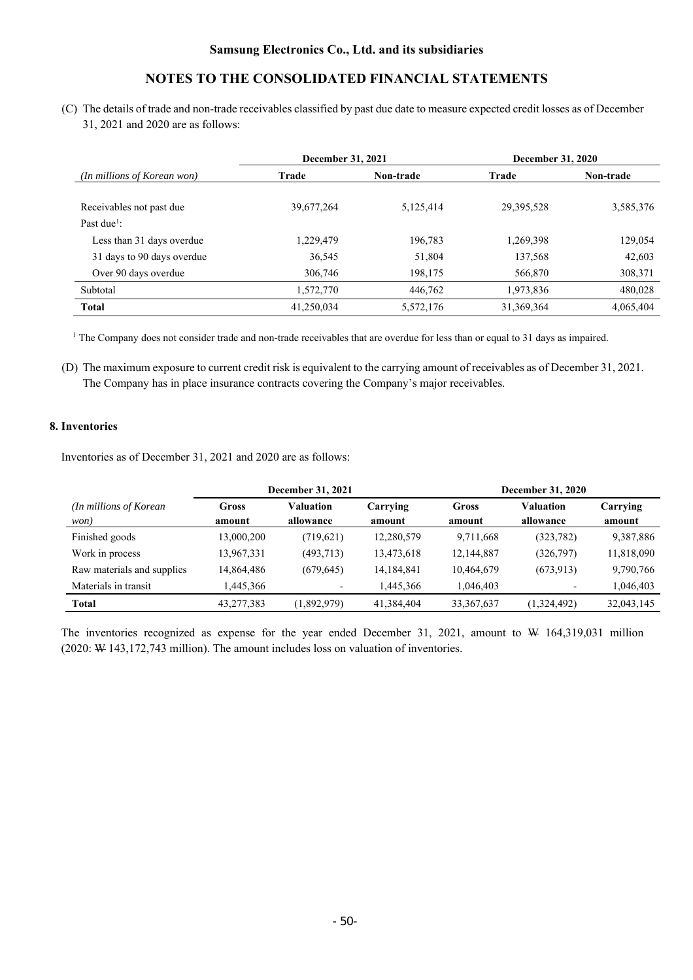(C) The details of trade and non-trade receivables classified by past due date to measure expected credit losses as of December 31, 2021 and 2020 are as follows:

|                                                     |            | December 31, 2020<br>December 31, 2021 |              |           |  |
|-----------------------------------------------------|------------|----------------------------------------|--------------|-----------|--|
| (In millions of Korean won)                         | Trade      | Non-trade                              | Trade        | Non-trade |  |
| Receivables not past due<br>Past due <sup>1</sup> : | 39,677,264 | 5,125,414                              | 29, 395, 528 | 3,585,376 |  |
| Less than 31 days overdue                           | 1,229,479  | 196,783                                | 1,269,398    | 129,054   |  |
| 31 days to 90 days overdue                          | 36,545     | 51,804                                 | 137,568      | 42,603    |  |
| Over 90 days overdue                                | 306,746    | 198,175                                | 566,870      | 308,371   |  |
| Subtotal                                            | 1,572,770  | 446,762                                | 1,973,836    | 480,028   |  |
| <b>Total</b>                                        | 41,250,034 | 5,572,176                              | 31,369,364   | 4,065,404 |  |

<sup>1</sup> The Company does not consider trade and non-trade receivables that are overdue for less than or equal to 31 days as impaired.

(D) The maximum exposure to current credit risk is equivalent to the carrying amount of receivables as of December 31, 2021. The Company has in place insurance contracts covering the Company's major receivables.

### **8. Inventories**

Inventories as of December 31, 2021 and 2020 are as follows:

|                                 | December 31, 2021 |                          |                    | <b>December 31, 2020</b> |                        |                    |
|---------------------------------|-------------------|--------------------------|--------------------|--------------------------|------------------------|--------------------|
| (In millions of Korean)<br>won) | Gross<br>amount   | Valuation<br>allowance   | Carrying<br>amount | Gross<br>amount          | Valuation<br>allowance | Carrying<br>amount |
| Finished goods                  | 13,000,200        | (719,621)                | 12,280,579         | 9,711,668                | (323, 782)             | 9,387,886          |
| Work in process                 | 13,967,331        | (493,713)                | 13,473,618         | 12,144,887               | (326,797)              | 11,818,090         |
| Raw materials and supplies      | 14,864,486        | (679, 645)               | 14,184,841         | 10,464,679               | (673, 913)             | 9,790,766          |
| Materials in transit            | 1.445.366         | $\overline{\phantom{a}}$ | 1.445.366          | 1.046.403                |                        | 1,046,403          |
| <b>Total</b>                    | 43,277,383        | (1,892,979)              | 41,384,404         | 33, 367, 637             | (1,324,492)            | 32,043,145         |

The inventories recognized as expense for the year ended December 31, 2021, amount to W 164,319,031 million (2020: W 143,172,743 million). The amount includes loss on valuation of inventories.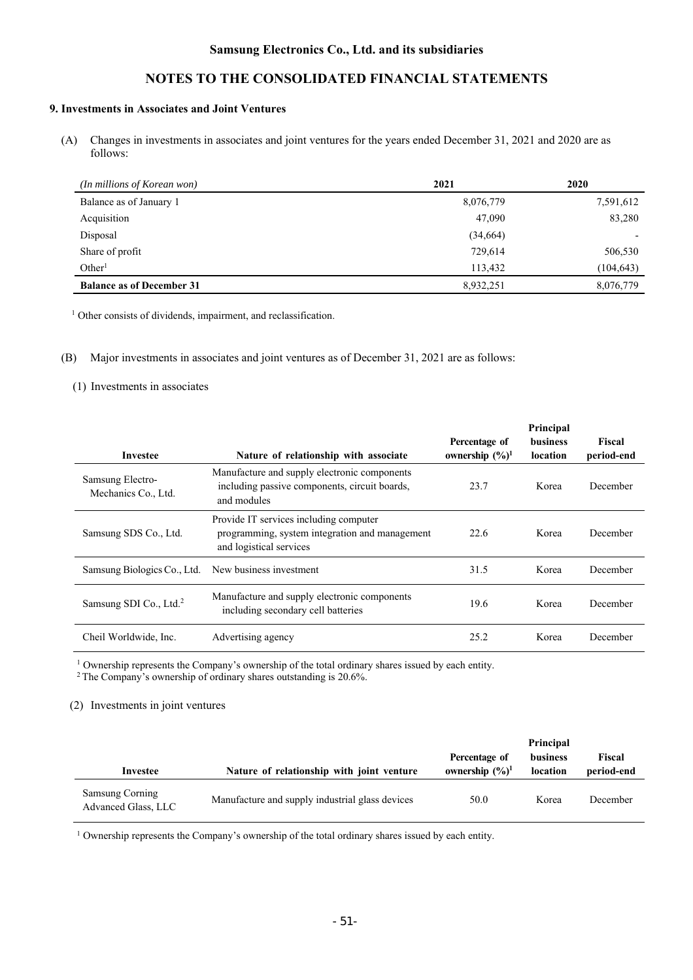# **NOTES TO THE CONSOLIDATED FINANCIAL STATEMENTS**

### **9. Investments in Associates and Joint Ventures**

(A) Changes in investments in associates and joint ventures for the years ended December 31, 2021 and 2020 are as follows:

| (In millions of Korean won)      | 2021      | 2020       |
|----------------------------------|-----------|------------|
| Balance as of January 1          | 8,076,779 | 7,591,612  |
| Acquisition                      | 47,090    | 83,280     |
| Disposal                         | (34,664)  |            |
| Share of profit                  | 729,614   | 506,530    |
| Other <sup>1</sup>               | 113,432   | (104, 643) |
| <b>Balance as of December 31</b> | 8,932,251 | 8,076,779  |

<sup>1</sup> Other consists of dividends, impairment, and reclassification.

(B) Major investments in associates and joint ventures as of December 31, 2021 are as follows:

#### (1) Investments in associates

|                                         |                                                                                                                     |                                              | Principal            |                      |
|-----------------------------------------|---------------------------------------------------------------------------------------------------------------------|----------------------------------------------|----------------------|----------------------|
| Investee                                | Nature of relationship with associate                                                                               | Percentage of<br>ownership $(\frac{6}{6})^1$ | business<br>location | Fiscal<br>period-end |
| Samsung Electro-<br>Mechanics Co., Ltd. | Manufacture and supply electronic components<br>including passive components, circuit boards,<br>and modules        | 23.7                                         | Korea                | December             |
| Samsung SDS Co., Ltd.                   | Provide IT services including computer<br>programming, system integration and management<br>and logistical services | 22.6                                         | Korea                | December             |
| Samsung Biologics Co., Ltd.             | New business investment                                                                                             | 31.5                                         | Korea                | December             |
| Samsung SDI Co., Ltd. <sup>2</sup>      | Manufacture and supply electronic components<br>including secondary cell batteries                                  | 19.6                                         | Korea                | December             |
| Cheil Worldwide, Inc.                   | Advertising agency                                                                                                  | 25.2                                         | Korea                | December             |

<sup>1</sup> Ownership represents the Company's ownership of the total ordinary shares issued by each entity. <sup>2</sup> The Company's ownership of ordinary shares outstanding is 20.6%.

#### (2) Investments in joint ventures

| Investee                               | Nature of relationship with joint venture       | Percentage of<br>ownership $(\frac{6}{6})^1$ | Principal<br>business<br>location | Fiscal<br>period-end |
|----------------------------------------|-------------------------------------------------|----------------------------------------------|-----------------------------------|----------------------|
| Samsung Corning<br>Advanced Glass, LLC | Manufacture and supply industrial glass devices | 50.0                                         | Korea                             | December             |

<sup>1</sup> Ownership represents the Company's ownership of the total ordinary shares issued by each entity.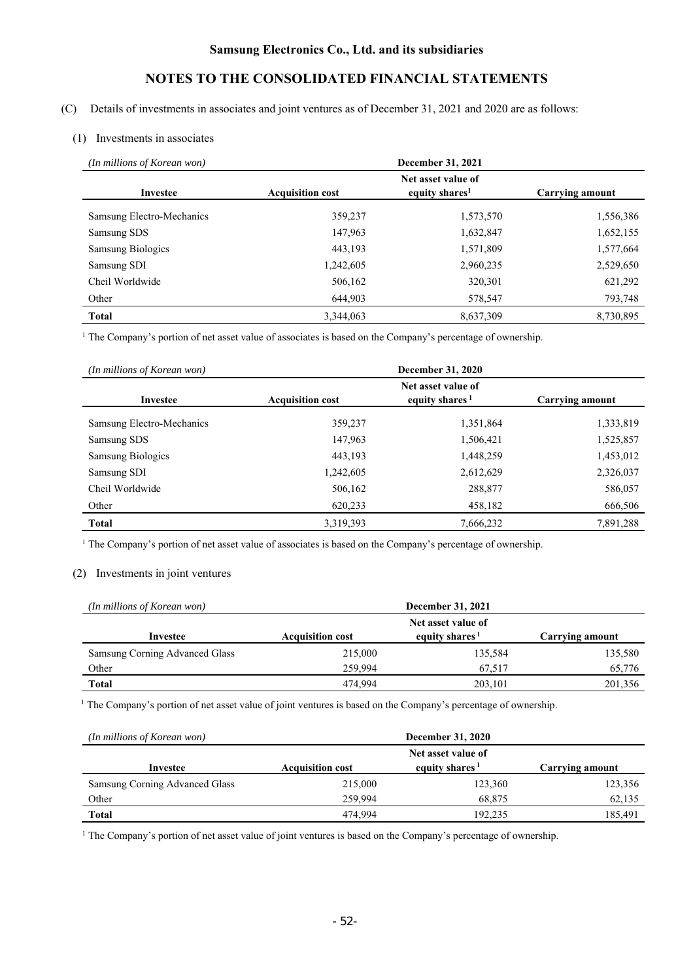# **NOTES TO THE CONSOLIDATED FINANCIAL STATEMENTS**

(C) Details of investments in associates and joint ventures as of December 31, 2021 and 2020 are as follows:

### (1) Investments in associates

| (In millions of Korean won) |                                                                                                       | December 31, 2021 |           |  |
|-----------------------------|-------------------------------------------------------------------------------------------------------|-------------------|-----------|--|
| Investee                    | Net asset value of<br>equity shares <sup>1</sup><br><b>Acquisition cost</b><br><b>Carrying amount</b> |                   |           |  |
| Samsung Electro-Mechanics   | 359,237                                                                                               | 1,573,570         | 1,556,386 |  |
| Samsung SDS                 | 147,963                                                                                               | 1,632,847         | 1,652,155 |  |
| <b>Samsung Biologics</b>    | 443,193                                                                                               | 1,571,809         | 1,577,664 |  |
| Samsung SDI                 | 1,242,605                                                                                             | 2,960,235         | 2,529,650 |  |
| Cheil Worldwide             | 506,162                                                                                               | 320,301           | 621,292   |  |
| Other                       | 644,903                                                                                               | 578,547           | 793,748   |  |
| <b>Total</b>                | 3,344,063                                                                                             | 8,637,309         | 8,730,895 |  |

<sup>1</sup> The Company's portion of net asset value of associates is based on the Company's percentage of ownership.

| (In millions of Korean won) | December 31, 2020       |                                                  |                 |  |
|-----------------------------|-------------------------|--------------------------------------------------|-----------------|--|
| Investee                    | <b>Acquisition cost</b> | Net asset value of<br>equity shares <sup>1</sup> | Carrying amount |  |
| Samsung Electro-Mechanics   | 359,237                 | 1,351,864                                        | 1,333,819       |  |
| Samsung SDS                 | 147,963                 | 1,506,421                                        | 1,525,857       |  |
| <b>Samsung Biologics</b>    | 443.193                 | 1,448,259                                        | 1,453,012       |  |
| Samsung SDI                 | 1,242,605               | 2,612,629                                        | 2,326,037       |  |
| Cheil Worldwide             | 506,162                 | 288,877                                          | 586,057         |  |
| Other                       | 620,233                 | 458,182                                          | 666,506         |  |
| <b>Total</b>                | 3,319,393               | 7,666,232                                        | 7,891,288       |  |

<sup>1</sup> The Company's portion of net asset value of associates is based on the Company's percentage of ownership.

## (2) Investments in joint ventures

| (In millions of Korean won)    | December 31, 2021       |                            |                 |  |  |
|--------------------------------|-------------------------|----------------------------|-----------------|--|--|
|                                |                         | Net asset value of         |                 |  |  |
| Investee                       | <b>Acquisition cost</b> | equity shares <sup>1</sup> | Carrying amount |  |  |
| Samsung Corning Advanced Glass | 215,000                 | 135,584                    | 135,580         |  |  |
| Other                          | 259.994                 | 67.517                     | 65,776          |  |  |
| Total                          | 474.994                 | 203,101                    | 201,356         |  |  |

<sup>1</sup> The Company's portion of net asset value of joint ventures is based on the Company's percentage of ownership.

| (In millions of Korean won)    | <b>December 31, 2020</b> |                            |                 |  |  |
|--------------------------------|--------------------------|----------------------------|-----------------|--|--|
|                                |                          | Net asset value of         |                 |  |  |
| Investee                       | <b>Acquisition cost</b>  | equity shares <sup>1</sup> | Carrying amount |  |  |
| Samsung Corning Advanced Glass | 215,000                  | 123,360                    | 123,356         |  |  |
| Other                          | 259.994                  | 68,875                     | 62,135          |  |  |
| <b>Total</b>                   | 474,994                  | 192.235                    | 185.491         |  |  |

<sup>1</sup> The Company's portion of net asset value of joint ventures is based on the Company's percentage of ownership.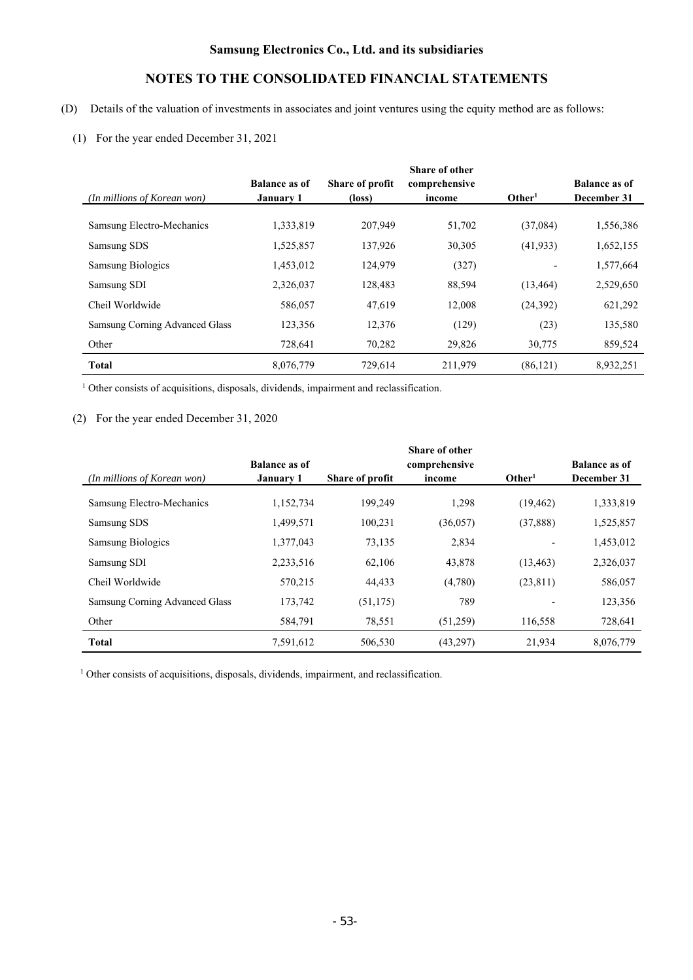# **NOTES TO THE CONSOLIDATED FINANCIAL STATEMENTS**

- (D) Details of the valuation of investments in associates and joint ventures using the equity method are as follows:
	- (1) For the year ended December 31, 2021

| (In millions of Korean won)    | <b>Balance as of</b><br><b>January 1</b> | Share of profit<br>(loss) | <b>Share of other</b><br>comprehensive<br>income | Other <sup>1</sup> | <b>Balance as of</b><br>December 31 |
|--------------------------------|------------------------------------------|---------------------------|--------------------------------------------------|--------------------|-------------------------------------|
| Samsung Electro-Mechanics      | 1,333,819                                | 207,949                   | 51,702                                           | (37,084)           | 1,556,386                           |
| Samsung SDS                    | 1,525,857                                | 137,926                   | 30,305                                           | (41, 933)          | 1,652,155                           |
| <b>Samsung Biologics</b>       | 1,453,012                                | 124,979                   | (327)                                            |                    | 1,577,664                           |
| Samsung SDI                    | 2,326,037                                | 128,483                   | 88,594                                           | (13, 464)          | 2,529,650                           |
| Cheil Worldwide                | 586,057                                  | 47,619                    | 12,008                                           | (24, 392)          | 621,292                             |
| Samsung Corning Advanced Glass | 123,356                                  | 12,376                    | (129)                                            | (23)               | 135,580                             |
| Other                          | 728,641                                  | 70,282                    | 29,826                                           | 30,775             | 859,524                             |
| <b>Total</b>                   | 8,076,779                                | 729.614                   | 211.979                                          | (86, 121)          | 8,932,251                           |

<sup>1</sup> Other consists of acquisitions, disposals, dividends, impairment and reclassification.

### (2) For the year ended December 31, 2020

|                                | <b>Balance as of</b> |                 | <b>Share of other</b><br>comprehensive |                    | <b>Balance as of</b> |
|--------------------------------|----------------------|-----------------|----------------------------------------|--------------------|----------------------|
| (In millions of Korean won)    | January 1            | Share of profit | income                                 | Other <sup>1</sup> | December 31          |
| Samsung Electro-Mechanics      | 1,152,734            | 199,249         | 1,298                                  | (19, 462)          | 1,333,819            |
| Samsung SDS                    | 1,499,571            | 100,231         | (36,057)                               | (37,888)           | 1,525,857            |
| <b>Samsung Biologics</b>       | 1,377,043            | 73,135          | 2,834                                  |                    | 1,453,012            |
| Samsung SDI                    | 2,233,516            | 62,106          | 43,878                                 | (13, 463)          | 2,326,037            |
| Cheil Worldwide                | 570,215              | 44,433          | (4,780)                                | (23, 811)          | 586,057              |
| Samsung Corning Advanced Glass | 173,742              | (51, 175)       | 789                                    |                    | 123,356              |
| Other                          | 584,791              | 78,551          | (51,259)                               | 116,558            | 728,641              |
| <b>Total</b>                   | 7,591,612            | 506,530         | (43,297)                               | 21,934             | 8,076,779            |

<sup>1</sup> Other consists of acquisitions, disposals, dividends, impairment, and reclassification.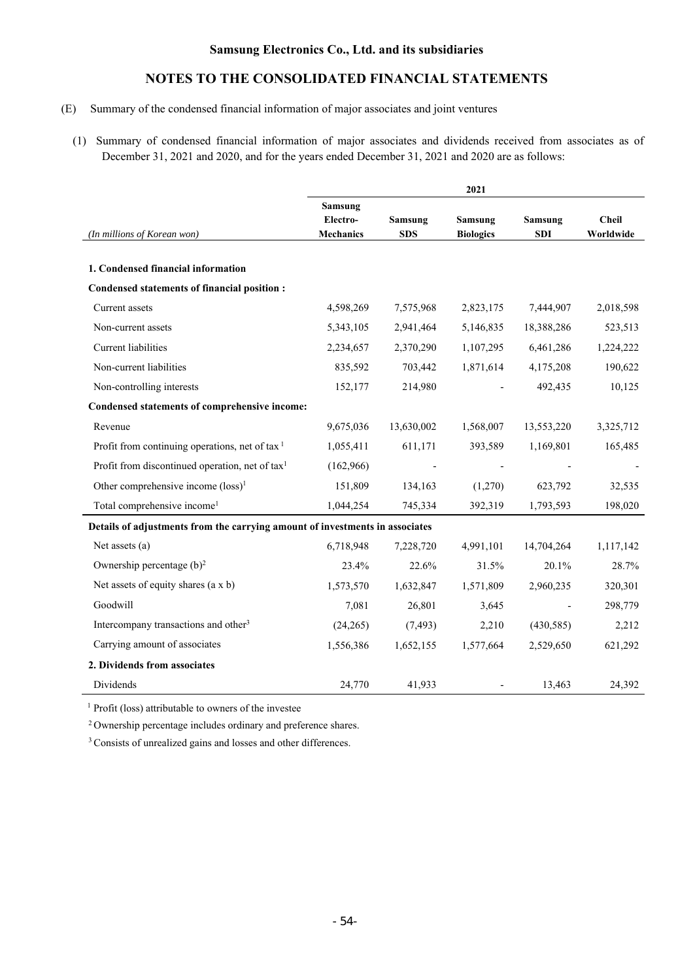# **NOTES TO THE CONSOLIDATED FINANCIAL STATEMENTS**

### (E) Summary of the condensed financial information of major associates and joint ventures

(1) Summary of condensed financial information of major associates and dividends received from associates as of December 31, 2021 and 2020, and for the years ended December 31, 2021 and 2020 are as follows:

|                                                                              | 2021                                    |                       |                             |                              |                           |
|------------------------------------------------------------------------------|-----------------------------------------|-----------------------|-----------------------------|------------------------------|---------------------------|
| (In millions of Korean won)                                                  | Samsung<br>Electro-<br><b>Mechanics</b> | Samsung<br><b>SDS</b> | Samsung<br><b>Biologics</b> | <b>Samsung</b><br><b>SDI</b> | <b>Cheil</b><br>Worldwide |
| 1. Condensed financial information                                           |                                         |                       |                             |                              |                           |
| Condensed statements of financial position :                                 |                                         |                       |                             |                              |                           |
| Current assets                                                               | 4,598,269                               | 7,575,968             | 2,823,175                   | 7,444,907                    | 2,018,598                 |
| Non-current assets                                                           | 5,343,105                               | 2,941,464             | 5,146,835                   | 18,388,286                   | 523,513                   |
| <b>Current</b> liabilities                                                   | 2,234,657                               | 2,370,290             | 1,107,295                   | 6,461,286                    | 1,224,222                 |
| Non-current liabilities                                                      | 835,592                                 | 703,442               | 1,871,614                   | 4,175,208                    | 190,622                   |
| Non-controlling interests                                                    | 152,177                                 | 214,980               |                             | 492,435                      | 10,125                    |
| Condensed statements of comprehensive income:                                |                                         |                       |                             |                              |                           |
| Revenue                                                                      | 9,675,036                               | 13,630,002            | 1,568,007                   | 13,553,220                   | 3,325,712                 |
| Profit from continuing operations, net of tax $1$                            | 1,055,411                               | 611,171               | 393,589                     | 1,169,801                    | 165,485                   |
| Profit from discontinued operation, net of tax <sup>1</sup>                  | (162,966)                               |                       |                             |                              |                           |
| Other comprehensive income (loss) <sup>1</sup>                               | 151,809                                 | 134,163               | (1,270)                     | 623,792                      | 32,535                    |
| Total comprehensive income <sup>1</sup>                                      | 1,044,254                               | 745,334               | 392,319                     | 1,793,593                    | 198,020                   |
| Details of adjustments from the carrying amount of investments in associates |                                         |                       |                             |                              |                           |
| Net assets (a)                                                               | 6,718,948                               | 7,228,720             | 4,991,101                   | 14,704,264                   | 1,117,142                 |
| Ownership percentage (b) <sup>2</sup>                                        | 23.4%                                   | 22.6%                 | 31.5%                       | 20.1%                        | 28.7%                     |
| Net assets of equity shares $(a \times b)$                                   | 1,573,570                               | 1,632,847             | 1,571,809                   | 2,960,235                    | 320,301                   |
| Goodwill                                                                     | 7,081                                   | 26,801                | 3,645                       |                              | 298,779                   |
| Intercompany transactions and other <sup>3</sup>                             | (24,265)                                | (7, 493)              | 2,210                       | (430, 585)                   | 2,212                     |
| Carrying amount of associates                                                | 1,556,386                               | 1,652,155             | 1,577,664                   | 2,529,650                    | 621,292                   |
| 2. Dividends from associates                                                 |                                         |                       |                             |                              |                           |
| Dividends                                                                    | 24,770                                  | 41,933                |                             | 13,463                       | 24,392                    |

<sup>1</sup> Profit (loss) attributable to owners of the investee

2 Ownership percentage includes ordinary and preference shares.

<sup>3</sup> Consists of unrealized gains and losses and other differences.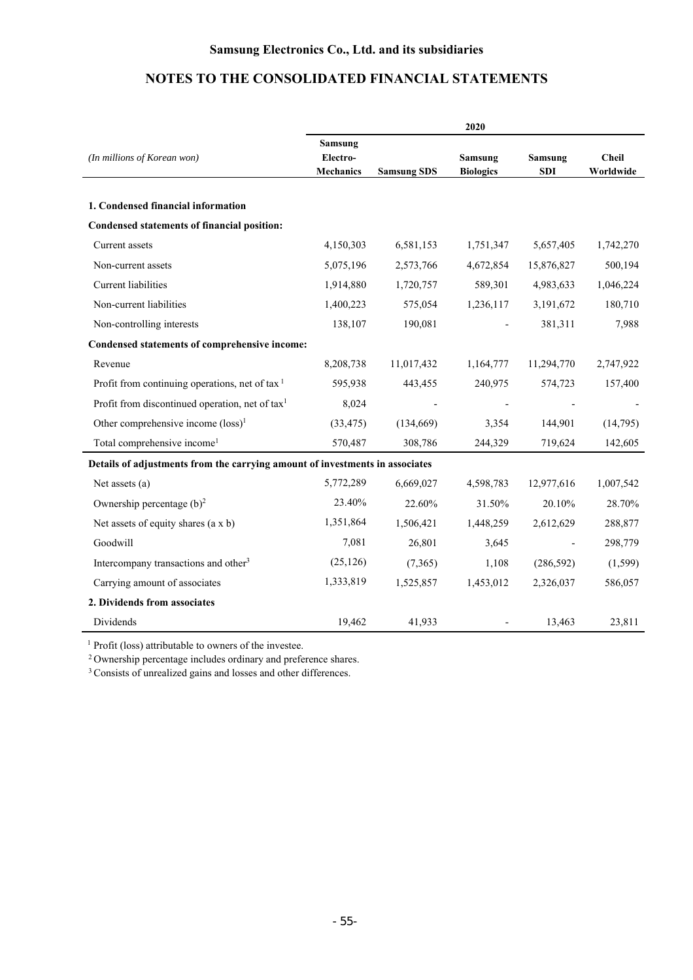|                                                                              | 2020                                           |                    |                                    |                              |                           |
|------------------------------------------------------------------------------|------------------------------------------------|--------------------|------------------------------------|------------------------------|---------------------------|
| (In millions of Korean won)                                                  | <b>Samsung</b><br>Electro-<br><b>Mechanics</b> | <b>Samsung SDS</b> | <b>Samsung</b><br><b>Biologics</b> | <b>Samsung</b><br><b>SDI</b> | <b>Cheil</b><br>Worldwide |
| 1. Condensed financial information                                           |                                                |                    |                                    |                              |                           |
| Condensed statements of financial position:                                  |                                                |                    |                                    |                              |                           |
| Current assets                                                               | 4,150,303                                      | 6,581,153          | 1,751,347                          | 5,657,405                    | 1,742,270                 |
| Non-current assets                                                           | 5,075,196                                      | 2,573,766          | 4,672,854                          | 15,876,827                   | 500,194                   |
| Current liabilities                                                          | 1,914,880                                      | 1,720,757          | 589,301                            | 4,983,633                    | 1,046,224                 |
| Non-current liabilities                                                      | 1,400,223                                      | 575,054            | 1,236,117                          | 3,191,672                    | 180,710                   |
| Non-controlling interests                                                    | 138,107                                        | 190,081            |                                    | 381,311                      | 7,988                     |
| Condensed statements of comprehensive income:                                |                                                |                    |                                    |                              |                           |
| Revenue                                                                      | 8,208,738                                      | 11,017,432         | 1,164,777                          | 11,294,770                   | 2,747,922                 |
| Profit from continuing operations, net of tax $1$                            | 595,938                                        | 443,455            | 240,975                            | 574,723                      | 157,400                   |
| Profit from discontinued operation, net of tax <sup>1</sup>                  | 8,024                                          |                    |                                    |                              |                           |
| Other comprehensive income (loss) <sup>1</sup>                               | (33, 475)                                      | (134, 669)         | 3,354                              | 144,901                      | (14,795)                  |
| Total comprehensive income <sup>1</sup>                                      | 570,487                                        | 308,786            | 244,329                            | 719,624                      | 142,605                   |
| Details of adjustments from the carrying amount of investments in associates |                                                |                    |                                    |                              |                           |
| Net assets $(a)$                                                             | 5,772,289                                      | 6,669,027          | 4,598,783                          | 12,977,616                   | 1,007,542                 |
| Ownership percentage $(b)^2$                                                 | 23.40%                                         | 22.60%             | 31.50%                             | 20.10%                       | 28.70%                    |
| Net assets of equity shares $(a \times b)$                                   | 1,351,864                                      | 1,506,421          | 1,448,259                          | 2,612,629                    | 288,877                   |
| Goodwill                                                                     | 7,081                                          | 26,801             | 3,645                              |                              | 298,779                   |
| Intercompany transactions and other <sup>3</sup>                             | (25, 126)                                      | (7,365)            | 1,108                              | (286, 592)                   | (1,599)                   |
| Carrying amount of associates                                                | 1,333,819                                      | 1,525,857          | 1,453,012                          | 2,326,037                    | 586,057                   |
| 2. Dividends from associates                                                 |                                                |                    |                                    |                              |                           |
| Dividends                                                                    | 19,462                                         | 41,933             |                                    | 13,463                       | 23,811                    |

<sup>1</sup> Profit (loss) attributable to owners of the investee.<br><sup>2</sup> Ownership percentage includes ordinary and preference shares.<br><sup>3</sup> Consists of unrealized gains and losses and other differences.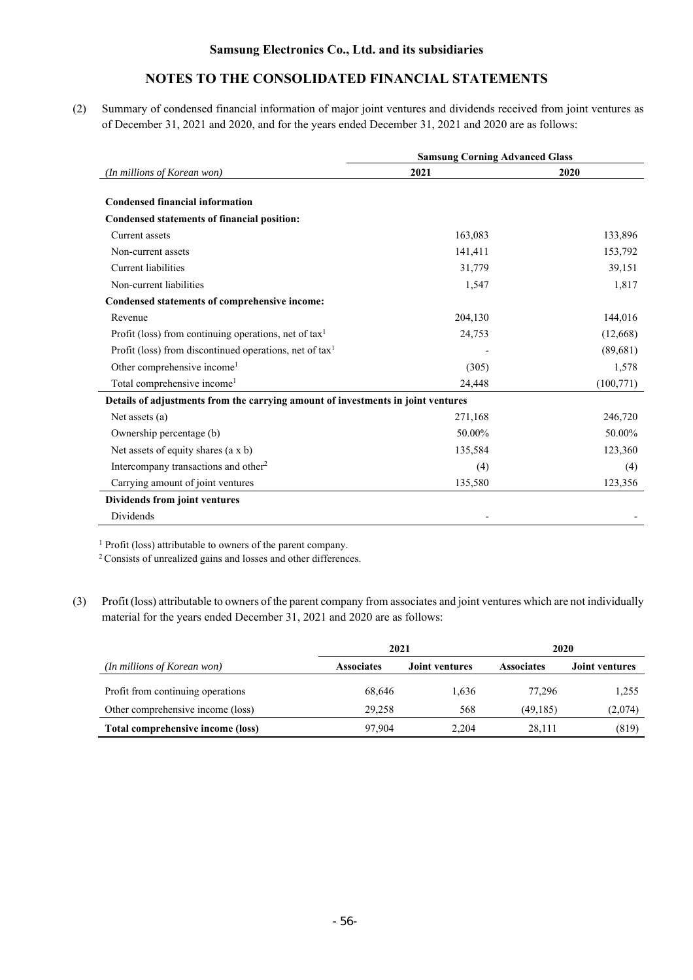# **NOTES TO THE CONSOLIDATED FINANCIAL STATEMENTS**

(2) Summary of condensed financial information of major joint ventures and dividends received from joint ventures as of December 31, 2021 and 2020, and for the years ended December 31, 2021 and 2020 are as follows:

|                                                                                  | <b>Samsung Corning Advanced Glass</b> |           |  |  |
|----------------------------------------------------------------------------------|---------------------------------------|-----------|--|--|
| (In millions of Korean won)                                                      | 2021                                  | 2020      |  |  |
| <b>Condensed financial information</b>                                           |                                       |           |  |  |
| Condensed statements of financial position:                                      |                                       |           |  |  |
| Current assets                                                                   | 163,083                               | 133,896   |  |  |
| Non-current assets                                                               | 141,411                               | 153,792   |  |  |
| <b>Current liabilities</b>                                                       | 31,779                                | 39,151    |  |  |
| Non-current liabilities                                                          | 1,547                                 | 1,817     |  |  |
| Condensed statements of comprehensive income:                                    |                                       |           |  |  |
| Revenue                                                                          | 204,130                               | 144,016   |  |  |
| Profit (loss) from continuing operations, net of tax <sup>1</sup>                | 24,753                                | (12,668)  |  |  |
| Profit (loss) from discontinued operations, net of $\text{tax}^1$                |                                       | (89,681)  |  |  |
| Other comprehensive income <sup>1</sup>                                          | (305)                                 | 1,578     |  |  |
| Total comprehensive income <sup>1</sup>                                          | 24,448                                | (100,771) |  |  |
| Details of adjustments from the carrying amount of investments in joint ventures |                                       |           |  |  |
| Net assets $(a)$                                                                 | 271,168                               | 246,720   |  |  |
| Ownership percentage (b)                                                         | 50.00%                                | 50.00%    |  |  |
| Net assets of equity shares (a x b)                                              | 135,584                               | 123,360   |  |  |
| Intercompany transactions and other <sup>2</sup>                                 | (4)                                   | (4)       |  |  |
| Carrying amount of joint ventures                                                | 135,580                               | 123,356   |  |  |
| Dividends from joint ventures                                                    |                                       |           |  |  |
| Dividends                                                                        |                                       |           |  |  |

<sup>1</sup> Profit (loss) attributable to owners of the parent company.

2 Consists of unrealized gains and losses and other differences.

(3) Profit (loss) attributable to owners of the parent company from associates and joint ventures which are not individually material for the years ended December 31, 2021 and 2020 are as follows:

|                                   | 2021              |                       | 2020              |                       |  |
|-----------------------------------|-------------------|-----------------------|-------------------|-----------------------|--|
| (In millions of Korean won)       | <b>Associates</b> | <b>Joint ventures</b> | <b>Associates</b> | <b>Joint ventures</b> |  |
| Profit from continuing operations | 68,646            | 1,636                 | 77.296            | 1,255                 |  |
| Other comprehensive income (loss) | 29,258            | 568                   | (49, 185)         | (2,074)               |  |
| Total comprehensive income (loss) | 97.904            | 2.204                 | 28.111            | (819)                 |  |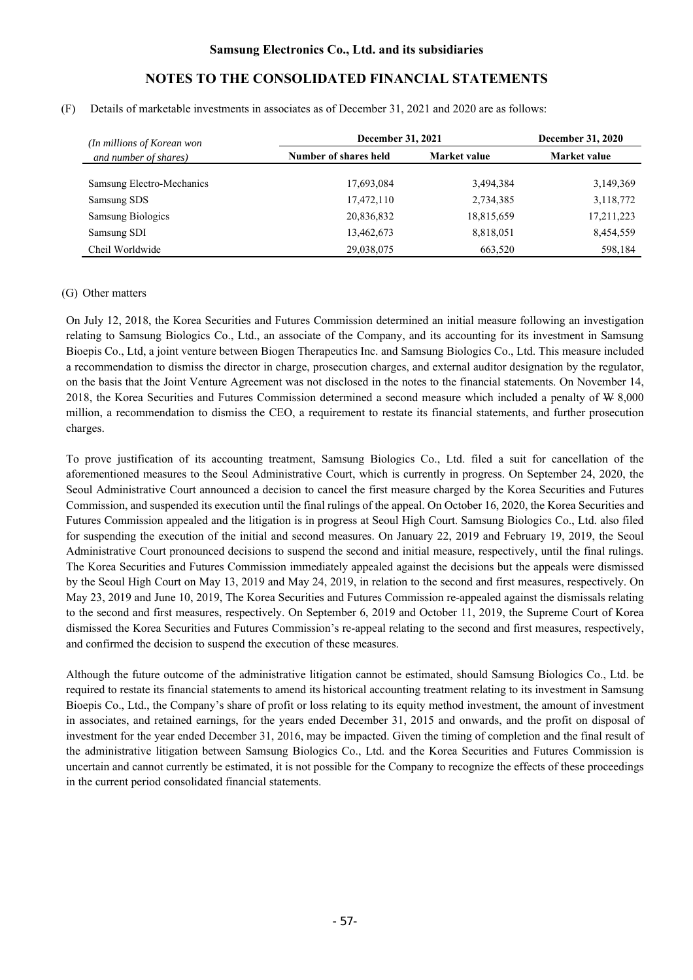#### (F) Details of marketable investments in associates as of December 31, 2021 and 2020 are as follows:

| (In millions of Korean won |                       | December 31, 2021 |              |  |
|----------------------------|-----------------------|-------------------|--------------|--|
| and number of shares)      | Number of shares held | Market value      | Market value |  |
| Samsung Electro-Mechanics  | 17,693,084            | 3.494.384         | 3,149,369    |  |
| Samsung SDS                | 17,472,110            | 2,734,385         | 3,118,772    |  |
| <b>Samsung Biologics</b>   | 20,836,832            | 18,815,659        | 17,211,223   |  |
| Samsung SDI                | 13,462,673            | 8,818,051         | 8,454,559    |  |
| Cheil Worldwide            | 29,038,075            | 663.520           | 598,184      |  |

### (G) Other matters

On July 12, 2018, the Korea Securities and Futures Commission determined an initial measure following an investigation relating to Samsung Biologics Co., Ltd., an associate of the Company, and its accounting for its investment in Samsung Bioepis Co., Ltd, a joint venture between Biogen Therapeutics Inc. and Samsung Biologics Co., Ltd. This measure included a recommendation to dismiss the director in charge, prosecution charges, and external auditor designation by the regulator, on the basis that the Joint Venture Agreement was not disclosed in the notes to the financial statements. On November 14, 2018, the Korea Securities and Futures Commission determined a second measure which included a penalty of W 8,000 million, a recommendation to dismiss the CEO, a requirement to restate its financial statements, and further prosecution charges.

To prove justification of its accounting treatment, Samsung Biologics Co., Ltd. filed a suit for cancellation of the aforementioned measures to the Seoul Administrative Court, which is currently in progress. On September 24, 2020, the Seoul Administrative Court announced a decision to cancel the first measure charged by the Korea Securities and Futures Commission, and suspended its execution until the final rulings of the appeal. On October 16, 2020, the Korea Securities and Futures Commission appealed and the litigation is in progress at Seoul High Court. Samsung Biologics Co., Ltd. also filed for suspending the execution of the initial and second measures. On January 22, 2019 and February 19, 2019, the Seoul Administrative Court pronounced decisions to suspend the second and initial measure, respectively, until the final rulings. The Korea Securities and Futures Commission immediately appealed against the decisions but the appeals were dismissed by the Seoul High Court on May 13, 2019 and May 24, 2019, in relation to the second and first measures, respectively. On May 23, 2019 and June 10, 2019, The Korea Securities and Futures Commission re-appealed against the dismissals relating to the second and first measures, respectively. On September 6, 2019 and October 11, 2019, the Supreme Court of Korea dismissed the Korea Securities and Futures Commission's re-appeal relating to the second and first measures, respectively, and confirmed the decision to suspend the execution of these measures.

Although the future outcome of the administrative litigation cannot be estimated, should Samsung Biologics Co., Ltd. be required to restate its financial statements to amend its historical accounting treatment relating to its investment in Samsung Bioepis Co., Ltd., the Company's share of profit or loss relating to its equity method investment, the amount of investment in associates, and retained earnings, for the years ended December 31, 2015 and onwards, and the profit on disposal of investment for the year ended December 31, 2016, may be impacted. Given the timing of completion and the final result of the administrative litigation between Samsung Biologics Co., Ltd. and the Korea Securities and Futures Commission is uncertain and cannot currently be estimated, it is not possible for the Company to recognize the effects of these proceedings in the current period consolidated financial statements.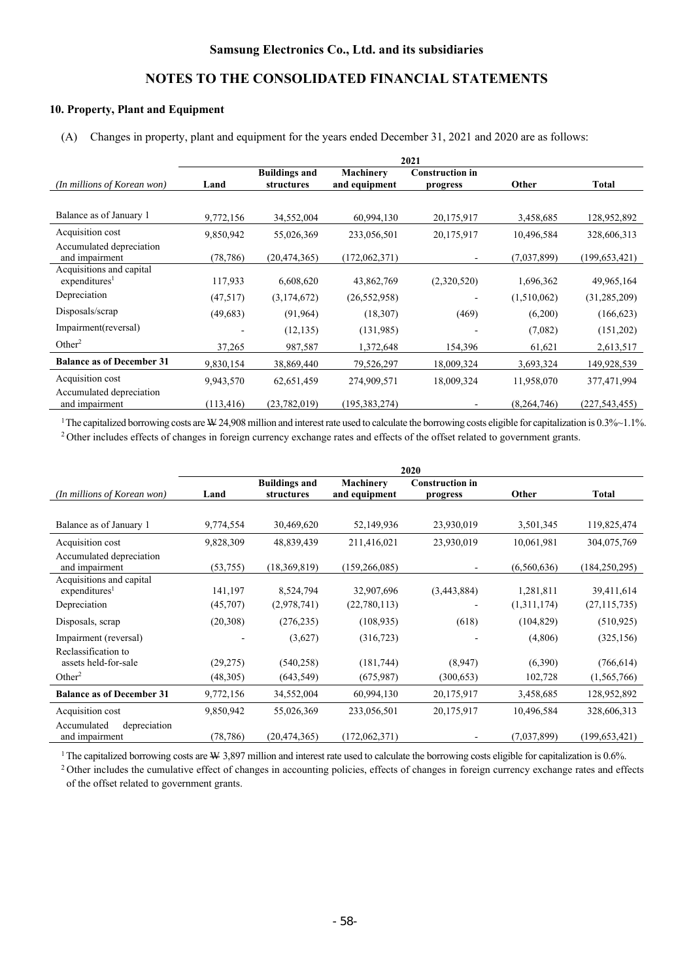### **10. Property, Plant and Equipment**

(A) Changes in property, plant and equipment for the years ended December 31, 2021 and 2020 are as follows:

|                                                       | 2021       |                                    |                                   |                                    |             |                 |
|-------------------------------------------------------|------------|------------------------------------|-----------------------------------|------------------------------------|-------------|-----------------|
| (In millions of Korean won)                           | Land       | <b>Buildings and</b><br>structures | <b>Machinery</b><br>and equipment | <b>Construction in</b><br>progress | Other       | <b>Total</b>    |
|                                                       |            |                                    |                                   |                                    |             |                 |
| Balance as of January 1                               | 9,772,156  | 34,552,004                         | 60,994,130                        | 20,175,917                         | 3,458,685   | 128,952,892     |
| Acquisition cost                                      | 9,850,942  | 55,026,369                         | 233,056,501                       | 20,175,917                         | 10,496,584  | 328,606,313     |
| Accumulated depreciation<br>and impairment            | (78, 786)  | (20, 474, 365)                     | (172,062,371)                     |                                    | (7,037,899) | (199, 653, 421) |
| Acquisitions and capital<br>expenditures <sup>1</sup> | 117,933    | 6,608,620                          | 43,862,769                        | (2,320,520)                        | 1,696,362   | 49,965,164      |
| Depreciation                                          | (47,517)   | (3,174,672)                        | (26, 552, 958)                    |                                    | (1,510,062) | (31, 285, 209)  |
| Disposals/scrap                                       | (49, 683)  | (91, 964)                          | (18,307)                          | (469)                              | (6,200)     | (166, 623)      |
| Impairment(reversal)                                  |            | (12, 135)                          | (131,985)                         |                                    | (7,082)     | (151,202)       |
| Other <sup>2</sup>                                    | 37,265     | 987,587                            | 1,372,648                         | 154,396                            | 61,621      | 2,613,517       |
| <b>Balance as of December 31</b>                      | 9,830,154  | 38,869,440                         | 79,526,297                        | 18,009,324                         | 3,693,324   | 149,928,539     |
| Acquisition cost                                      | 9,943,570  | 62,651,459                         | 274,909,571                       | 18,009,324                         | 11,958,070  | 377,471,994     |
| Accumulated depreciation<br>and impairment            | (113, 416) | (23, 782, 019)                     | (195, 383, 274)                   |                                    | (8,264,746) | (227, 543, 455) |

1 The capitalized borrowing costs are W 24,908 million and interest rate used to calculate the borrowing costs eligible for capitalization is 0.3%~1.1%. 2 Other includes effects of changes in foreign currency exchange rates and effects of the offset related to government grants.

**2020 Buildings and Machinery Construction in** 

| (In millions of Korean won)                                       | Land                 | Dunumgs and<br>structures | ічасшінеі у<br>and equipment | Сонми асион нг<br>progress | Other              | <b>Total</b>                |
|-------------------------------------------------------------------|----------------------|---------------------------|------------------------------|----------------------------|--------------------|-----------------------------|
|                                                                   |                      |                           |                              |                            |                    |                             |
| Balance as of January 1                                           | 9,774,554            | 30,469,620                | 52,149,936                   | 23,930,019                 | 3,501,345          | 119,825,474                 |
| Acquisition cost                                                  | 9,828,309            | 48,839,439                | 211,416,021                  | 23,930,019                 | 10,061,981         | 304,075,769                 |
| Accumulated depreciation<br>and impairment                        | (53,755)             | (18, 369, 819)            | (159, 266, 085)              |                            | (6,560,636)        | (184, 250, 295)             |
| Acquisitions and capital<br>expenditures <sup>1</sup>             | 141,197              | 8,524,794                 | 32,907,696                   | (3,443,884)                | 1,281,811          | 39,411,614                  |
| Depreciation                                                      | (45,707)             | (2,978,741)               | (22,780,113)                 |                            | (1,311,174)        | (27, 115, 735)              |
| Disposals, scrap                                                  | (20,308)             | (276, 235)                | (108, 935)                   | (618)                      | (104, 829)         | (510, 925)                  |
| Impairment (reversal)                                             |                      | (3,627)                   | (316, 723)                   |                            | (4,806)            | (325, 156)                  |
| Reclassification to<br>assets held-for-sale<br>Other <sup>2</sup> | (29,275)<br>(48,305) | (540, 258)<br>(643, 549)  | (181,744)<br>(675,987)       | (8,947)<br>(300, 653)      | (6,390)<br>102,728 | (766, 614)<br>(1, 565, 766) |
| <b>Balance as of December 31</b>                                  | 9,772,156            | 34,552,004                | 60,994,130                   | 20,175,917                 | 3,458,685          | 128,952,892                 |
| Acquisition cost                                                  | 9,850,942            | 55,026,369                | 233,056,501                  | 20,175,917                 | 10,496,584         | 328,606,313                 |
| Accumulated<br>depreciation<br>and impairment                     | (78, 786)            | (20, 474, 365)            | (172,062,371)                |                            | (7,037,899)        | (199, 653, 421)             |

<sup>1</sup>The capitalized borrowing costs are  $\mathcal W$  3,897 million and interest rate used to calculate the borrowing costs eligible for capitalization is 0.6%.<br><sup>2</sup> Other includes the cumulative effect of changes in accounting po of the offset related to government grants.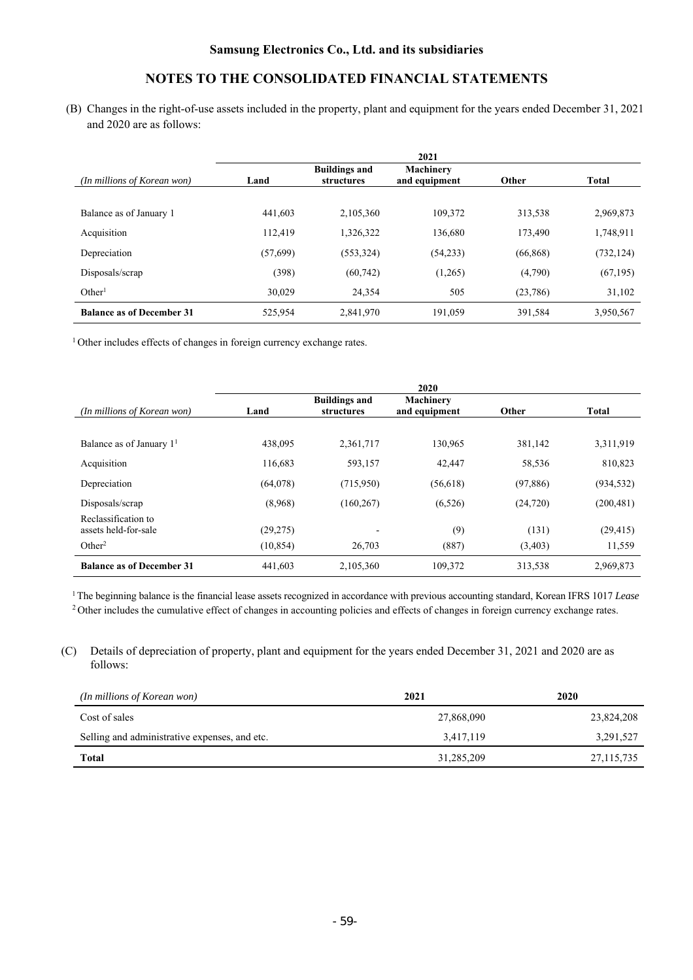# **NOTES TO THE CONSOLIDATED FINANCIAL STATEMENTS**

(B) Changes in the right-of-use assets included in the property, plant and equipment for the years ended December 31, 2021 and 2020 are as follows:

|                                  |           |                                    | 2021                              |           |              |
|----------------------------------|-----------|------------------------------------|-----------------------------------|-----------|--------------|
| (In millions of Korean won)      | Land      | <b>Buildings and</b><br>structures | <b>Machinery</b><br>and equipment | Other     | <b>Total</b> |
| Balance as of January 1          | 441,603   | 2.105.360                          | 109.372                           | 313,538   | 2,969,873    |
| Acquisition                      | 112,419   | 1,326,322                          | 136,680                           | 173,490   | 1,748,911    |
| Depreciation                     | (57, 699) | (553, 324)                         | (54,233)                          | (66, 868) | (732, 124)   |
| Disposals/scrap                  | (398)     | (60, 742)                          | (1,265)                           | (4,790)   | (67, 195)    |
| Other <sup>1</sup>               | 30.029    | 24.354                             | 505                               | (23, 786) | 31,102       |
| <b>Balance as of December 31</b> | 525,954   | 2,841,970                          | 191,059                           | 391,584   | 3,950,567    |

<sup>1</sup> Other includes effects of changes in foreign currency exchange rates.

|                                             |           |                                           | 2020                              |           |            |
|---------------------------------------------|-----------|-------------------------------------------|-----------------------------------|-----------|------------|
| (In millions of Korean won)                 | Land      | <b>Buildings and</b><br><i>structures</i> | <b>Machinery</b><br>and equipment | Other     | Total      |
|                                             |           |                                           |                                   |           |            |
| Balance as of January $11$                  | 438,095   | 2,361,717                                 | 130,965                           | 381,142   | 3,311,919  |
| Acquisition                                 | 116.683   | 593,157                                   | 42,447                            | 58,536    | 810,823    |
| Depreciation                                | (64,078)  | (715,950)                                 | (56,618)                          | (97, 886) | (934, 532) |
| Disposals/scrap                             | (8,968)   | (160, 267)                                | (6,526)                           | (24, 720) | (200, 481) |
| Reclassification to<br>assets held-for-sale | (29, 275) |                                           | (9)                               | (131)     | (29, 415)  |
| Other <sup>2</sup>                          | (10, 854) | 26,703                                    | (887)                             | (3,403)   | 11,559     |
| <b>Balance as of December 31</b>            | 441,603   | 2,105,360                                 | 109,372                           | 313,538   | 2,969,873  |

1 The beginning balance is the financial lease assets recognized in accordance with previous accounting standard, Korean IFRS 1017 *Lease*

<sup>2</sup> Other includes the cumulative effect of changes in accounting policies and effects of changes in foreign currency exchange rates.

(C) Details of depreciation of property, plant and equipment for the years ended December 31, 2021 and 2020 are as follows:

| (In millions of Korean won)                   | 2021       | 2020         |
|-----------------------------------------------|------------|--------------|
| Cost of sales                                 | 27,868,090 | 23,824,208   |
| Selling and administrative expenses, and etc. | 3,417,119  | 3,291,527    |
| Total                                         | 31,285,209 | 27, 115, 735 |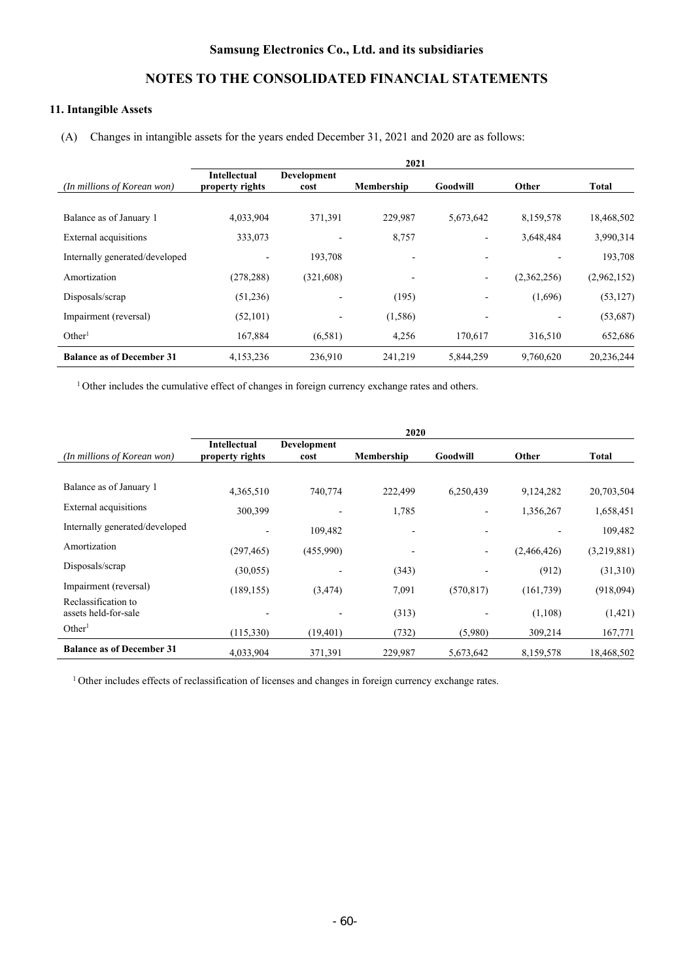# **NOTES TO THE CONSOLIDATED FINANCIAL STATEMENTS**

## **11. Intangible Assets**

(A) Changes in intangible assets for the years ended December 31, 2021 and 2020 are as follows:

|                                  | 2021                                   |                            |                   |           |             |             |
|----------------------------------|----------------------------------------|----------------------------|-------------------|-----------|-------------|-------------|
| (In millions of Korean won)      | <b>Intellectual</b><br>property rights | <b>Development</b><br>cost | <b>Membership</b> | Goodwill  | Other       | Total       |
|                                  |                                        |                            |                   |           |             |             |
| Balance as of January 1          | 4,033,904                              | 371,391                    | 229,987           | 5,673,642 | 8,159,578   | 18,468,502  |
| External acquisitions            | 333,073                                |                            | 8,757             |           | 3,648,484   | 3,990,314   |
| Internally generated/developed   | $\overline{\phantom{a}}$               | 193,708                    |                   |           |             | 193,708     |
| Amortization                     | (278, 288)                             | (321, 608)                 |                   | ٠         | (2,362,256) | (2,962,152) |
| Disposals/scrap                  | (51,236)                               |                            | (195)             |           | (1,696)     | (53, 127)   |
| Impairment (reversal)            | (52, 101)                              | $\overline{\phantom{a}}$   | (1,586)           |           |             | (53,687)    |
| Other <sup>1</sup>               | 167,884                                | (6,581)                    | 4,256             | 170.617   | 316,510     | 652,686     |
| <b>Balance as of December 31</b> | 4,153,236                              | 236,910                    | 241,219           | 5,844,259 | 9,760,620   | 20,236,244  |

<sup>1</sup> Other includes the cumulative effect of changes in foreign currency exchange rates and others.

| 2020                                        |                                        |                     |            |                              |             |             |
|---------------------------------------------|----------------------------------------|---------------------|------------|------------------------------|-------------|-------------|
| (In millions of Korean won)                 | <b>Intellectual</b><br>property rights | Development<br>cost | Membership | Goodwill                     | Other       | Total       |
|                                             |                                        |                     |            |                              |             |             |
| Balance as of January 1                     | 4,365,510                              | 740,774             | 222,499    | 6,250,439                    | 9,124,282   | 20,703,504  |
| External acquisitions                       | 300,399                                |                     | 1,785      |                              | 1,356,267   | 1,658,451   |
| Internally generated/developed              |                                        | 109,482             |            |                              |             | 109,482     |
| Amortization                                | (297, 465)                             | (455,990)           |            | $\qquad \qquad \blacksquare$ | (2,466,426) | (3,219,881) |
| Disposals/scrap                             | (30,055)                               |                     | (343)      |                              | (912)       | (31,310)    |
| Impairment (reversal)                       | (189, 155)                             | (3, 474)            | 7,091      | (570, 817)                   | (161, 739)  | (918,094)   |
| Reclassification to<br>assets held-for-sale |                                        |                     | (313)      |                              | (1,108)     | (1,421)     |
| Other <sup>1</sup>                          | (115,330)                              | (19, 401)           | (732)      | (5,980)                      | 309,214     | 167,771     |
| <b>Balance as of December 31</b>            | 4,033,904                              | 371,391             | 229,987    | 5,673,642                    | 8,159,578   | 18,468,502  |

<sup>1</sup> Other includes effects of reclassification of licenses and changes in foreign currency exchange rates.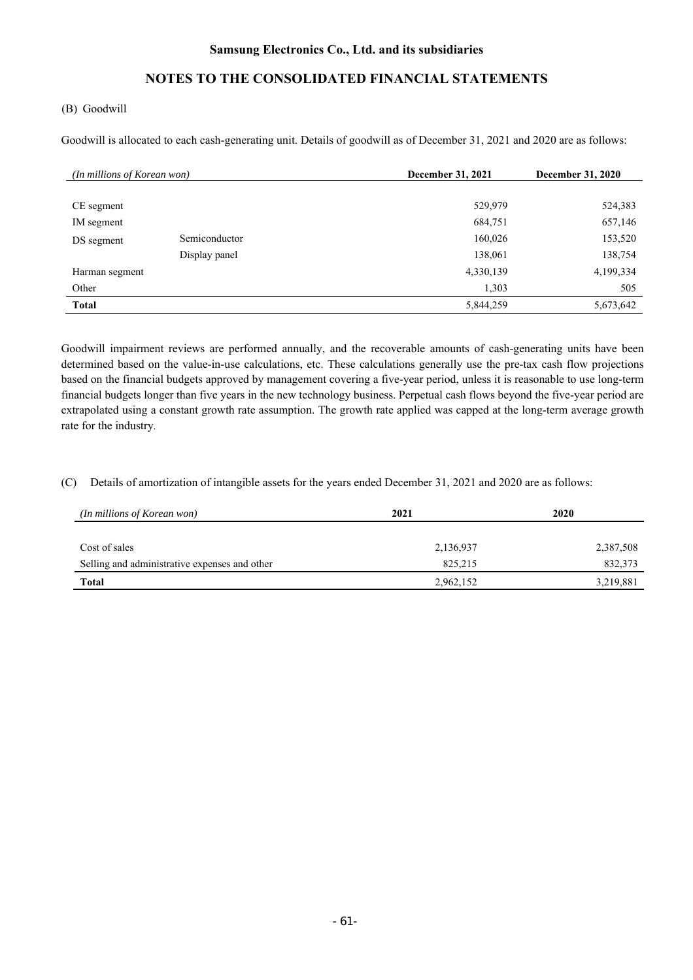# **NOTES TO THE CONSOLIDATED FINANCIAL STATEMENTS**

#### (B) Goodwill

Goodwill is allocated to each cash-generating unit. Details of goodwill as of December 31, 2021 and 2020 are as follows:

|                | (In millions of Korean won) |           | <b>December 31, 2020</b> |
|----------------|-----------------------------|-----------|--------------------------|
|                |                             |           |                          |
| CE segment     |                             | 529,979   | 524,383                  |
| IM segment     |                             | 684,751   | 657,146                  |
| DS segment     | Semiconductor               | 160,026   | 153,520                  |
|                | Display panel               | 138,061   | 138,754                  |
| Harman segment |                             | 4,330,139 | 4,199,334                |
| Other          |                             | 1,303     | 505                      |
| <b>Total</b>   |                             | 5,844,259 | 5,673,642                |

Goodwill impairment reviews are performed annually, and the recoverable amounts of cash-generating units have been determined based on the value-in-use calculations, etc. These calculations generally use the pre-tax cash flow projections based on the financial budgets approved by management covering a five-year period, unless it is reasonable to use long-term financial budgets longer than five years in the new technology business. Perpetual cash flows beyond the five-year period are extrapolated using a constant growth rate assumption. The growth rate applied was capped at the long-term average growth rate for the industry.

(C) Details of amortization of intangible assets for the years ended December 31, 2021 and 2020 are as follows:

| (In millions of Korean won)                   | 2021      | 2020      |
|-----------------------------------------------|-----------|-----------|
|                                               |           |           |
| Cost of sales                                 | 2,136,937 | 2,387,508 |
| Selling and administrative expenses and other | 825, 215  | 832,373   |
| <b>Total</b>                                  | 2,962,152 | 3,219,881 |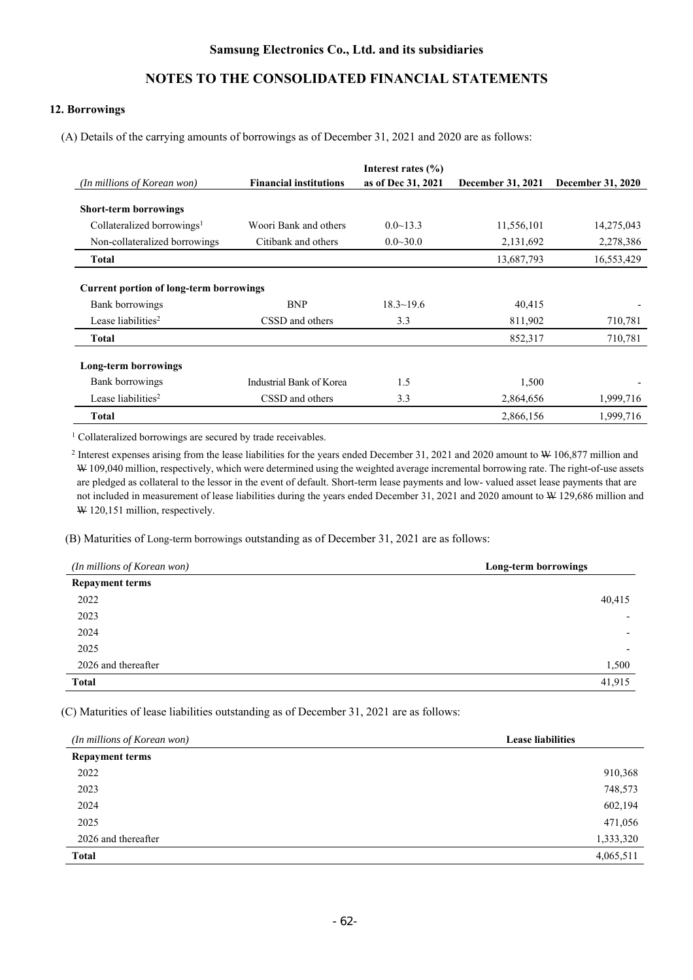#### **12. Borrowings**

(A) Details of the carrying amounts of borrowings as of December 31, 2021 and 2020 are as follows:

| (In millions of Korean won)                    | <b>Financial institutions</b> | Interest rates $(\% )$<br>as of Dec 31, 2021 | December 31, 2021 | <b>December 31, 2020</b> |
|------------------------------------------------|-------------------------------|----------------------------------------------|-------------------|--------------------------|
|                                                |                               |                                              |                   |                          |
| <b>Short-term borrowings</b>                   |                               |                                              |                   |                          |
| Collateralized borrowings <sup>1</sup>         | Woori Bank and others         | $0.0 \sim 13.3$                              | 11,556,101        | 14,275,043               |
| Non-collateralized borrowings                  | Citibank and others           | $0.0 \sim 30.0$                              | 2,131,692         | 2,278,386                |
| <b>Total</b>                                   |                               |                                              | 13,687,793        | 16,553,429               |
|                                                |                               |                                              |                   |                          |
| <b>Current portion of long-term borrowings</b> |                               |                                              |                   |                          |
| Bank borrowings                                | <b>BNP</b>                    | $18.3 \sim 19.6$                             | 40,415            |                          |
| Lease liabilities <sup>2</sup>                 | CSSD and others               | 3.3                                          | 811,902           | 710,781                  |
| <b>Total</b>                                   |                               |                                              | 852,317           | 710,781                  |
| Long-term borrowings                           |                               |                                              |                   |                          |
| Bank borrowings                                | Industrial Bank of Korea      | 1.5                                          | 1,500             |                          |
| Lease liabilities <sup>2</sup>                 | CSSD and others               | 3.3                                          | 2,864,656         | 1,999,716                |
| <b>Total</b>                                   |                               |                                              | 2,866,156         | 1,999,716                |

<sup>1</sup> Collateralized borrowings are secured by trade receivables.

<sup>2</sup> Interest expenses arising from the lease liabilities for the years ended December 31, 2021 and 2020 amount to W 106,877 million and W 109,040 million, respectively, which were determined using the weighted average incremental borrowing rate. The right-of-use assets are pledged as collateral to the lessor in the event of default. Short-term lease payments and low- valued asset lease payments that are not included in measurement of lease liabilities during the years ended December 31, 2021 and 2020 amount to W 129,686 million and W 120,151 million, respectively.

(B) Maturities of Long-term borrowings outstanding as of December 31, 2021 are as follows:

| (In millions of Korean won) | Long-term borrowings     |  |
|-----------------------------|--------------------------|--|
| <b>Repayment terms</b>      |                          |  |
| 2022                        | 40,415                   |  |
| 2023                        | $\overline{\phantom{0}}$ |  |
| 2024                        | $\overline{\phantom{0}}$ |  |
| 2025                        | $\overline{\phantom{0}}$ |  |
| 2026 and thereafter         | 1,500                    |  |
| <b>Total</b>                | 41,915                   |  |

(C) Maturities of lease liabilities outstanding as of December 31, 2021 are as follows:

| (In millions of Korean won) | <b>Lease liabilities</b> |  |  |
|-----------------------------|--------------------------|--|--|
| <b>Repayment terms</b>      |                          |  |  |
| 2022                        | 910,368                  |  |  |
| 2023                        | 748,573                  |  |  |
| 2024                        | 602,194                  |  |  |
| 2025                        | 471,056                  |  |  |
| 2026 and thereafter         | 1,333,320                |  |  |
| <b>Total</b>                | 4,065,511                |  |  |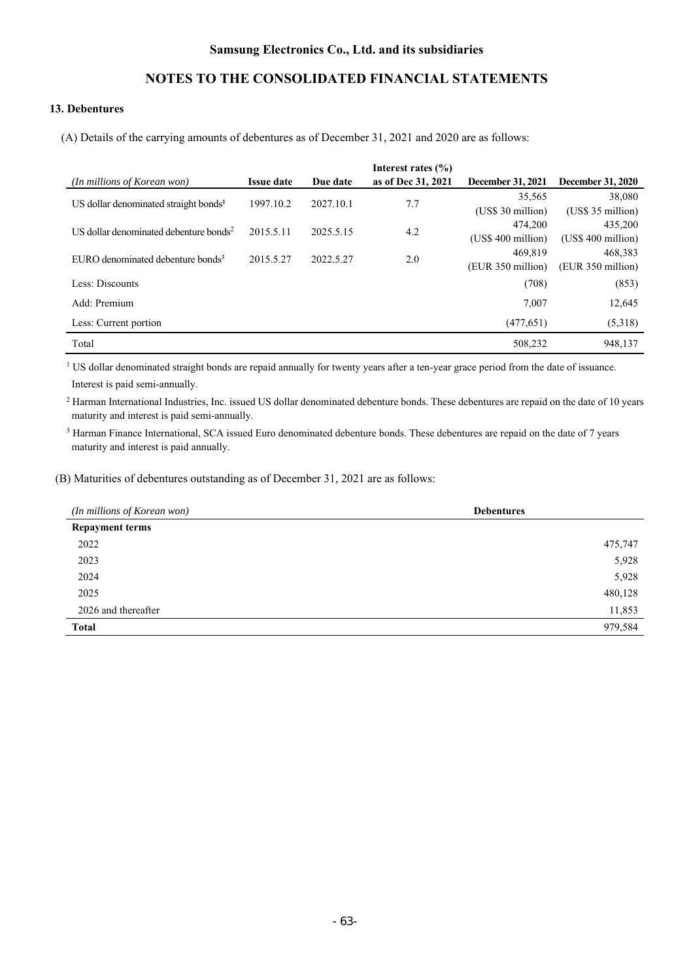# **NOTES TO THE CONSOLIDATED FINANCIAL STATEMENTS**

### **13. Debentures**

(A) Details of the carrying amounts of debentures as of December 31, 2021 and 2020 are as follows:

|                                                    |                   |           | Interest rates $(\% )$ |                          |                          |
|----------------------------------------------------|-------------------|-----------|------------------------|--------------------------|--------------------------|
| (In millions of Korean won)                        | <b>Issue date</b> | Due date  | as of Dec 31, 2021     | <b>December 31, 2021</b> | <b>December 31, 2020</b> |
| US dollar denominated straight bonds <sup>1</sup>  | 1997.10.2         | 2027.10.1 | 7.7                    | 35,565                   | 38,080                   |
|                                                    |                   |           |                        | (US\$ 30 million)        | $(US\$ 35 million)       |
|                                                    |                   |           |                        | 474,200                  | 435,200                  |
| US dollar denominated debenture bonds <sup>2</sup> | 2015.5.11         | 2025.5.15 | 4.2                    | $(US\$ 400 million)      | (US\$ 400 million)       |
|                                                    |                   |           |                        | 469.819                  | 468.383                  |
| EURO denominated debenture bonds <sup>3</sup>      | 2015.5.27         | 2022.5.27 | 2.0                    | (EUR 350 million)        | (EUR 350 million)        |
|                                                    |                   |           |                        |                          |                          |
| Less: Discounts                                    |                   |           |                        | (708)                    | (853)                    |
| Add: Premium                                       |                   |           |                        | 7.007                    | 12,645                   |
| Less: Current portion                              |                   |           |                        | (477, 651)               | (5,318)                  |
| Total                                              |                   |           |                        | 508,232                  | 948,137                  |

<sup>1</sup> US dollar denominated straight bonds are repaid annually for twenty years after a ten-year grace period from the date of issuance. Interest is paid semi-annually.

<sup>2</sup> Harman International Industries, Inc. issued US dollar denominated debenture bonds. These debentures are repaid on the date of 10 years maturity and interest is paid semi-annually.

<sup>3</sup> Harman Finance International, SCA issued Euro denominated debenture bonds. These debentures are repaid on the date of 7 years maturity and interest is paid annually.

(B) Maturities of debentures outstanding as of December 31, 2021 are as follows:

| (In millions of Korean won) | <b>Debentures</b> |
|-----------------------------|-------------------|
| <b>Repayment terms</b>      |                   |
| 2022                        | 475,747           |
| 2023                        | 5,928             |
| 2024                        | 5,928             |
| 2025                        | 480,128           |
| 2026 and thereafter         | 11,853            |
| <b>Total</b>                | 979,584           |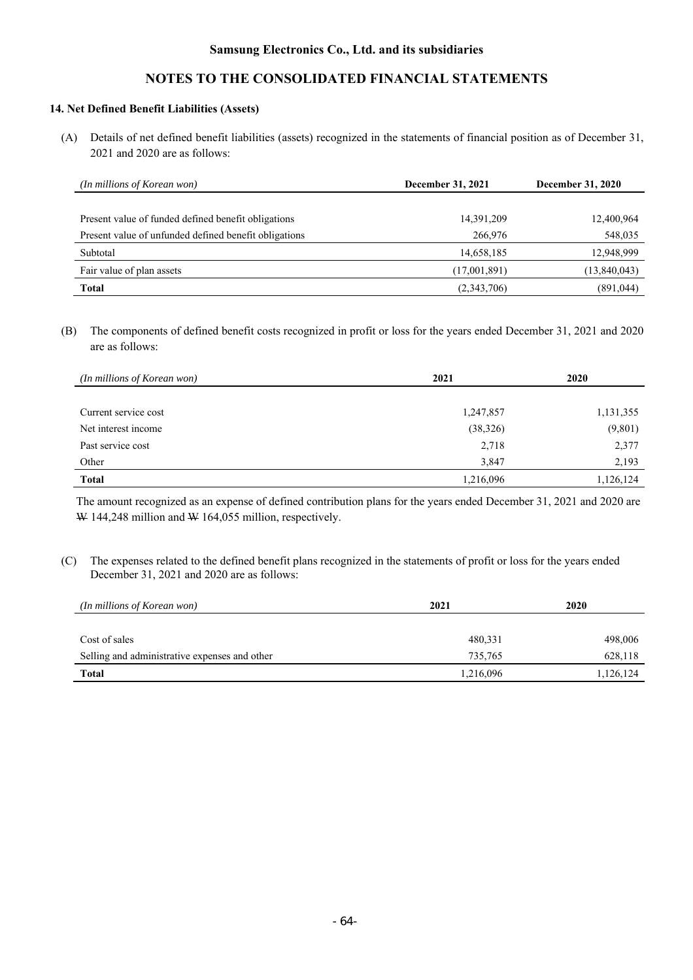# **NOTES TO THE CONSOLIDATED FINANCIAL STATEMENTS**

### **14. Net Defined Benefit Liabilities (Assets)**

(A) Details of net defined benefit liabilities (assets) recognized in the statements of financial position as of December 31, 2021 and 2020 are as follows:

| (In millions of Korean won)                           | December 31, 2021 | <b>December 31, 2020</b> |  |
|-------------------------------------------------------|-------------------|--------------------------|--|
|                                                       |                   |                          |  |
| Present value of funded defined benefit obligations   | 14,391,209        | 12,400,964               |  |
| Present value of unfunded defined benefit obligations | 266,976           | 548,035                  |  |
| Subtotal                                              | 14,658,185        | 12,948,999               |  |
| Fair value of plan assets                             | (17,001,891)      | (13,840,043)             |  |
| <b>Total</b>                                          | (2,343,706)       | (891, 044)               |  |

(B) The components of defined benefit costs recognized in profit or loss for the years ended December 31, 2021 and 2020 are as follows:

| (In millions of Korean won) | 2021      | 2020      |
|-----------------------------|-----------|-----------|
|                             |           |           |
| Current service cost        | 1,247,857 | 1,131,355 |
| Net interest income         | (38, 326) | (9,801)   |
| Past service cost           | 2,718     | 2,377     |
| Other                       | 3,847     | 2,193     |
| <b>Total</b>                | 1,216,096 | 1,126,124 |

The amount recognized as an expense of defined contribution plans for the years ended December 31, 2021 and 2020 are W 144,248 million and W 164,055 million, respectively.

(C) The expenses related to the defined benefit plans recognized in the statements of profit or loss for the years ended December 31, 2021 and 2020 are as follows:

| (In millions of Korean won)                   | 2021      | 2020      |
|-----------------------------------------------|-----------|-----------|
|                                               |           |           |
| Cost of sales                                 | 480,331   | 498,006   |
| Selling and administrative expenses and other | 735.765   | 628,118   |
| <b>Total</b>                                  | 1,216,096 | 1,126,124 |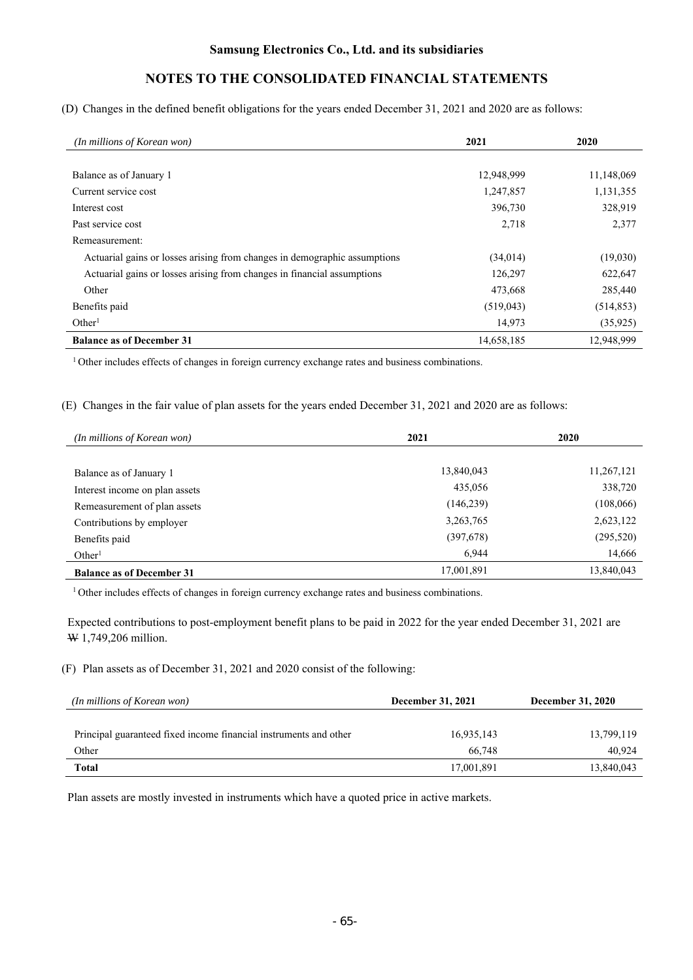(D) Changes in the defined benefit obligations for the years ended December 31, 2021 and 2020 are as follows:

| (In millions of Korean won)                                               | 2021       | 2020       |
|---------------------------------------------------------------------------|------------|------------|
|                                                                           |            |            |
| Balance as of January 1                                                   | 12,948,999 | 11,148,069 |
| Current service cost                                                      | 1,247,857  | 1,131,355  |
| Interest cost                                                             | 396,730    | 328,919    |
| Past service cost                                                         | 2,718      | 2,377      |
| Remeasurement:                                                            |            |            |
| Actuarial gains or losses arising from changes in demographic assumptions | (34, 014)  | (19,030)   |
| Actuarial gains or losses arising from changes in financial assumptions   | 126,297    | 622,647    |
| Other                                                                     | 473,668    | 285,440    |
| Benefits paid                                                             | (519, 043) | (514, 853) |
| Other <sup>1</sup>                                                        | 14,973     | (35, 925)  |
| <b>Balance as of December 31</b>                                          | 14,658,185 | 12,948,999 |

<sup>1</sup> Other includes effects of changes in foreign currency exchange rates and business combinations.

(E) Changes in the fair value of plan assets for the years ended December 31, 2021 and 2020 are as follows:

| (In millions of Korean won)      | 2021        | 2020       |
|----------------------------------|-------------|------------|
|                                  |             |            |
| Balance as of January 1          | 13,840,043  | 11,267,121 |
| Interest income on plan assets   | 435,056     | 338,720    |
| Remeasurement of plan assets     | (146, 239)  | (108, 066) |
| Contributions by employer        | 3, 263, 765 | 2,623,122  |
| Benefits paid                    | (397,678)   | (295, 520) |
| Other <sup>1</sup>               | 6.944       | 14,666     |
| <b>Balance as of December 31</b> | 17,001,891  | 13,840,043 |

<sup>1</sup> Other includes effects of changes in foreign currency exchange rates and business combinations.

Expected contributions to post-employment benefit plans to be paid in 2022 for the year ended December 31, 2021 are W 1,749,206 million.

(F) Plan assets as of December 31, 2021 and 2020 consist of the following:

| (In millions of Korean won)                                       | <b>December 31, 2021</b> | <b>December 31, 2020</b> |  |
|-------------------------------------------------------------------|--------------------------|--------------------------|--|
|                                                                   |                          |                          |  |
| Principal guaranteed fixed income financial instruments and other | 16,935,143               | 13,799,119               |  |
| Other                                                             | 66.748                   | 40.924                   |  |
| Total                                                             | 17,001,891               | 13,840,043               |  |

Plan assets are mostly invested in instruments which have a quoted price in active markets.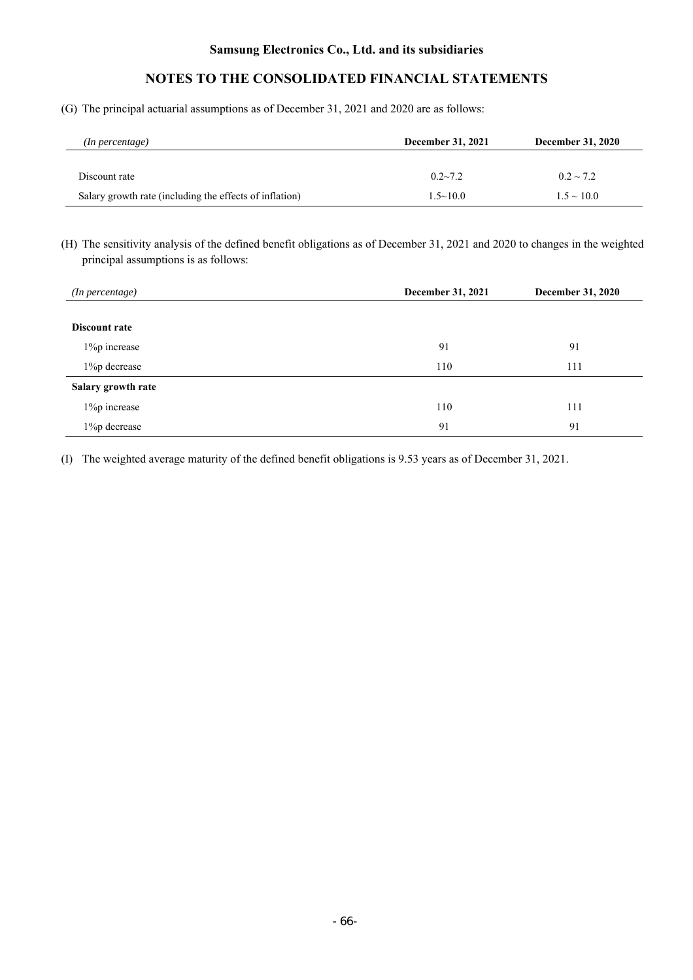# **NOTES TO THE CONSOLIDATED FINANCIAL STATEMENTS**

(G) The principal actuarial assumptions as of December 31, 2021 and 2020 are as follows:

| (In percentage)                                         | <b>December 31, 2021</b> | <b>December 31, 2020</b> |
|---------------------------------------------------------|--------------------------|--------------------------|
|                                                         |                          |                          |
| Discount rate                                           | $0.2 - 7.2$              | $0.2 \sim 7.2$           |
| Salary growth rate (including the effects of inflation) | $1.5 \sim 10.0$          | $1.5 \sim 10.0$          |

(H) The sensitivity analysis of the defined benefit obligations as of December 31, 2021 and 2020 to changes in the weighted principal assumptions is as follows:

| ( <i>In percentage</i> ) | <b>December 31, 2021</b> | December 31, 2020 |
|--------------------------|--------------------------|-------------------|
| Discount rate            |                          |                   |
| 1% pincrease             | 91                       | 91                |
| 1% p decrease            | 110                      | 111               |
| Salary growth rate       |                          |                   |
| 1% pincrease             | 110                      | 111               |
| 1% p decrease            | 91                       | 91                |

(I) The weighted average maturity of the defined benefit obligations is 9.53 years as of December 31, 2021.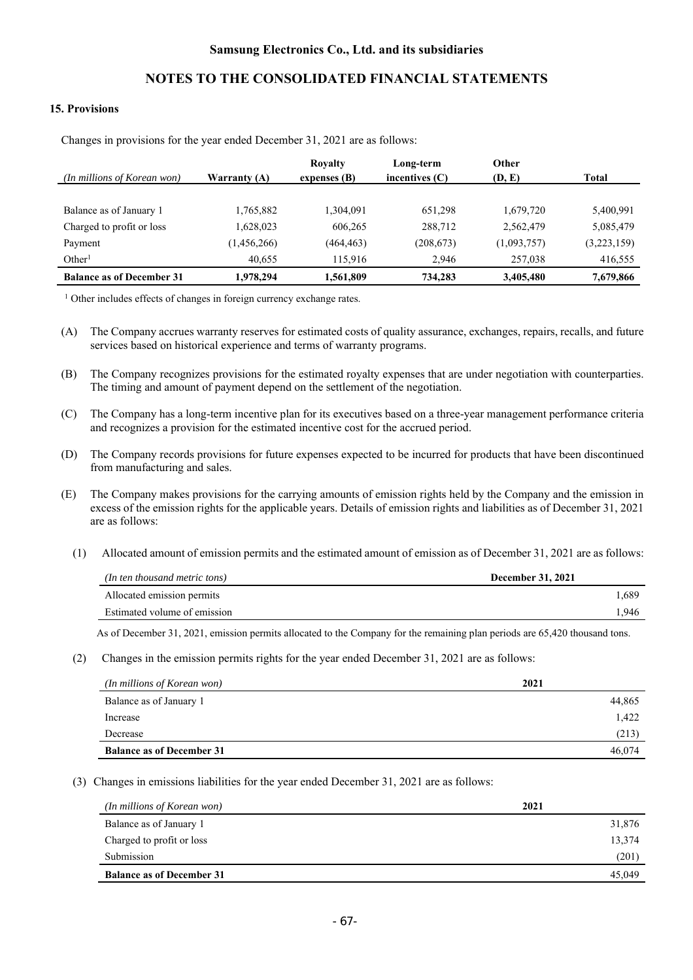#### **15. Provisions**

|                                  |                | <b>Royalty</b> | Long-term        | Other       |             |
|----------------------------------|----------------|----------------|------------------|-------------|-------------|
| (In millions of Korean won)      | Warranty $(A)$ | expenses $(B)$ | incentives $(C)$ | (D, E)      | Total       |
|                                  |                |                |                  |             |             |
| Balance as of January 1          | 1,765,882      | 1,304,091      | 651.298          | 1,679,720   | 5,400,991   |
| Charged to profit or loss        | 1,628,023      | 606,265        | 288,712          | 2,562,479   | 5,085,479   |
| Payment                          | (1,456,266)    | (464, 463)     | (208, 673)       | (1,093,757) | (3,223,159) |
| Other <sup>1</sup>               | 40,655         | 115,916        | 2.946            | 257,038     | 416,555     |
| <b>Balance as of December 31</b> | 1,978,294      | 1,561,809      | 734,283          | 3,405,480   | 7,679,866   |

Changes in provisions for the year ended December 31, 2021 are as follows:

<sup>1</sup> Other includes effects of changes in foreign currency exchange rates.

(A) The Company accrues warranty reserves for estimated costs of quality assurance, exchanges, repairs, recalls, and future services based on historical experience and terms of warranty programs.

(B) The Company recognizes provisions for the estimated royalty expenses that are under negotiation with counterparties. The timing and amount of payment depend on the settlement of the negotiation.

- (C) The Company has a long-term incentive plan for its executives based on a three-year management performance criteria and recognizes a provision for the estimated incentive cost for the accrued period.
- (D) The Company records provisions for future expenses expected to be incurred for products that have been discontinued from manufacturing and sales.
- (E) The Company makes provisions for the carrying amounts of emission rights held by the Company and the emission in excess of the emission rights for the applicable years. Details of emission rights and liabilities as of December 31, 2021 are as follows:
	- (1) Allocated amount of emission permits and the estimated amount of emission as of December 31, 2021 are as follows:

| (In ten thousand metric tons) | <b>December 31, 2021</b> |
|-------------------------------|--------------------------|
| Allocated emission permits    | 1.689                    |
| Estimated volume of emission  | .946                     |

As of December 31, 2021, emission permits allocated to the Company for the remaining plan periods are 65,420 thousand tons.

(2) Changes in the emission permits rights for the year ended December 31, 2021 are as follows:

| (In millions of Korean won)      | 2021   |
|----------------------------------|--------|
| Balance as of January 1          | 44,865 |
| Increase                         | 1,422  |
| Decrease                         | (213)  |
| <b>Balance as of December 31</b> | 46,074 |

(3) Changes in emissions liabilities for the year ended December 31, 2021 are as follows:

| (In millions of Korean won)      | 2021   |
|----------------------------------|--------|
| Balance as of January 1          | 31,876 |
| Charged to profit or loss        | 13,374 |
| Submission                       | (201)  |
| <b>Balance as of December 31</b> | 45,049 |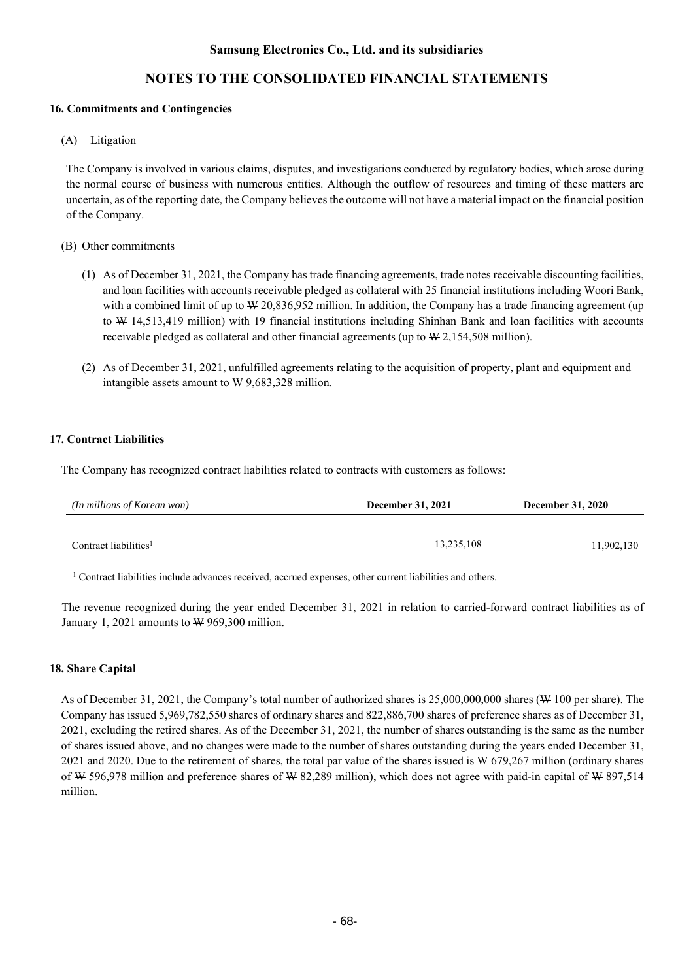# **NOTES TO THE CONSOLIDATED FINANCIAL STATEMENTS**

#### **16. Commitments and Contingencies**

(A) Litigation

The Company is involved in various claims, disputes, and investigations conducted by regulatory bodies, which arose during the normal course of business with numerous entities. Although the outflow of resources and timing of these matters are uncertain, as of the reporting date, the Company believes the outcome will not have a material impact on the financial position of the Company.

#### (B) Other commitments

- (1) As of December 31, 2021, the Company has trade financing agreements, trade notes receivable discounting facilities, and loan facilities with accounts receivable pledged as collateral with 25 financial institutions including Woori Bank, with a combined limit of up to  $W 20,836,952$  million. In addition, the Company has a trade financing agreement (up to W 14,513,419 million) with 19 financial institutions including Shinhan Bank and loan facilities with accounts receivable pledged as collateral and other financial agreements (up to  $W2,154,508$  million).
- (2) As of December 31, 2021, unfulfilled agreements relating to the acquisition of property, plant and equipment and intangible assets amount to W 9,683,328 million.

### **17. Contract Liabilities**

The Company has recognized contract liabilities related to contracts with customers as follows:

| (In millions of Korean won)       | <b>December 31, 2021</b> | <b>December 31, 2020</b> |
|-----------------------------------|--------------------------|--------------------------|
|                                   |                          |                          |
| Contract liabilities <sup>1</sup> | 13,235,108               | 11,902,130               |

1 Contract liabilities include advances received, accrued expenses, other current liabilities and others.

The revenue recognized during the year ended December 31, 2021 in relation to carried-forward contract liabilities as of January 1, 2021 amounts to  $\mathcal W$  969,300 million.

### **18. Share Capital**

As of December 31, 2021, the Company's total number of authorized shares is 25,000,000,000 shares (W 100 per share). The Company has issued 5,969,782,550 shares of ordinary shares and 822,886,700 shares of preference shares as of December 31, 2021, excluding the retired shares. As of the December 31, 2021, the number of shares outstanding is the same as the number of shares issued above, and no changes were made to the number of shares outstanding during the years ended December 31, 2021 and 2020. Due to the retirement of shares, the total par value of the shares issued is W 679,267 million (ordinary shares of W 596,978 million and preference shares of W 82,289 million), which does not agree with paid-in capital of W 897,514 million.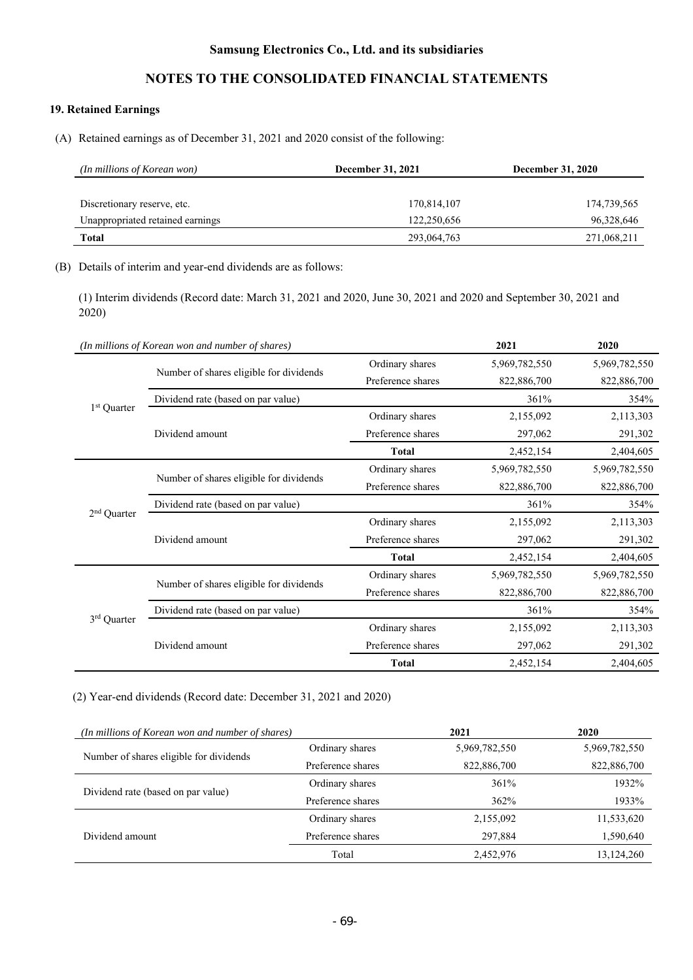# **NOTES TO THE CONSOLIDATED FINANCIAL STATEMENTS**

# **19. Retained Earnings**

(A) Retained earnings as of December 31, 2021 and 2020 consist of the following:

| (In millions of Korean won)      | December 31, 2021 | <b>December 31, 2020</b> |  |
|----------------------------------|-------------------|--------------------------|--|
|                                  |                   |                          |  |
| Discretionary reserve, etc.      | 170,814,107       | 174,739,565              |  |
| Unappropriated retained earnings | 122,250,656       | 96,328,646               |  |
| Total                            | 293,064,763       | 271,068,211              |  |

### (B) Details of interim and year-end dividends are as follows:

(1) Interim dividends (Record date: March 31, 2021 and 2020, June 30, 2021 and 2020 and September 30, 2021 and 2020)

|                                            | (In millions of Korean won and number of shares) |                   | 2021          | 2020          |
|--------------------------------------------|--------------------------------------------------|-------------------|---------------|---------------|
|                                            |                                                  | Ordinary shares   | 5,969,782,550 | 5,969,782,550 |
|                                            | Number of shares eligible for dividends          | Preference shares | 822,886,700   | 822,886,700   |
|                                            | Dividend rate (based on par value)               |                   | 361%          | 354%          |
| 1 <sup>st</sup> Quarter                    |                                                  | Ordinary shares   | 2,155,092     | 2,113,303     |
|                                            | Dividend amount                                  | Preference shares | 297,062       | 291,302       |
|                                            |                                                  | <b>Total</b>      | 2,452,154     | 2,404,605     |
|                                            |                                                  | Ordinary shares   | 5,969,782,550 | 5,969,782,550 |
| Number of shares eligible for dividends    | Preference shares                                | 822,886,700       | 822,886,700   |               |
|                                            | Dividend rate (based on par value)               |                   | 361%          | 354%          |
| $2nd$ Quarter                              |                                                  | Ordinary shares   | 2,155,092     | 2,113,303     |
| Dividend amount                            | Preference shares                                | 297,062           | 291,302       |               |
|                                            | <b>Total</b>                                     | 2,452,154         | 2,404,605     |               |
|                                            |                                                  | Ordinary shares   | 5,969,782,550 | 5,969,782,550 |
|                                            | Number of shares eligible for dividends          | Preference shares | 822,886,700   | 822,886,700   |
|                                            | Dividend rate (based on par value)               |                   | 361%          | 354%          |
| 3 <sup>rd</sup> Quarter<br>Dividend amount | Ordinary shares                                  | 2,155,092         | 2,113,303     |               |
|                                            |                                                  | Preference shares | 297,062       | 291,302       |
|                                            |                                                  | <b>Total</b>      | 2,452,154     | 2,404,605     |

(2) Year-end dividends (Record date: December 31, 2021 and 2020)

| (In millions of Korean won and number of shares) |                   | 2021          | 2020          |
|--------------------------------------------------|-------------------|---------------|---------------|
|                                                  | Ordinary shares   | 5,969,782,550 | 5,969,782,550 |
| Number of shares eligible for dividends          | Preference shares | 822,886,700   | 822,886,700   |
| Dividend rate (based on par value)               | Ordinary shares   | 361%          | 1932%         |
|                                                  | Preference shares | 362%          | 1933%         |
|                                                  | Ordinary shares   | 2,155,092     | 11,533,620    |
| Dividend amount                                  | Preference shares | 297,884       | 1,590,640     |
|                                                  | Total             | 2,452,976     | 13,124,260    |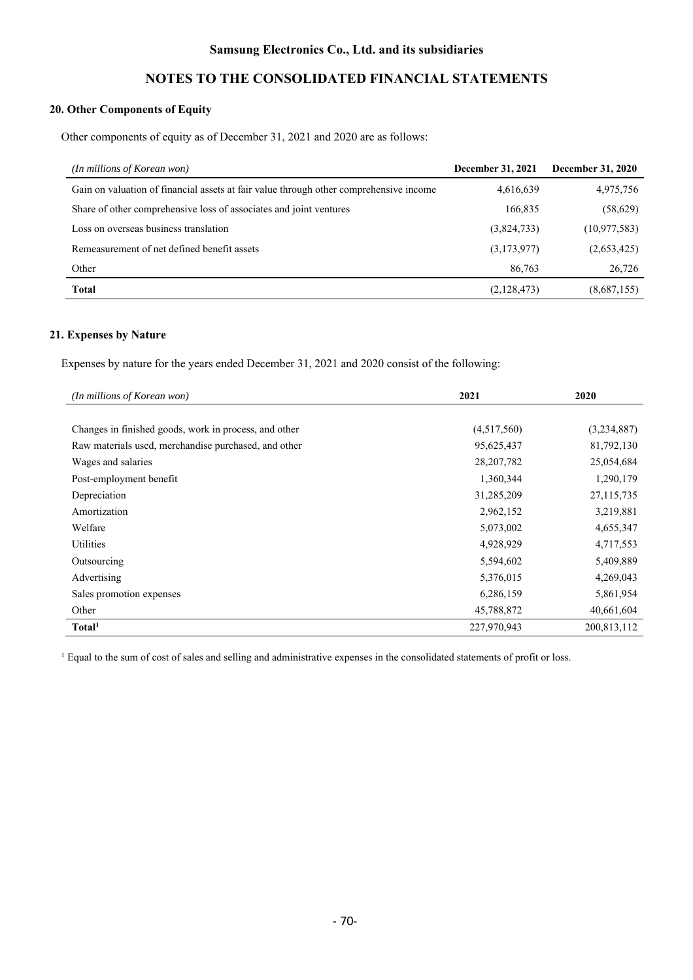# **NOTES TO THE CONSOLIDATED FINANCIAL STATEMENTS**

## **20. Other Components of Equity**

Other components of equity as of December 31, 2021 and 2020 are as follows:

| (In millions of Korean won)                                                            | December 31, 2021 | December 31, 2020 |
|----------------------------------------------------------------------------------------|-------------------|-------------------|
| Gain on valuation of financial assets at fair value through other comprehensive income | 4,616,639         | 4,975,756         |
| Share of other comprehensive loss of associates and joint ventures                     | 166,835           | (58, 629)         |
| Loss on overseas business translation                                                  | (3,824,733)       | (10, 977, 583)    |
| Remeasurement of net defined benefit assets                                            | (3,173,977)       | (2,653,425)       |
| Other                                                                                  | 86,763            | 26,726            |
| Total                                                                                  | (2,128,473)       | (8,687,155)       |

### **21. Expenses by Nature**

Expenses by nature for the years ended December 31, 2021 and 2020 consist of the following:

| (In millions of Korean won)                           | 2021         | 2020        |
|-------------------------------------------------------|--------------|-------------|
|                                                       |              |             |
| Changes in finished goods, work in process, and other | (4,517,560)  | (3,234,887) |
| Raw materials used, merchandise purchased, and other  | 95,625,437   | 81,792,130  |
| Wages and salaries                                    | 28, 207, 782 | 25,054,684  |
| Post-employment benefit                               | 1,360,344    | 1,290,179   |
| Depreciation                                          | 31,285,209   | 27,115,735  |
| Amortization                                          | 2,962,152    | 3,219,881   |
| Welfare                                               | 5,073,002    | 4,655,347   |
| <b>Utilities</b>                                      | 4,928,929    | 4,717,553   |
| Outsourcing                                           | 5,594,602    | 5,409,889   |
| Advertising                                           | 5,376,015    | 4,269,043   |
| Sales promotion expenses                              | 6,286,159    | 5,861,954   |
| Other                                                 | 45,788,872   | 40,661,604  |
| Total <sup>1</sup>                                    | 227,970,943  | 200,813,112 |

<sup>1</sup> Equal to the sum of cost of sales and selling and administrative expenses in the consolidated statements of profit or loss.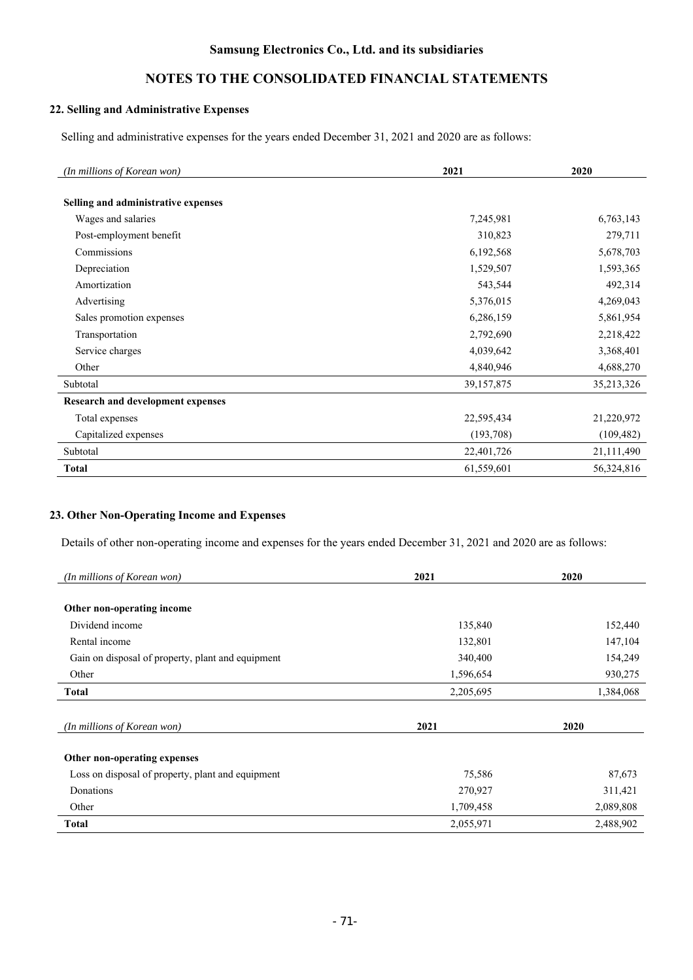# **NOTES TO THE CONSOLIDATED FINANCIAL STATEMENTS**

## **22. Selling and Administrative Expenses**

Selling and administrative expenses for the years ended December 31, 2021 and 2020 are as follows:

| (In millions of Korean won)              | 2021       | 2020       |
|------------------------------------------|------------|------------|
|                                          |            |            |
| Selling and administrative expenses      |            |            |
| Wages and salaries                       | 7,245,981  | 6,763,143  |
| Post-employment benefit                  | 310,823    | 279,711    |
| Commissions                              | 6,192,568  | 5,678,703  |
| Depreciation                             | 1,529,507  | 1,593,365  |
| Amortization                             | 543,544    | 492,314    |
| Advertising                              | 5,376,015  | 4,269,043  |
| Sales promotion expenses                 | 6,286,159  | 5,861,954  |
| Transportation                           | 2,792,690  | 2,218,422  |
| Service charges                          | 4,039,642  | 3,368,401  |
| Other                                    | 4,840,946  | 4,688,270  |
| Subtotal                                 | 39,157,875 | 35,213,326 |
| <b>Research and development expenses</b> |            |            |
| Total expenses                           | 22,595,434 | 21,220,972 |
| Capitalized expenses                     | (193,708)  | (109, 482) |
| Subtotal                                 | 22,401,726 | 21,111,490 |
| <b>Total</b>                             | 61,559,601 | 56,324,816 |

### **23. Other Non-Operating Income and Expenses**

Details of other non-operating income and expenses for the years ended December 31, 2021 and 2020 are as follows:

| (In millions of Korean won)                       | 2021      | 2020      |
|---------------------------------------------------|-----------|-----------|
|                                                   |           |           |
| Other non-operating income                        |           |           |
| Dividend income                                   | 135,840   | 152,440   |
| Rental income                                     | 132,801   | 147,104   |
| Gain on disposal of property, plant and equipment | 340,400   | 154,249   |
| Other                                             | 1,596,654 | 930,275   |
| <b>Total</b>                                      | 2,205,695 | 1,384,068 |
|                                                   |           |           |
| (In millions of Korean won)                       | 2021      | 2020      |
|                                                   |           |           |
| Other non-operating expenses                      |           |           |
| Loss on disposal of property, plant and equipment | 75,586    | 87,673    |
| Donations                                         | 270,927   | 311,421   |
| Other                                             | 1,709,458 | 2,089,808 |
| <b>Total</b>                                      | 2,055,971 | 2,488,902 |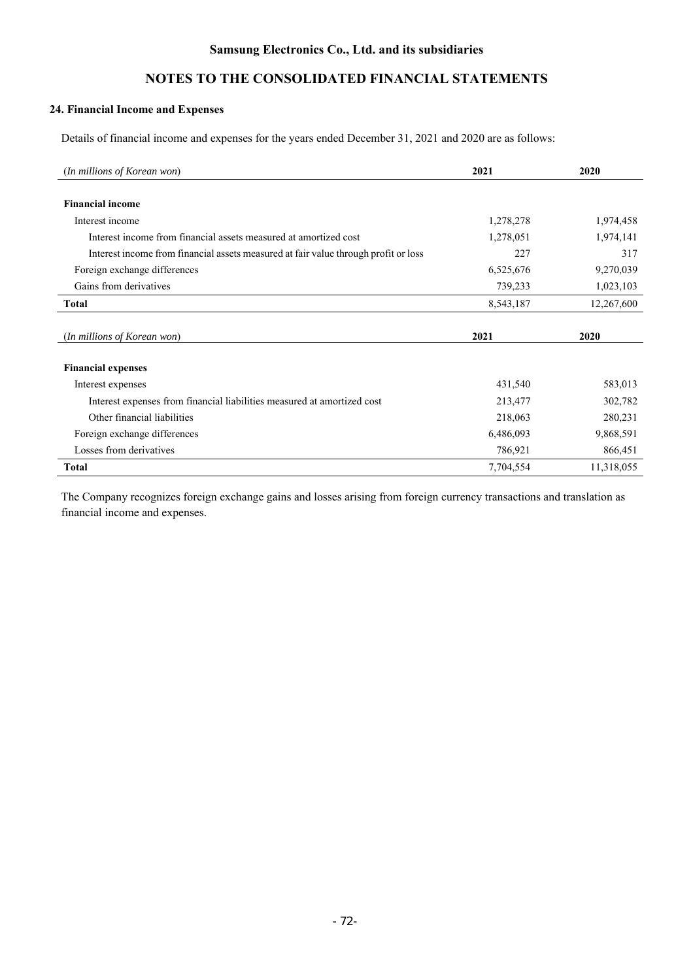# **NOTES TO THE CONSOLIDATED FINANCIAL STATEMENTS**

## **24. Financial Income and Expenses**

Details of financial income and expenses for the years ended December 31, 2021 and 2020 are as follows:

| (In millions of Korean won)                                                         | 2021      | 2020       |
|-------------------------------------------------------------------------------------|-----------|------------|
|                                                                                     |           |            |
| <b>Financial income</b>                                                             |           |            |
| Interest income                                                                     | 1,278,278 | 1,974,458  |
| Interest income from financial assets measured at amortized cost                    | 1,278,051 | 1,974,141  |
| Interest income from financial assets measured at fair value through profit or loss | 227       | 317        |
| Foreign exchange differences                                                        | 6,525,676 | 9,270,039  |
| Gains from derivatives                                                              | 739,233   | 1,023,103  |
| <b>Total</b>                                                                        | 8,543,187 | 12,267,600 |
|                                                                                     |           |            |
| (In millions of Korean won)                                                         | 2021      | 2020       |
|                                                                                     |           |            |
| <b>Financial expenses</b>                                                           |           |            |
| Interest expenses                                                                   | 431,540   | 583,013    |
| Interest expenses from financial liabilities measured at amortized cost             | 213,477   | 302,782    |
| Other financial liabilities                                                         | 218,063   | 280,231    |
| Foreign exchange differences                                                        | 6,486,093 | 9,868,591  |
| Losses from derivatives                                                             | 786,921   | 866,451    |
| <b>Total</b>                                                                        | 7,704,554 | 11,318,055 |

The Company recognizes foreign exchange gains and losses arising from foreign currency transactions and translation as financial income and expenses.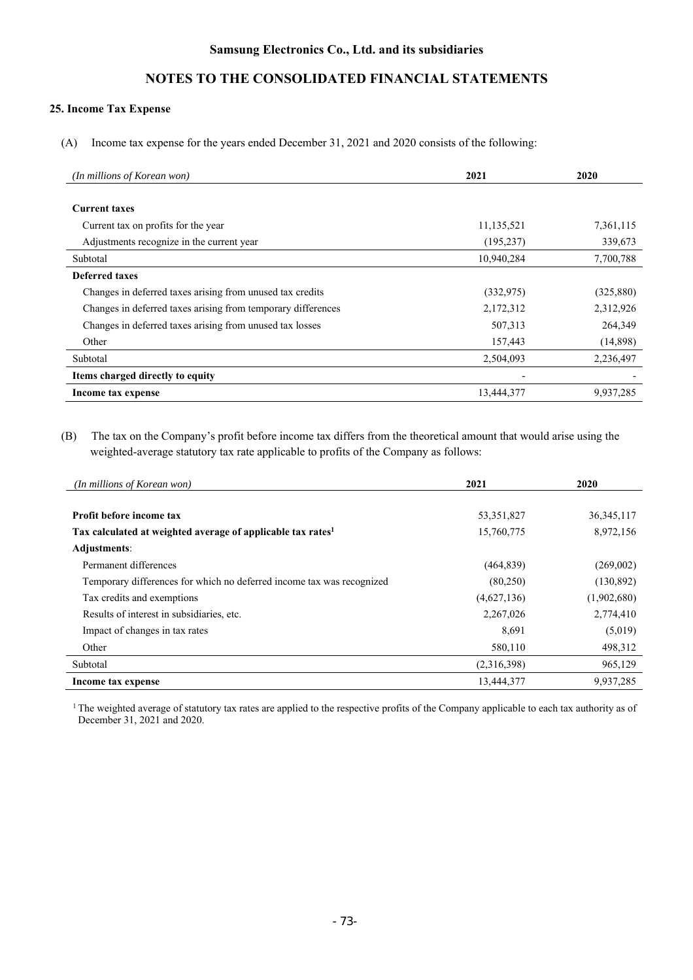# **NOTES TO THE CONSOLIDATED FINANCIAL STATEMENTS**

### **25. Income Tax Expense**

(A) Income tax expense for the years ended December 31, 2021 and 2020 consists of the following:

| (In millions of Korean won)                                  | 2021       | 2020       |
|--------------------------------------------------------------|------------|------------|
|                                                              |            |            |
| <b>Current taxes</b>                                         |            |            |
| Current tax on profits for the year                          | 11,135,521 | 7,361,115  |
| Adjustments recognize in the current year                    | (195, 237) | 339,673    |
| Subtotal                                                     | 10,940,284 | 7,700,788  |
| Deferred taxes                                               |            |            |
| Changes in deferred taxes arising from unused tax credits    | (332, 975) | (325, 880) |
| Changes in deferred taxes arising from temporary differences | 2,172,312  | 2,312,926  |
| Changes in deferred taxes arising from unused tax losses     | 507,313    | 264,349    |
| Other                                                        | 157,443    | (14,898)   |
| Subtotal                                                     | 2,504,093  | 2,236,497  |
| Items charged directly to equity                             |            |            |
| Income tax expense                                           | 13,444,377 | 9,937,285  |

(B) The tax on the Company's profit before income tax differs from the theoretical amount that would arise using the weighted-average statutory tax rate applicable to profits of the Company as follows:

| (In millions of Korean won)                                             | 2021         | 2020         |
|-------------------------------------------------------------------------|--------------|--------------|
|                                                                         |              |              |
| Profit before income tax                                                | 53, 351, 827 | 36, 345, 117 |
| Tax calculated at weighted average of applicable tax rates <sup>1</sup> | 15,760,775   | 8,972,156    |
| Adjustments:                                                            |              |              |
| Permanent differences                                                   | (464, 839)   | (269,002)    |
| Temporary differences for which no deferred income tax was recognized   | (80,250)     | (130, 892)   |
| Tax credits and exemptions                                              | (4,627,136)  | (1,902,680)  |
| Results of interest in subsidiaries, etc.                               | 2,267,026    | 2,774,410    |
| Impact of changes in tax rates                                          | 8,691        | (5,019)      |
| Other                                                                   | 580,110      | 498,312      |
| Subtotal                                                                | (2,316,398)  | 965,129      |
| Income tax expense                                                      | 13,444,377   | 9,937,285    |

 $<sup>1</sup>$  The weighted average of statutory tax rates are applied to the respective profits of the Company applicable to each tax authority as of</sup> December 31, 2021 and 2020.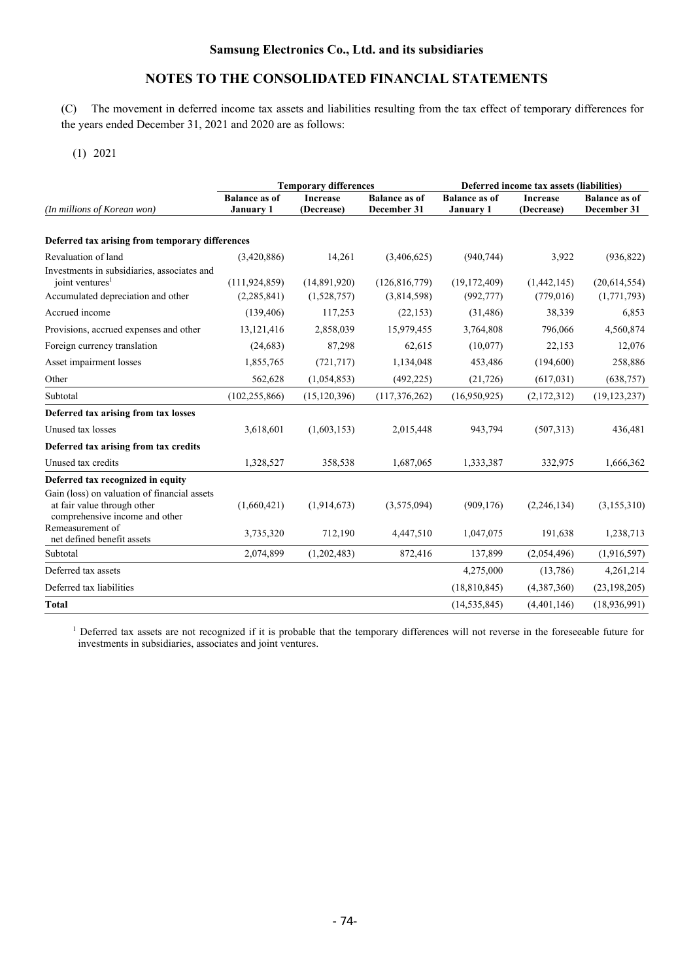(C) The movement in deferred income tax assets and liabilities resulting from the tax effect of temporary differences for the years ended December 31, 2021 and 2020 are as follows:

(1) 2021

|                                                                                                               | <b>Temporary differences</b><br>Deferred income tax assets (liabilities) |                               |                                     |                                          |                               |                                     |
|---------------------------------------------------------------------------------------------------------------|--------------------------------------------------------------------------|-------------------------------|-------------------------------------|------------------------------------------|-------------------------------|-------------------------------------|
| (In millions of Korean won)                                                                                   | <b>Balance as of</b><br><b>January 1</b>                                 | <b>Increase</b><br>(Decrease) | <b>Balance as of</b><br>December 31 | <b>Balance as of</b><br><b>January 1</b> | <b>Increase</b><br>(Decrease) | <b>Balance as of</b><br>December 31 |
|                                                                                                               |                                                                          |                               |                                     |                                          |                               |                                     |
| Deferred tax arising from temporary differences                                                               |                                                                          |                               |                                     |                                          |                               |                                     |
| Revaluation of land                                                                                           | (3,420,886)                                                              | 14,261                        | (3,406,625)                         | (940, 744)                               | 3,922                         | (936, 822)                          |
| Investments in subsidiaries, associates and<br>joint ventures <sup>1</sup>                                    | (111, 924, 859)                                                          | (14,891,920)                  | (126, 816, 779)                     | (19, 172, 409)                           | (1,442,145)                   | (20,614,554)                        |
| Accumulated depreciation and other                                                                            | (2, 285, 841)                                                            | (1,528,757)                   | (3,814,598)                         | (992, 777)                               | (779, 016)                    | (1,771,793)                         |
| Accrued income                                                                                                | (139, 406)                                                               | 117,253                       | (22, 153)                           | (31, 486)                                | 38,339                        | 6,853                               |
| Provisions, accrued expenses and other                                                                        | 13, 121, 416                                                             | 2,858,039                     | 15,979,455                          | 3,764,808                                | 796,066                       | 4,560,874                           |
| Foreign currency translation                                                                                  | (24, 683)                                                                | 87,298                        | 62,615                              | (10,077)                                 | 22,153                        | 12,076                              |
| Asset impairment losses                                                                                       | 1,855,765                                                                | (721, 717)                    | 1,134,048                           | 453,486                                  | (194,600)                     | 258,886                             |
| Other                                                                                                         | 562,628                                                                  | (1,054,853)                   | (492, 225)                          | (21, 726)                                | (617, 031)                    | (638, 757)                          |
| Subtotal                                                                                                      | (102, 255, 866)                                                          | (15, 120, 396)                | (117, 376, 262)                     | (16,950,925)                             | (2,172,312)                   | (19, 123, 237)                      |
| Deferred tax arising from tax losses                                                                          |                                                                          |                               |                                     |                                          |                               |                                     |
| Unused tax losses                                                                                             | 3,618,601                                                                | (1,603,153)                   | 2,015,448                           | 943,794                                  | (507,313)                     | 436,481                             |
| Deferred tax arising from tax credits                                                                         |                                                                          |                               |                                     |                                          |                               |                                     |
| Unused tax credits                                                                                            | 1,328,527                                                                | 358,538                       | 1,687,065                           | 1,333,387                                | 332,975                       | 1,666,362                           |
| Deferred tax recognized in equity                                                                             |                                                                          |                               |                                     |                                          |                               |                                     |
| Gain (loss) on valuation of financial assets<br>at fair value through other<br>comprehensive income and other | (1,660,421)                                                              | (1,914,673)                   | (3,575,094)                         | (909, 176)                               | (2,246,134)                   | (3, 155, 310)                       |
| Remeasurement of<br>net defined benefit assets                                                                | 3,735,320                                                                | 712,190                       | 4,447,510                           | 1,047,075                                | 191,638                       | 1,238,713                           |
| Subtotal                                                                                                      | 2,074,899                                                                | (1,202,483)                   | 872,416                             | 137,899                                  | (2,054,496)                   | (1,916,597)                         |
| Deferred tax assets                                                                                           |                                                                          |                               |                                     | 4,275,000                                | (13,786)                      | 4,261,214                           |
| Deferred tax liabilities                                                                                      |                                                                          |                               |                                     | (18, 810, 845)                           | (4,387,360)                   | (23, 198, 205)                      |
| <b>Total</b>                                                                                                  |                                                                          |                               |                                     | (14, 535, 845)                           | (4,401,146)                   | (18, 936, 991)                      |

<sup>1</sup> Deferred tax assets are not recognized if it is probable that the temporary differences will not reverse in the foreseeable future for investments in subsidiaries, associates and joint ventures.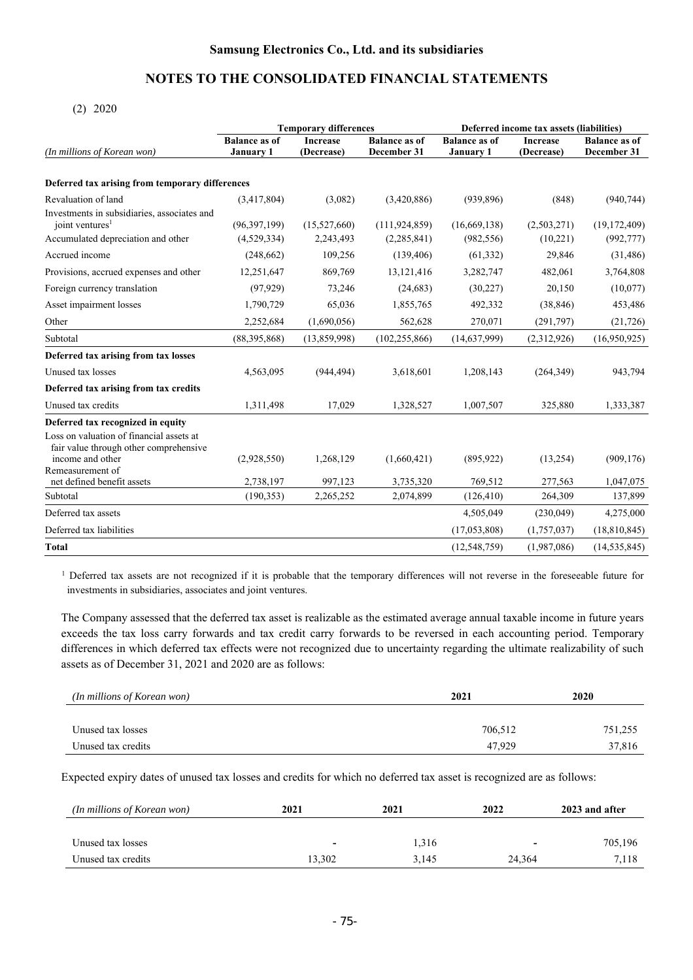### (2) 2020

|                                                                                                        |                      | <b>Temporary differences</b> | Deferred income tax assets (liabilities) |                      |                 |                      |
|--------------------------------------------------------------------------------------------------------|----------------------|------------------------------|------------------------------------------|----------------------|-----------------|----------------------|
|                                                                                                        | <b>Balance as of</b> | <b>Increase</b>              | <b>Balance as of</b>                     | <b>Balance as of</b> | <b>Increase</b> | <b>Balance as of</b> |
| (In millions of Korean won)                                                                            | <b>January 1</b>     | (Decrease)                   | December 31                              | <b>January 1</b>     | (Decrease)      | December 31          |
| Deferred tax arising from temporary differences                                                        |                      |                              |                                          |                      |                 |                      |
| Revaluation of land                                                                                    | (3,417,804)          | (3,082)                      | (3,420,886)                              | (939, 896)           | (848)           | (940, 744)           |
| Investments in subsidiaries, associates and<br>joint ventures <sup>1</sup>                             | (96, 397, 199)       | (15,527,660)                 | (111, 924, 859)                          | (16, 669, 138)       | (2,503,271)     | (19, 172, 409)       |
| Accumulated depreciation and other                                                                     | (4,529,334)          | 2,243,493                    | (2, 285, 841)                            | (982, 556)           | (10,221)        | (992, 777)           |
| Accrued income                                                                                         | (248, 662)           | 109,256                      | (139, 406)                               | (61, 332)            | 29,846          | (31, 486)            |
| Provisions, accrued expenses and other                                                                 | 12,251,647           | 869,769                      | 13,121,416                               | 3,282,747            | 482,061         | 3,764,808            |
| Foreign currency translation                                                                           | (97, 929)            | 73,246                       | (24, 683)                                | (30,227)             | 20,150          | (10,077)             |
| Asset impairment losses                                                                                | 1,790,729            | 65,036                       | 1,855,765                                | 492,332              | (38, 846)       | 453,486              |
| Other                                                                                                  | 2,252,684            | (1,690,056)                  | 562,628                                  | 270,071              | (291,797)       | (21, 726)            |
| Subtotal                                                                                               | (88,395,868)         | (13,859,998)                 | (102, 255, 866)                          | (14,637,999)         | (2,312,926)     | (16,950,925)         |
| Deferred tax arising from tax losses                                                                   |                      |                              |                                          |                      |                 |                      |
| Unused tax losses                                                                                      | 4,563,095            | (944, 494)                   | 3,618,601                                | 1,208,143            | (264, 349)      | 943,794              |
| Deferred tax arising from tax credits                                                                  |                      |                              |                                          |                      |                 |                      |
| Unused tax credits                                                                                     | 1,311,498            | 17,029                       | 1,328,527                                | 1,007,507            | 325,880         | 1,333,387            |
| Deferred tax recognized in equity                                                                      |                      |                              |                                          |                      |                 |                      |
| Loss on valuation of financial assets at<br>fair value through other comprehensive<br>income and other | (2,928,550)          | 1,268,129                    | (1,660,421)                              | (895, 922)           | (13,254)        | (909, 176)           |
| Remeasurement of<br>net defined benefit assets                                                         | 2,738,197            | 997,123                      | 3,735,320                                | 769,512              | 277,563         | 1,047,075            |
| Subtotal                                                                                               | (190, 353)           | 2,265,252                    | 2,074,899                                | (126, 410)           | 264,309         | 137,899              |
| Deferred tax assets                                                                                    |                      |                              |                                          | 4,505,049            | (230,049)       | 4,275,000            |
| Deferred tax liabilities                                                                               |                      |                              |                                          | (17,053,808)         | (1,757,037)     | (18, 810, 845)       |
|                                                                                                        |                      |                              |                                          |                      |                 |                      |
| <b>Total</b>                                                                                           |                      |                              |                                          | (12, 548, 759)       | (1,987,086)     | (14, 535, 845)       |

<sup>1</sup> Deferred tax assets are not recognized if it is probable that the temporary differences will not reverse in the foreseeable future for investments in subsidiaries, associates and joint ventures.

The Company assessed that the deferred tax asset is realizable as the estimated average annual taxable income in future years exceeds the tax loss carry forwards and tax credit carry forwards to be reversed in each accounting period. Temporary differences in which deferred tax effects were not recognized due to uncertainty regarding the ultimate realizability of such assets as of December 31, 2021 and 2020 are as follows:

| (In millions of Korean won) | 2021    | 2020    |
|-----------------------------|---------|---------|
|                             |         |         |
| Unused tax losses           | 706,512 | 751,255 |
| Unused tax credits          | 47.929  | 37,816  |

Expected expiry dates of unused tax losses and credits for which no deferred tax asset is recognized are as follows:

| (In millions of Korean won) | 2021                     | 2022<br>2021 |                          | 2023 and after |
|-----------------------------|--------------------------|--------------|--------------------------|----------------|
| Unused tax losses           | $\overline{\phantom{a}}$ | 1,316        | $\overline{\phantom{a}}$ | 705,196        |
| Unused tax credits          | 13.302                   | 3,145        | 24,364                   | 7,118          |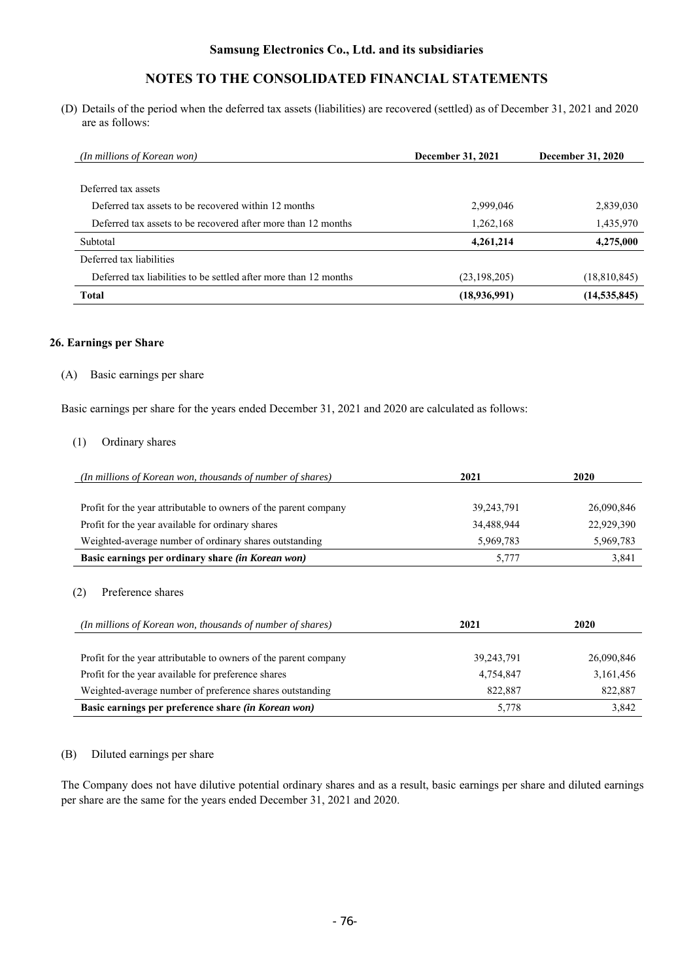# **NOTES TO THE CONSOLIDATED FINANCIAL STATEMENTS**

(D) Details of the period when the deferred tax assets (liabilities) are recovered (settled) as of December 31, 2021 and 2020 are as follows:

| <i>(In millions of Korean won)</i>                               | December 31, 2021 | December 31, 2020 |
|------------------------------------------------------------------|-------------------|-------------------|
|                                                                  |                   |                   |
| Deferred tax assets                                              |                   |                   |
| Deferred tax assets to be recovered within 12 months             | 2,999,046         | 2,839,030         |
| Deferred tax assets to be recovered after more than 12 months    | 1,262,168         | 1,435,970         |
| Subtotal                                                         | 4,261,214         | 4,275,000         |
| Deferred tax liabilities                                         |                   |                   |
| Deferred tax liabilities to be settled after more than 12 months | (23, 198, 205)    | (18,810,845)      |
| <b>Total</b>                                                     | (18,936,991)      | (14, 535, 845)    |

#### **26. Earnings per Share**

## (A) Basic earnings per share

Basic earnings per share for the years ended December 31, 2021 and 2020 are calculated as follows:

### (1) Ordinary shares

| (In millions of Korean won, thousands of number of shares)       | 2021         | 2020       |
|------------------------------------------------------------------|--------------|------------|
| Profit for the year attributable to owners of the parent company | 39, 243, 791 | 26,090,846 |
| Profit for the year available for ordinary shares                | 34,488,944   | 22,929,390 |
| Weighted-average number of ordinary shares outstanding           | 5,969,783    | 5,969,783  |
| Basic earnings per ordinary share (in Korean won)                | 5.777        | 3,841      |
|                                                                  |              |            |

### (2) Preference shares

| (In millions of Korean won, thousands of number of shares)       | 2021         | 2020       |
|------------------------------------------------------------------|--------------|------------|
|                                                                  |              |            |
| Profit for the year attributable to owners of the parent company | 39, 243, 791 | 26,090,846 |
| Profit for the year available for preference shares              | 4,754,847    | 3,161,456  |
| Weighted-average number of preference shares outstanding         | 822,887      | 822,887    |
| Basic earnings per preference share (in Korean won)              | 5,778        | 3,842      |

#### (B) Diluted earnings per share

The Company does not have dilutive potential ordinary shares and as a result, basic earnings per share and diluted earnings per share are the same for the years ended December 31, 2021 and 2020.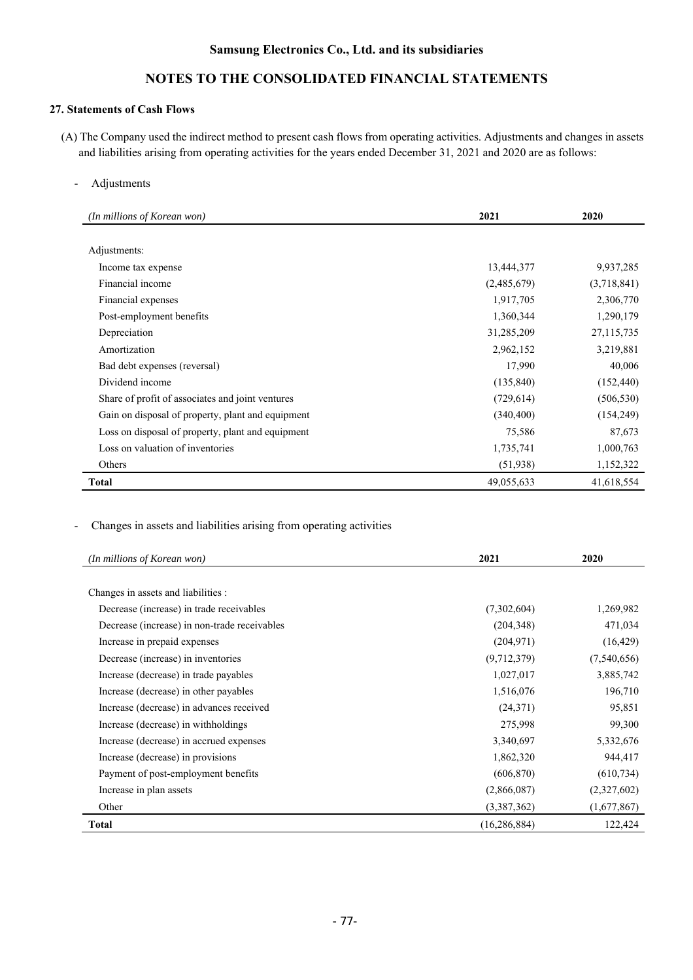# **NOTES TO THE CONSOLIDATED FINANCIAL STATEMENTS**

# **27. Statements of Cash Flows**

- (A) The Company used the indirect method to present cash flows from operating activities. Adjustments and changes in assets and liabilities arising from operating activities for the years ended December 31, 2021 and 2020 are as follows:
	- Adjustments

| (In millions of Korean won)                       | 2021        | 2020        |
|---------------------------------------------------|-------------|-------------|
|                                                   |             |             |
| Adjustments:                                      |             |             |
| Income tax expense                                | 13,444,377  | 9,937,285   |
| Financial income                                  | (2,485,679) | (3,718,841) |
| Financial expenses                                | 1,917,705   | 2,306,770   |
| Post-employment benefits                          | 1,360,344   | 1,290,179   |
| Depreciation                                      | 31,285,209  | 27,115,735  |
| Amortization                                      | 2,962,152   | 3,219,881   |
| Bad debt expenses (reversal)                      | 17,990      | 40,006      |
| Dividend income                                   | (135, 840)  | (152, 440)  |
| Share of profit of associates and joint ventures  | (729, 614)  | (506, 530)  |
| Gain on disposal of property, plant and equipment | (340, 400)  | (154, 249)  |
| Loss on disposal of property, plant and equipment | 75,586      | 87,673      |
| Loss on valuation of inventories                  | 1,735,741   | 1,000,763   |
| Others                                            | (51, 938)   | 1,152,322   |
| Total                                             | 49,055,633  | 41,618,554  |

- Changes in assets and liabilities arising from operating activities

| (In millions of Korean won)                  | 2021           | 2020        |
|----------------------------------------------|----------------|-------------|
|                                              |                |             |
| Changes in assets and liabilities :          |                |             |
| Decrease (increase) in trade receivables     | (7,302,604)    | 1,269,982   |
| Decrease (increase) in non-trade receivables | (204, 348)     | 471,034     |
| Increase in prepaid expenses                 | (204, 971)     | (16, 429)   |
| Decrease (increase) in inventories           | (9,712,379)    | (7,540,656) |
| Increase (decrease) in trade payables        | 1,027,017      | 3,885,742   |
| Increase (decrease) in other payables        | 1,516,076      | 196,710     |
| Increase (decrease) in advances received     | (24, 371)      | 95,851      |
| Increase (decrease) in withholdings          | 275,998        | 99,300      |
| Increase (decrease) in accrued expenses      | 3,340,697      | 5,332,676   |
| Increase (decrease) in provisions            | 1,862,320      | 944,417     |
| Payment of post-employment benefits          | (606, 870)     | (610, 734)  |
| Increase in plan assets                      | (2,866,087)    | (2,327,602) |
| Other                                        | (3,387,362)    | (1,677,867) |
| Total                                        | (16, 286, 884) | 122,424     |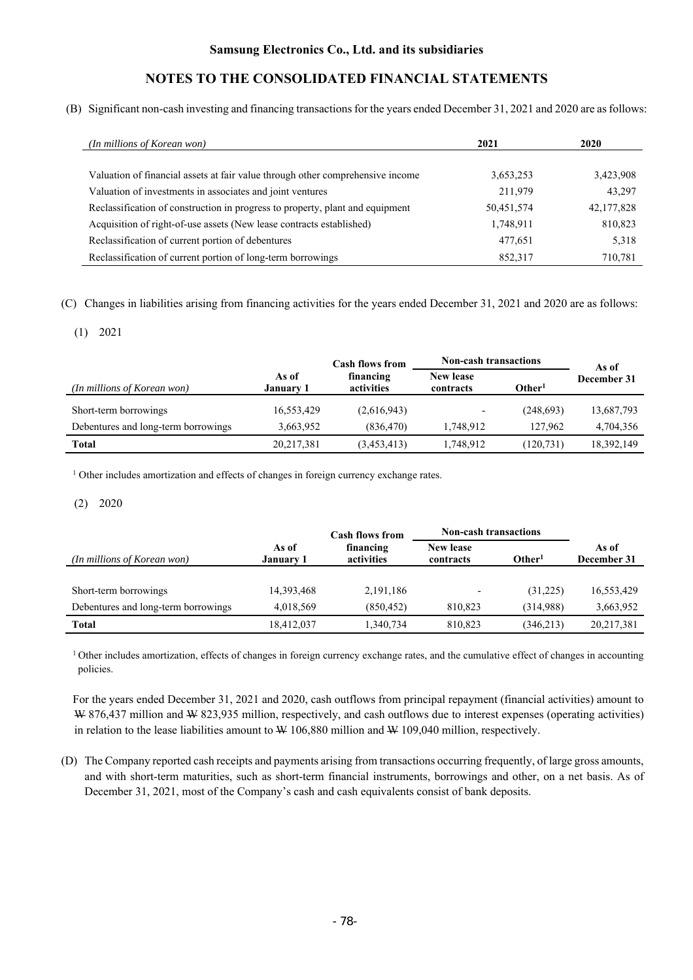(B) Significant non-cash investing and financing transactions for the years ended December 31, 2021 and 2020 are as follows:

| (In millions of Korean won)                                                    | 2021       | 2020       |
|--------------------------------------------------------------------------------|------------|------------|
|                                                                                |            |            |
| Valuation of financial assets at fair value through other comprehensive income | 3,653,253  | 3,423,908  |
| Valuation of investments in associates and joint ventures                      | 211,979    | 43,297     |
| Reclassification of construction in progress to property, plant and equipment  | 50,451,574 | 42,177,828 |
| Acquisition of right-of-use assets (New lease contracts established)           | 1,748,911  | 810,823    |
| Reclassification of current portion of debentures                              | 477,651    | 5,318      |
| Reclassification of current portion of long-term borrowings                    | 852,317    | 710,781    |

(C) Changes in liabilities arising from financing activities for the years ended December 31, 2021 and 2020 are as follows:

### (1) 2021

|                                     |                           | <b>Non-cash transactions</b><br><b>Cash flows from</b> |                               |                    | As of       |  |
|-------------------------------------|---------------------------|--------------------------------------------------------|-------------------------------|--------------------|-------------|--|
| (In millions of Korean won)         | As of<br><b>January 1</b> | financing<br>activities                                | <b>New lease</b><br>contracts | Other <sup>1</sup> | December 31 |  |
| Short-term borrowings               | 16,553,429                | (2,616,943)                                            | ٠                             | (248,693)          | 13,687,793  |  |
| Debentures and long-term borrowings | 3,663,952                 | (836, 470)                                             | 1.748.912                     | 127,962            | 4,704,356   |  |
| Total                               | 20, 217, 381              | (3,453,413)                                            | 1,748,912                     | (120, 731)         | 18,392,149  |  |

<sup>1</sup> Other includes amortization and effects of changes in foreign currency exchange rates.

### (2) 2020

|                                     |                           | <b>Cash flows from</b>  | <b>Non-cash transactions</b>  |                    |                      |
|-------------------------------------|---------------------------|-------------------------|-------------------------------|--------------------|----------------------|
| (In millions of Korean won)         | As of<br><b>January 1</b> | financing<br>activities | <b>New lease</b><br>contracts | Other <sup>1</sup> | As of<br>December 31 |
|                                     |                           |                         |                               |                    |                      |
| Short-term borrowings               | 14,393,468                | 2, 191, 186             | $\overline{\phantom{0}}$      | (31,225)           | 16,553,429           |
| Debentures and long-term borrowings | 4,018,569                 | (850, 452)              | 810.823                       | (314,988)          | 3,663,952            |
| Total                               | 18,412,037                | 1,340,734               | 810.823                       | (346, 213)         | 20,217,381           |

<sup>1</sup> Other includes amortization, effects of changes in foreign currency exchange rates, and the cumulative effect of changes in accounting policies.

For the years ended December 31, 2021 and 2020, cash outflows from principal repayment (financial activities) amount to W 876,437 million and W 823,935 million, respectively, and cash outflows due to interest expenses (operating activities) in relation to the lease liabilities amount to  $W$  106,880 million and  $W$  109,040 million, respectively.

(D) The Company reported cash receipts and payments arising from transactions occurring frequently, of large gross amounts, and with short-term maturities, such as short-term financial instruments, borrowings and other, on a net basis. As of December 31, 2021, most of the Company's cash and cash equivalents consist of bank deposits.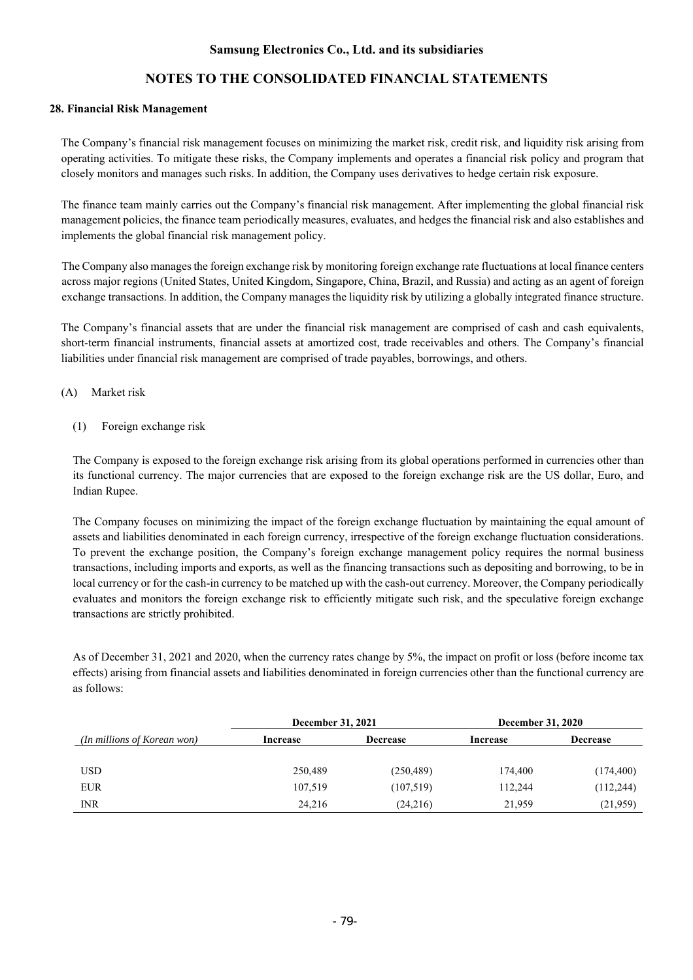# **NOTES TO THE CONSOLIDATED FINANCIAL STATEMENTS**

#### **28. Financial Risk Management**

The Company's financial risk management focuses on minimizing the market risk, credit risk, and liquidity risk arising from operating activities. To mitigate these risks, the Company implements and operates a financial risk policy and program that closely monitors and manages such risks. In addition, the Company uses derivatives to hedge certain risk exposure.

The finance team mainly carries out the Company's financial risk management. After implementing the global financial risk management policies, the finance team periodically measures, evaluates, and hedges the financial risk and also establishes and implements the global financial risk management policy.

The Company also manages the foreign exchange risk by monitoring foreign exchange rate fluctuations at local finance centers across major regions (United States, United Kingdom, Singapore, China, Brazil, and Russia) and acting as an agent of foreign exchange transactions. In addition, the Company manages the liquidity risk by utilizing a globally integrated finance structure.

The Company's financial assets that are under the financial risk management are comprised of cash and cash equivalents, short-term financial instruments, financial assets at amortized cost, trade receivables and others. The Company's financial liabilities under financial risk management are comprised of trade payables, borrowings, and others.

### (A) Market risk

(1) Foreign exchange risk

The Company is exposed to the foreign exchange risk arising from its global operations performed in currencies other than its functional currency. The major currencies that are exposed to the foreign exchange risk are the US dollar, Euro, and Indian Rupee.

The Company focuses on minimizing the impact of the foreign exchange fluctuation by maintaining the equal amount of assets and liabilities denominated in each foreign currency, irrespective of the foreign exchange fluctuation considerations. To prevent the exchange position, the Company's foreign exchange management policy requires the normal business transactions, including imports and exports, as well as the financing transactions such as depositing and borrowing, to be in local currency or for the cash-in currency to be matched up with the cash-out currency. Moreover, the Company periodically evaluates and monitors the foreign exchange risk to efficiently mitigate such risk, and the speculative foreign exchange transactions are strictly prohibited.

As of December 31, 2021 and 2020, when the currency rates change by 5%, the impact on profit or loss (before income tax effects) arising from financial assets and liabilities denominated in foreign currencies other than the functional currency are as follows:

|                             | December 31, 2021 |                 | <b>December 31, 2020</b> |                 |  |  |
|-----------------------------|-------------------|-----------------|--------------------------|-----------------|--|--|
| (In millions of Korean won) | Increase          | <b>Decrease</b> | Increase                 | <b>Decrease</b> |  |  |
|                             |                   |                 |                          |                 |  |  |
| <b>USD</b>                  | 250,489           | (250, 489)      | 174,400                  | (174, 400)      |  |  |
| <b>EUR</b>                  | 107,519           | (107, 519)      | 112,244                  | (112, 244)      |  |  |
| <b>INR</b>                  | 24.216            | (24,216)        | 21,959                   | (21,959)        |  |  |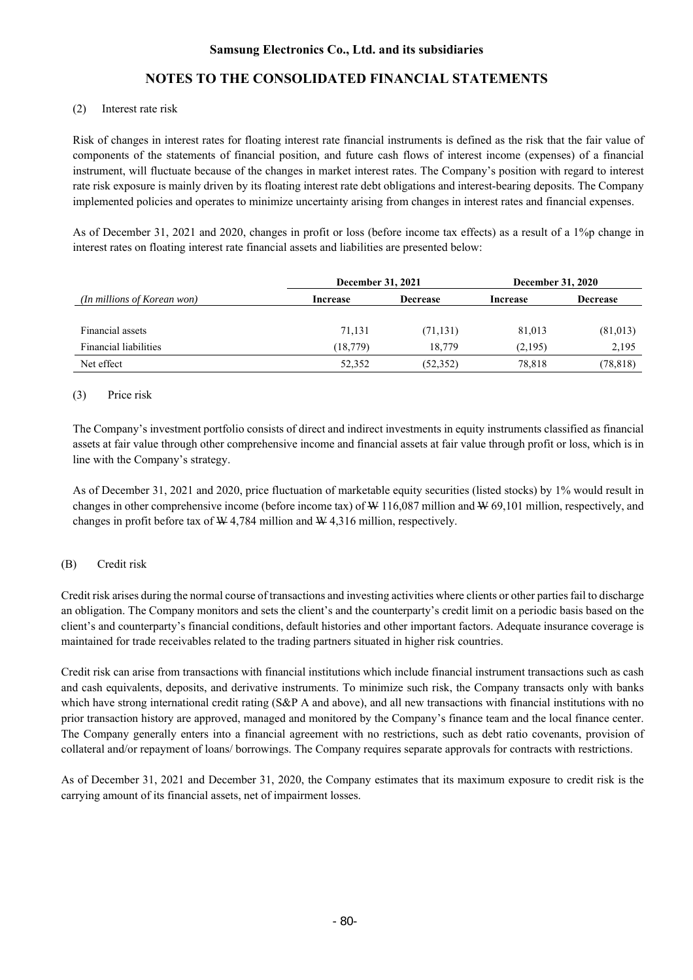# **NOTES TO THE CONSOLIDATED FINANCIAL STATEMENTS**

### (2) Interest rate risk

Risk of changes in interest rates for floating interest rate financial instruments is defined as the risk that the fair value of components of the statements of financial position, and future cash flows of interest income (expenses) of a financial instrument, will fluctuate because of the changes in market interest rates. The Company's position with regard to interest rate risk exposure is mainly driven by its floating interest rate debt obligations and interest-bearing deposits. The Company implemented policies and operates to minimize uncertainty arising from changes in interest rates and financial expenses.

As of December 31, 2021 and 2020, changes in profit or loss (before income tax effects) as a result of a 1%p change in interest rates on floating interest rate financial assets and liabilities are presented below:

|                              | December 31, 2021 |                 | <b>December 31, 2020</b> |                   |  |
|------------------------------|-------------------|-----------------|--------------------------|-------------------|--|
| (In millions of Korean won)  | Increase          | <b>Decrease</b> | Increase                 | <b>Decrease</b>   |  |
| Financial assets             | 71,131            | (71, 131)       | 81,013                   |                   |  |
| <b>Financial liabilities</b> | (18, 779)         | 18,779          | (2,195)                  | (81,013)<br>2,195 |  |
| Net effect                   | 52,352            | (52, 352)       | 78,818                   | (78, 818)         |  |

### (3) Price risk

The Company's investment portfolio consists of direct and indirect investments in equity instruments classified as financial assets at fair value through other comprehensive income and financial assets at fair value through profit or loss, which is in line with the Company's strategy.

As of December 31, 2021 and 2020, price fluctuation of marketable equity securities (listed stocks) by 1% would result in changes in other comprehensive income (before income tax) of  $W$  116,087 million and  $W$  69,101 million, respectively, and changes in profit before tax of W 4,784 million and W 4,316 million, respectively.

#### (B) Credit risk

Credit risk arises during the normal course of transactions and investing activities where clients or other parties fail to discharge an obligation. The Company monitors and sets the client's and the counterparty's credit limit on a periodic basis based on the client's and counterparty's financial conditions, default histories and other important factors. Adequate insurance coverage is maintained for trade receivables related to the trading partners situated in higher risk countries.

Credit risk can arise from transactions with financial institutions which include financial instrument transactions such as cash and cash equivalents, deposits, and derivative instruments. To minimize such risk, the Company transacts only with banks which have strong international credit rating (S&P A and above), and all new transactions with financial institutions with no prior transaction history are approved, managed and monitored by the Company's finance team and the local finance center. The Company generally enters into a financial agreement with no restrictions, such as debt ratio covenants, provision of collateral and/or repayment of loans/ borrowings. The Company requires separate approvals for contracts with restrictions.

As of December 31, 2021 and December 31, 2020, the Company estimates that its maximum exposure to credit risk is the carrying amount of its financial assets, net of impairment losses.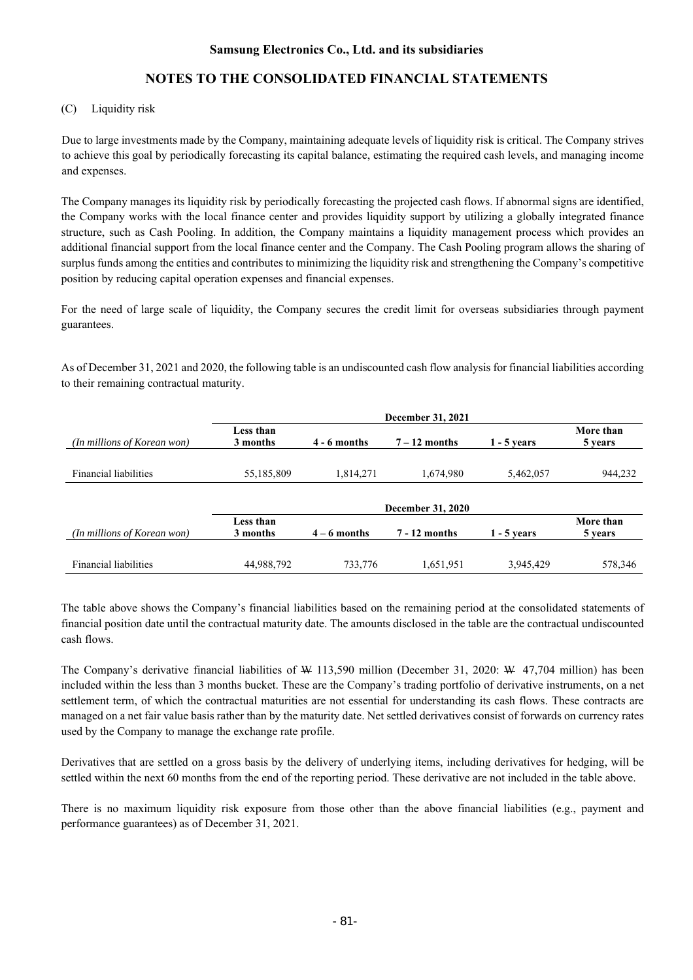# **NOTES TO THE CONSOLIDATED FINANCIAL STATEMENTS**

### (C) Liquidity risk

Due to large investments made by the Company, maintaining adequate levels of liquidity risk is critical. The Company strives to achieve this goal by periodically forecasting its capital balance, estimating the required cash levels, and managing income and expenses.

The Company manages its liquidity risk by periodically forecasting the projected cash flows. If abnormal signs are identified, the Company works with the local finance center and provides liquidity support by utilizing a globally integrated finance structure, such as Cash Pooling. In addition, the Company maintains a liquidity management process which provides an additional financial support from the local finance center and the Company. The Cash Pooling program allows the sharing of surplus funds among the entities and contributes to minimizing the liquidity risk and strengthening the Company's competitive position by reducing capital operation expenses and financial expenses.

For the need of large scale of liquidity, the Company secures the credit limit for overseas subsidiaries through payment guarantees.

As of December 31, 2021 and 2020, the following table is an undiscounted cash flow analysis for financial liabilities according to their remaining contractual maturity.

| (In millions of Korean won)  | Less than<br>3 months    | $4 - 6$ months | $7 - 12$ months | $1 - 5$ vears | More than<br>5 years |  |
|------------------------------|--------------------------|----------------|-----------------|---------------|----------------------|--|
| <b>Financial liabilities</b> | 55,185,809               | 1,814,271      | 1,674,980       | 5,462,057     | 944,232              |  |
|                              | <b>December 31, 2020</b> |                |                 |               |                      |  |
| (In millions of Korean won)  | Less than<br>3 months    | $4 - 6$ months | $7 - 12$ months | $1 - 5$ vears | More than<br>5 years |  |
| <b>Financial liabilities</b> | 44,988,792               | 733,776        | 1,651,951       | 3,945,429     | 578,346              |  |

The table above shows the Company's financial liabilities based on the remaining period at the consolidated statements of financial position date until the contractual maturity date. The amounts disclosed in the table are the contractual undiscounted cash flows.

The Company's derivative financial liabilities of W 113,590 million (December 31, 2020: W 47,704 million) has been included within the less than 3 months bucket. These are the Company's trading portfolio of derivative instruments, on a net settlement term, of which the contractual maturities are not essential for understanding its cash flows. These contracts are managed on a net fair value basis rather than by the maturity date. Net settled derivatives consist of forwards on currency rates used by the Company to manage the exchange rate profile.

Derivatives that are settled on a gross basis by the delivery of underlying items, including derivatives for hedging, will be settled within the next 60 months from the end of the reporting period. These derivative are not included in the table above.

There is no maximum liquidity risk exposure from those other than the above financial liabilities (e.g., payment and performance guarantees) as of December 31, 2021.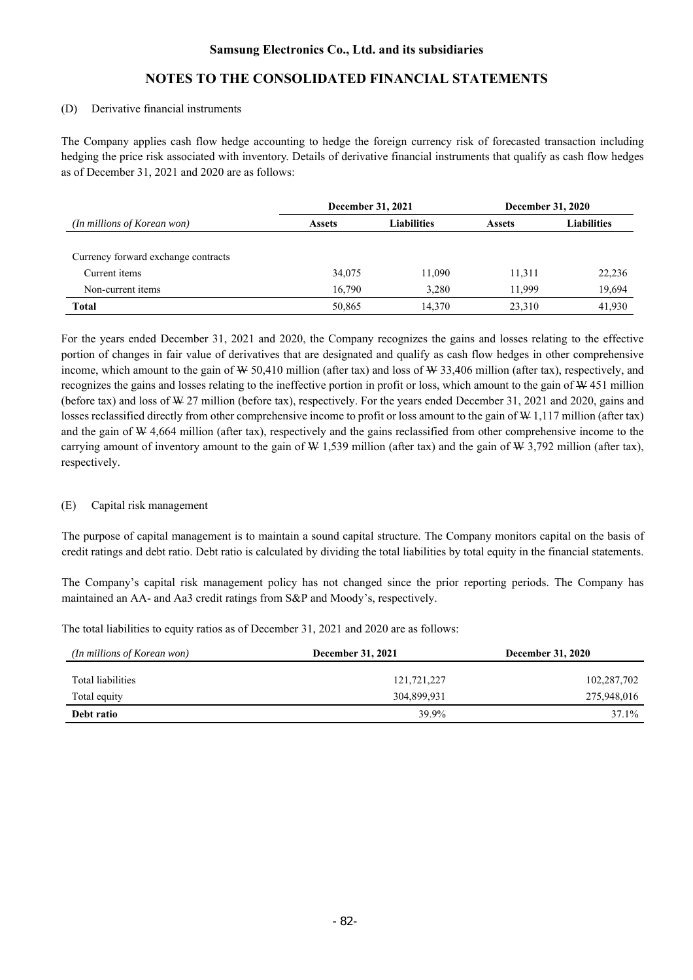## **NOTES TO THE CONSOLIDATED FINANCIAL STATEMENTS**

#### (D) Derivative financial instruments

The Company applies cash flow hedge accounting to hedge the foreign currency risk of forecasted transaction including hedging the price risk associated with inventory. Details of derivative financial instruments that qualify as cash flow hedges as of December 31, 2021 and 2020 are as follows:

|                                     | December 31, 2021                   |        | <b>December 31, 2020</b> |                    |  |
|-------------------------------------|-------------------------------------|--------|--------------------------|--------------------|--|
| (In millions of Korean won)         | <b>Liabilities</b><br><b>Assets</b> |        | <b>Assets</b>            | <b>Liabilities</b> |  |
|                                     |                                     |        |                          |                    |  |
| Currency forward exchange contracts |                                     |        |                          |                    |  |
| Current items                       | 34,075                              | 11.090 | 11,311                   | 22,236             |  |
| Non-current items                   | 16.790                              | 3.280  | 11.999                   | 19,694             |  |
| <b>Total</b>                        | 50,865                              | 14.370 | 23,310                   | 41,930             |  |

For the years ended December 31, 2021 and 2020, the Company recognizes the gains and losses relating to the effective portion of changes in fair value of derivatives that are designated and qualify as cash flow hedges in other comprehensive income, which amount to the gain of  $W$  50,410 million (after tax) and loss of  $W$  33,406 million (after tax), respectively, and recognizes the gains and losses relating to the ineffective portion in profit or loss, which amount to the gain of W 451 million (before tax) and loss of W 27 million (before tax), respectively. For the years ended December 31, 2021 and 2020, gains and losses reclassified directly from other comprehensive income to profit or loss amount to the gain of W 1,117 million (after tax) and the gain of W 4,664 million (after tax), respectively and the gains reclassified from other comprehensive income to the carrying amount of inventory amount to the gain of  $W$  1,539 million (after tax) and the gain of  $W$  3,792 million (after tax), respectively.

#### (E) Capital risk management

The purpose of capital management is to maintain a sound capital structure. The Company monitors capital on the basis of credit ratings and debt ratio. Debt ratio is calculated by dividing the total liabilities by total equity in the financial statements.

The Company's capital risk management policy has not changed since the prior reporting periods. The Company has maintained an AA- and Aa3 credit ratings from S&P and Moody's, respectively.

The total liabilities to equity ratios as of December 31, 2021 and 2020 are as follows:

| (In millions of Korean won) | <b>December 31, 2021</b> | <b>December 31, 2020</b> |
|-----------------------------|--------------------------|--------------------------|
| Total liabilities           | 121,721,227              | 102,287,702              |
| Total equity                | 304,899,931              | 275,948,016              |
| Debt ratio                  | 39.9%                    | 37.1%                    |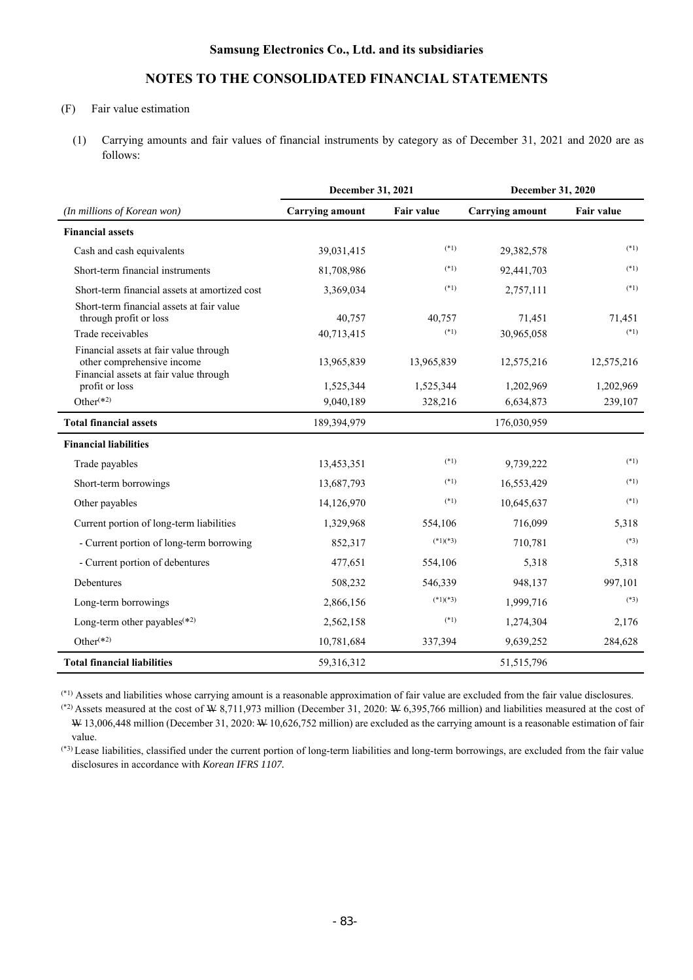# **NOTES TO THE CONSOLIDATED FINANCIAL STATEMENTS**

## (F) Fair value estimation

(1) Carrying amounts and fair values of financial instruments by category as of December 31, 2021 and 2020 are as follows:

|                                                                                                                | December 31, 2021<br>December 31, 2020 |                   |                        |                   |
|----------------------------------------------------------------------------------------------------------------|----------------------------------------|-------------------|------------------------|-------------------|
| (In millions of Korean won)                                                                                    | <b>Carrying amount</b>                 | <b>Fair value</b> | <b>Carrying amount</b> | <b>Fair value</b> |
| <b>Financial assets</b>                                                                                        |                                        |                   |                        |                   |
| Cash and cash equivalents                                                                                      | 39,031,415                             | $(*1)$            | 29,382,578             | $(*1)$            |
| Short-term financial instruments                                                                               | 81,708,986                             | $(*1)$            | 92,441,703             | $(*1)$            |
| Short-term financial assets at amortized cost                                                                  | 3,369,034                              | $(*1)$            | 2,757,111              | $(*1)$            |
| Short-term financial assets at fair value<br>through profit or loss                                            | 40,757                                 | 40,757            | 71,451                 | 71,451            |
| Trade receivables                                                                                              | 40,713,415                             | $(*1)$            | 30,965,058             | $(*1)$            |
| Financial assets at fair value through<br>other comprehensive income<br>Financial assets at fair value through | 13,965,839                             | 13,965,839        | 12,575,216             | 12,575,216        |
| profit or loss                                                                                                 | 1,525,344                              | 1,525,344         | 1,202,969              | 1,202,969         |
| Other $(2)$                                                                                                    | 9,040,189                              | 328,216           | 6,634,873              | 239,107           |
| <b>Total financial assets</b>                                                                                  | 189,394,979                            |                   | 176,030,959            |                   |
| <b>Financial liabilities</b>                                                                                   |                                        |                   |                        |                   |
| Trade payables                                                                                                 | 13,453,351                             | $(*1)$            | 9,739,222              | $(*1)$            |
| Short-term borrowings                                                                                          | 13,687,793                             | $(*1)$            | 16,553,429             | $(*1)$            |
| Other payables                                                                                                 | 14,126,970                             | $(*1)$            | 10,645,637             | $(*1)$            |
| Current portion of long-term liabilities                                                                       | 1,329,968                              | 554,106           | 716,099                | 5,318             |
| - Current portion of long-term borrowing                                                                       | 852,317                                | $(*1)(*3)$        | 710,781                | $(*3)$            |
| - Current portion of debentures                                                                                | 477,651                                | 554,106           | 5,318                  | 5,318             |
| Debentures                                                                                                     | 508,232                                | 546,339           | 948,137                | 997,101           |
| Long-term borrowings                                                                                           | 2,866,156                              | $(*1)(*3)$        | 1,999,716              | $(*3)$            |
| Long-term other payables <sup><math>(*)</math>2</sup>                                                          | 2,562,158                              | $(*1)$            | 1,274,304              | 2,176             |
| Other $(*2)$                                                                                                   | 10,781,684                             | 337,394           | 9,639,252              | 284,628           |
| <b>Total financial liabilities</b>                                                                             | 59,316,312                             |                   | 51, 515, 796           |                   |

(\*1) Assets and liabilities whose carrying amount is a reasonable approximation of fair value are excluded from the fair value disclosures.

 $^{(*)2}$  Assets measured at the cost of W 8,711,973 million (December 31, 2020: W 6,395,766 million) and liabilities measured at the cost of W 13,006,448 million (December 31, 2020: W 10,626,752 million) are excluded as the carrying amount is a reasonable estimation of fair value.

(\*3) Lease liabilities, classified under the current portion of long-term liabilities and long-term borrowings, are excluded from the fair value disclosures in accordance with *Korean IFRS 1107.*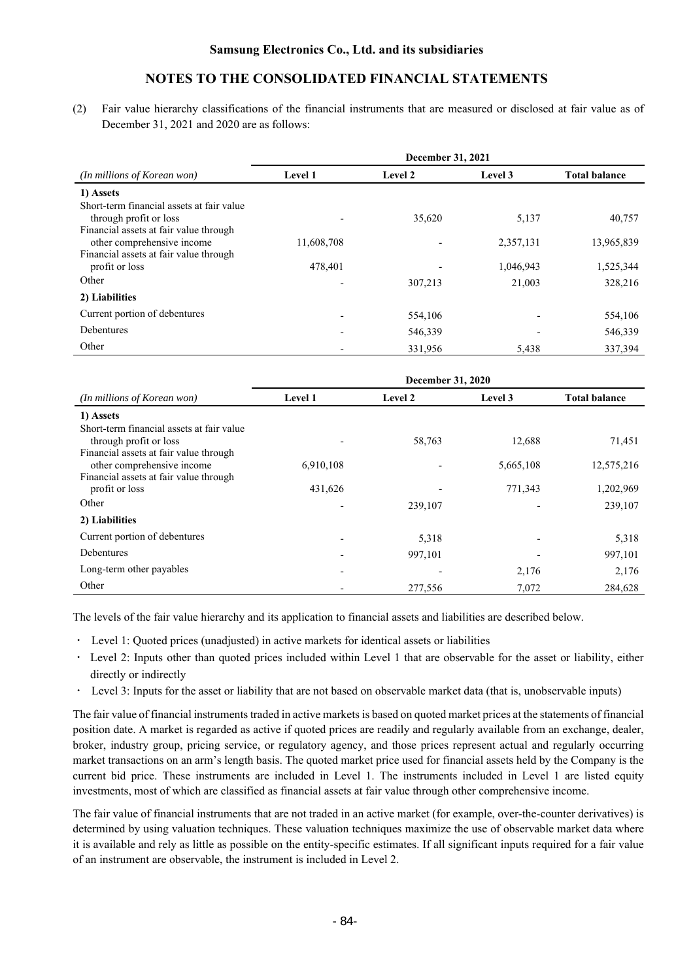(2) Fair value hierarchy classifications of the financial instruments that are measured or disclosed at fair value as of December 31, 2021 and 2020 are as follows:

|                                           | December 31, 2021 |         |           |                      |  |
|-------------------------------------------|-------------------|---------|-----------|----------------------|--|
| (In millions of Korean won)               | <b>Level 1</b>    | Level 2 | Level 3   | <b>Total balance</b> |  |
| 1) Assets                                 |                   |         |           |                      |  |
| Short-term financial assets at fair value |                   |         |           |                      |  |
| through profit or loss                    |                   | 35,620  | 5,137     | 40,757               |  |
| Financial assets at fair value through    |                   |         |           |                      |  |
| other comprehensive income                | 11,608,708        |         | 2,357,131 | 13,965,839           |  |
| Financial assets at fair value through    |                   |         |           |                      |  |
| profit or loss                            | 478,401           |         | 1,046,943 | 1,525,344            |  |
| Other                                     |                   | 307,213 | 21,003    | 328,216              |  |
| 2) Liabilities                            |                   |         |           |                      |  |
| Current portion of debentures             |                   | 554,106 |           | 554,106              |  |
| Debentures                                |                   | 546,339 |           | 546,339              |  |
| Other                                     |                   | 331,956 | 5,438     | 337,394              |  |

|                                                                      | December 31, 2020        |                |           |                      |  |  |
|----------------------------------------------------------------------|--------------------------|----------------|-----------|----------------------|--|--|
| (In millions of Korean won)                                          | <b>Level 1</b>           | <b>Level 2</b> | Level 3   | <b>Total balance</b> |  |  |
| 1) Assets                                                            |                          |                |           |                      |  |  |
| Short-term financial assets at fair value<br>through profit or loss  |                          | 58,763         | 12,688    | 71,451               |  |  |
| Financial assets at fair value through<br>other comprehensive income | 6,910,108                |                | 5,665,108 | 12,575,216           |  |  |
| Financial assets at fair value through<br>profit or loss             | 431,626                  |                | 771,343   | 1,202,969            |  |  |
| Other                                                                |                          | 239,107        |           | 239,107              |  |  |
| 2) Liabilities                                                       |                          |                |           |                      |  |  |
| Current portion of debentures                                        | $\overline{\phantom{0}}$ | 5,318          |           | 5,318                |  |  |
| Debentures                                                           |                          | 997,101        |           | 997,101              |  |  |
| Long-term other payables                                             |                          |                | 2,176     | 2,176                |  |  |
| Other                                                                |                          | 277,556        | 7,072     | 284,628              |  |  |

The levels of the fair value hierarchy and its application to financial assets and liabilities are described below.

- Level 1: Quoted prices (unadjusted) in active markets for identical assets or liabilities
- Level 2: Inputs other than quoted prices included within Level 1 that are observable for the asset or liability, either directly or indirectly
- Level 3: Inputs for the asset or liability that are not based on observable market data (that is, unobservable inputs)

The fair value of financial instruments traded in active markets is based on quoted market prices at the statements of financial position date. A market is regarded as active if quoted prices are readily and regularly available from an exchange, dealer, broker, industry group, pricing service, or regulatory agency, and those prices represent actual and regularly occurring market transactions on an arm's length basis. The quoted market price used for financial assets held by the Company is the current bid price. These instruments are included in Level 1. The instruments included in Level 1 are listed equity investments, most of which are classified as financial assets at fair value through other comprehensive income.

The fair value of financial instruments that are not traded in an active market (for example, over-the-counter derivatives) is determined by using valuation techniques. These valuation techniques maximize the use of observable market data where it is available and rely as little as possible on the entity-specific estimates. If all significant inputs required for a fair value of an instrument are observable, the instrument is included in Level 2.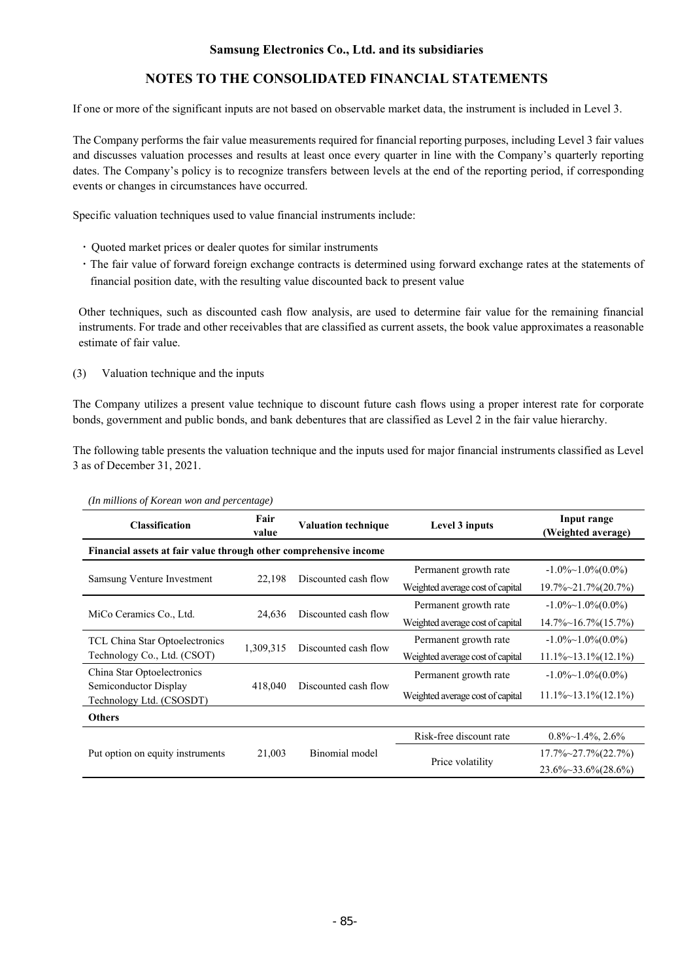# **NOTES TO THE CONSOLIDATED FINANCIAL STATEMENTS**

If one or more of the significant inputs are not based on observable market data, the instrument is included in Level 3.

The Company performs the fair value measurements required for financial reporting purposes, including Level 3 fair values and discusses valuation processes and results at least once every quarter in line with the Company's quarterly reporting dates. The Company's policy is to recognize transfers between levels at the end of the reporting period, if corresponding events or changes in circumstances have occurred.

Specific valuation techniques used to value financial instruments include:

- Quoted market prices or dealer quotes for similar instruments
- ㆍThe fair value of forward foreign exchange contracts is determined using forward exchange rates at the statements of financial position date, with the resulting value discounted back to present value

Other techniques, such as discounted cash flow analysis, are used to determine fair value for the remaining financial instruments. For trade and other receivables that are classified as current assets, the book value approximates a reasonable estimate of fair value.

(3) Valuation technique and the inputs

The Company utilizes a present value technique to discount future cash flows using a proper interest rate for corporate bonds, government and public bonds, and bank debentures that are classified as Level 2 in the fair value hierarchy.

The following table presents the valuation technique and the inputs used for major financial instruments classified as Level 3 as of December 31, 2021.

| <b>Classification</b>                                             | Fair<br>value | <b>Valuation technique</b>       | Level 3 inputs                   | Input range<br>(Weighted average) |
|-------------------------------------------------------------------|---------------|----------------------------------|----------------------------------|-----------------------------------|
| Financial assets at fair value through other comprehensive income |               |                                  |                                  |                                   |
|                                                                   |               |                                  | Permanent growth rate            | $-1.0\%$ $-1.0\%$ (0.0%)          |
| Samsung Venture Investment                                        | 22,198        | Discounted cash flow             | Weighted average cost of capital | $19.7\% \sim 21.7\% (20.7\%)$     |
|                                                                   |               | Discounted cash flow             | Permanent growth rate            | $-1.0\%$ $-1.0\%$ (0.0%)          |
| 24,636<br>MiCo Ceramics Co., Ltd.                                 |               | Weighted average cost of capital | $14.7\% \sim 16.7\% (15.7\%)$    |                                   |
| TCL China Star Optoelectronics                                    |               | Discounted cash flow             | Permanent growth rate            | $-1.0\%$ $-1.0\%$ (0.0%)          |
| Technology Co., Ltd. (CSOT)                                       | 1,309,315     |                                  | Weighted average cost of capital | $11.1\% \sim 13.1\% (12.1\%)$     |
| China Star Optoelectronics                                        |               |                                  | Permanent growth rate            | $-1.0\%$ ~ 1.0% $(0.0\%)$         |
| Semiconductor Display<br>Technology Ltd. (CSOSDT)                 | 418,040       | Discounted cash flow             | Weighted average cost of capital | $11.1\% \sim 13.1\% (12.1\%)$     |
| Others                                                            |               |                                  |                                  |                                   |
|                                                                   |               |                                  | Risk-free discount rate          | $0.8\%$ ~1.4%, 2.6%               |
| Put option on equity instruments                                  | 21,003        | Binomial model                   | Price volatility                 | $17.7\% \sim 27.7\% (22.7\%)$     |
|                                                                   |               |                                  |                                  | 23.6%~33.6%(28.6%)                |

*(In millions of Korean won and percentage)*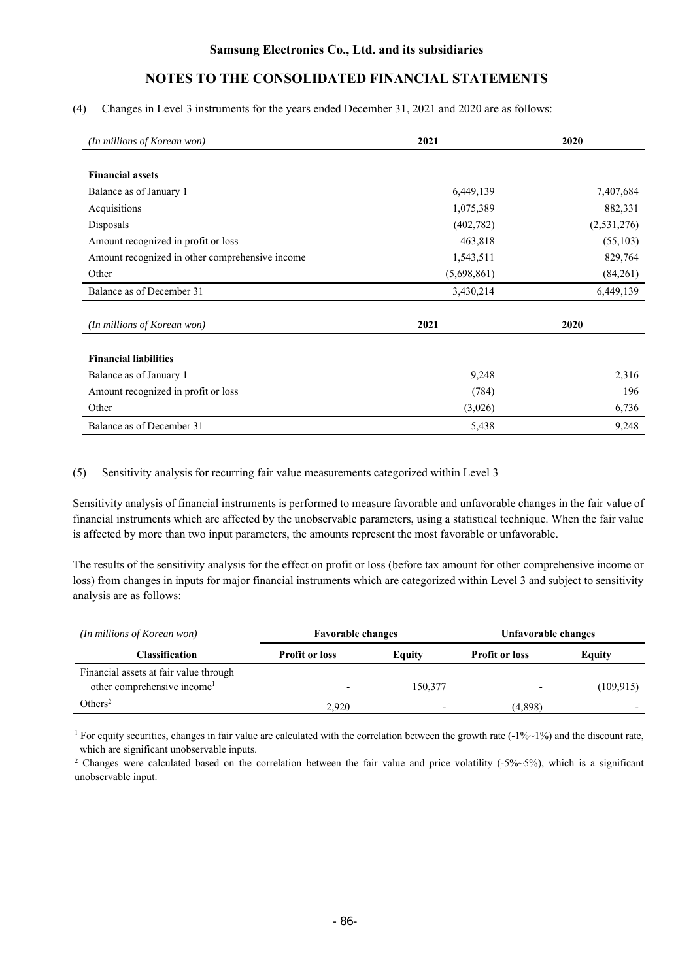### (4) Changes in Level 3 instruments for the years ended December 31, 2021 and 2020 are as follows:

| (In millions of Korean won)                     | 2021        | 2020        |
|-------------------------------------------------|-------------|-------------|
|                                                 |             |             |
| <b>Financial assets</b>                         |             |             |
| Balance as of January 1                         | 6,449,139   | 7,407,684   |
| Acquisitions                                    | 1,075,389   | 882,331     |
| Disposals                                       | (402, 782)  | (2,531,276) |
| Amount recognized in profit or loss             | 463,818     | (55, 103)   |
| Amount recognized in other comprehensive income | 1,543,511   | 829,764     |
| Other                                           | (5,698,861) | (84,261)    |
| Balance as of December 31                       | 3,430,214   | 6,449,139   |
|                                                 |             |             |
| (In millions of Korean won)                     | 2021        | 2020        |
| <b>Financial liabilities</b>                    |             |             |
| Balance as of January 1                         | 9,248       | 2,316       |
| Amount recognized in profit or loss             | (784)       | 196         |
| Other                                           | (3,026)     | 6,736       |
| Balance as of December 31                       | 5,438       | 9,248       |

### (5) Sensitivity analysis for recurring fair value measurements categorized within Level 3

Sensitivity analysis of financial instruments is performed to measure favorable and unfavorable changes in the fair value of financial instruments which are affected by the unobservable parameters, using a statistical technique. When the fair value is affected by more than two input parameters, the amounts represent the most favorable or unfavorable.

The results of the sensitivity analysis for the effect on profit or loss (before tax amount for other comprehensive income or loss) from changes in inputs for major financial instruments which are categorized within Level 3 and subject to sensitivity analysis are as follows:

| (In millions of Korean won)             | <b>Favorable changes</b> |                          | Unfavorable changes   |           |  |
|-----------------------------------------|--------------------------|--------------------------|-----------------------|-----------|--|
| Classification                          | <b>Profit or loss</b>    | Equity                   | <b>Profit or loss</b> | Equity    |  |
| Financial assets at fair value through  |                          |                          |                       |           |  |
| other comprehensive income <sup>1</sup> |                          | 150,377                  |                       | (109.915) |  |
| Others <sup>2</sup>                     | 2.920                    | $\overline{\phantom{0}}$ | (4,898)               |           |  |

<sup>1</sup> For equity securities, changes in fair value are calculated with the correlation between the growth rate  $(-1\% \sim 1\%)$  and the discount rate, which are significant unobservable inputs.

<sup>2</sup> Changes were calculated based on the correlation between the fair value and price volatility (-5%~5%), which is a significant unobservable input.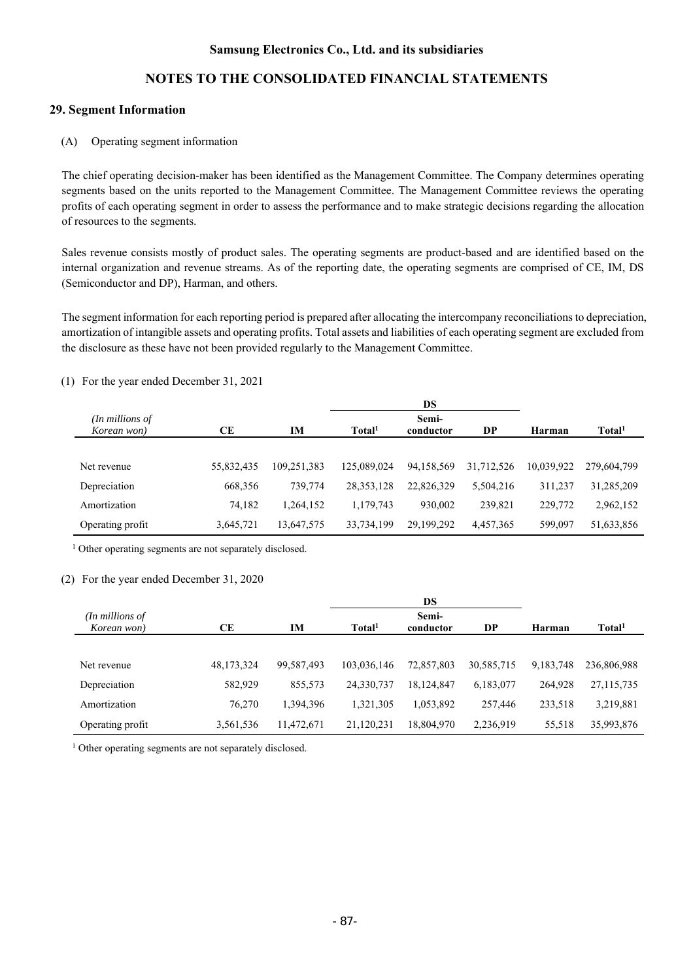# **NOTES TO THE CONSOLIDATED FINANCIAL STATEMENTS**

## **29. Segment Information**

### (A) Operating segment information

The chief operating decision-maker has been identified as the Management Committee. The Company determines operating segments based on the units reported to the Management Committee. The Management Committee reviews the operating profits of each operating segment in order to assess the performance and to make strategic decisions regarding the allocation of resources to the segments.

Sales revenue consists mostly of product sales. The operating segments are product-based and are identified based on the internal organization and revenue streams. As of the reporting date, the operating segments are comprised of CE, IM, DS (Semiconductor and DP), Harman, and others.

The segment information for each reporting period is prepared after allocating the intercompany reconciliations to depreciation, amortization of intangible assets and operating profits. Total assets and liabilities of each operating segment are excluded from the disclosure as these have not been provided regularly to the Management Committee.

|                                |            |             |                    | DS                 |            |            |                    |
|--------------------------------|------------|-------------|--------------------|--------------------|------------|------------|--------------------|
| (In millions of<br>Korean won) | CE         | IM          | Total <sup>1</sup> | Semi-<br>conductor | DP         | Harman     | Total <sup>1</sup> |
|                                |            |             |                    |                    |            |            |                    |
| Net revenue                    | 55,832,435 | 109.251.383 | 125,089,024        | 94,158,569         | 31,712,526 | 10,039,922 | 279,604,799        |
| Depreciation                   | 668,356    | 739,774     | 28, 353, 128       | 22,826,329         | 5,504,216  | 311,237    | 31,285,209         |
| Amortization                   | 74,182     | 1,264,152   | 1,179,743          | 930.002            | 239,821    | 229,772    | 2,962,152          |
| Operating profit               | 3,645,721  | 13,647,575  | 33,734,199         | 29,199,292         | 4,457,365  | 599.097    | 51,633,856         |

(1) For the year ended December 31, 2021

<sup>1</sup> Other operating segments are not separately disclosed.

### (2) For the year ended December 31, 2020

|                  |            |            | DS                 |            |            |           |                    |
|------------------|------------|------------|--------------------|------------|------------|-----------|--------------------|
| (In millions of  |            |            |                    | Semi-      |            |           |                    |
| Korean won)      | CЕ         | IM         | Total <sup>1</sup> | conductor  | DP         | Harman    | Total <sup>1</sup> |
|                  |            |            |                    |            |            |           |                    |
| Net revenue      | 48,173,324 | 99,587,493 | 103,036,146        | 72,857,803 | 30,585,715 | 9,183,748 | 236,806,988        |
| Depreciation     | 582,929    | 855,573    | 24,330,737         | 18.124.847 | 6,183,077  | 264,928   | 27, 115, 735       |
| Amortization     | 76,270     | 1,394,396  | 1,321,305          | 1,053,892  | 257,446    | 233,518   | 3,219,881          |
| Operating profit | 3,561,536  | 11,472,671 | 21,120,231         | 18,804,970 | 2,236,919  | 55,518    | 35,993,876         |

<sup>1</sup> Other operating segments are not separately disclosed.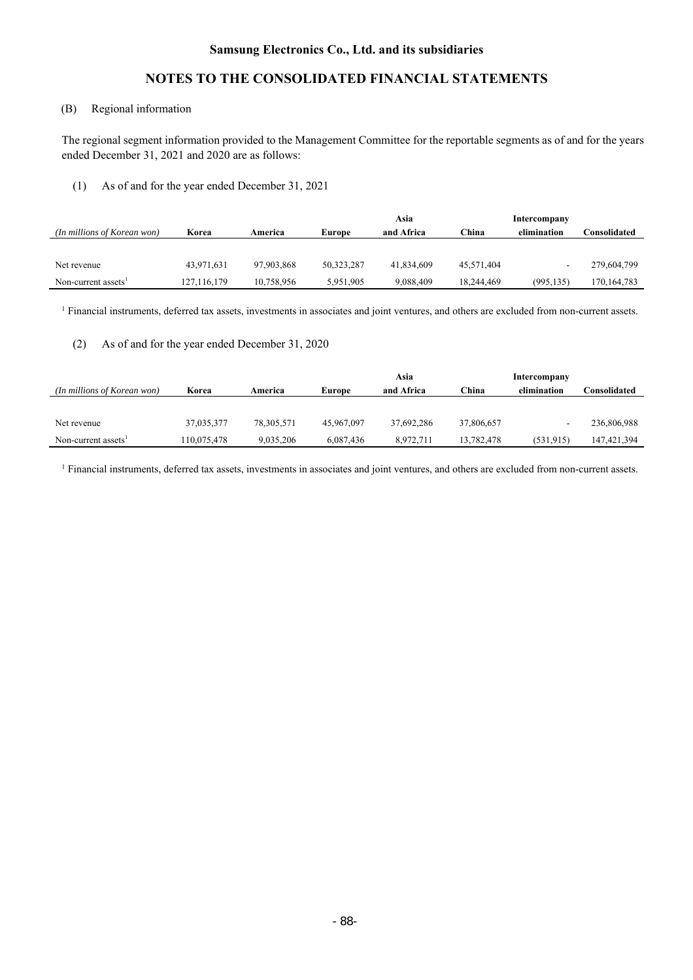# **NOTES TO THE CONSOLIDATED FINANCIAL STATEMENTS**

# (B) Regional information

The regional segment information provided to the Management Committee for the reportable segments as of and for the years ended December 31, 2021 and 2020 are as follows:

### (1) As of and for the year ended December 31, 2021

|                                 |             |            |            | Asia       |               | Intercompany |              |
|---------------------------------|-------------|------------|------------|------------|---------------|--------------|--------------|
| (In millions of Korean won)     | Korea       | America    | Europe     | and Africa | $^\circ$ hina | elimination  | Consolidated |
|                                 |             |            |            |            |               |              |              |
| Net revenue                     | 43,971,631  | 97.903.868 | 50,323,287 | 41,834,609 | 45,571,404    |              | 279,604,799  |
| Non-current assets <sup>1</sup> | 127,116,179 | 10,758,956 | 5,951,905  | 9.088.409  | 18,244,469    | (995, 135)   | 170,164,783  |

 $1$  Financial instruments, deferred tax assets, investments in associates and joint ventures, and others are excluded from non-current assets.

# (2) As of and for the year ended December 31, 2020

|                                 |             |            |            | Asia       |            | Intercompany |                     |
|---------------------------------|-------------|------------|------------|------------|------------|--------------|---------------------|
| (In millions of Korean won)     | Korea       | America    | Europe     | and Africa | China      | elimination  | <b>⊃onsolidated</b> |
|                                 |             |            |            |            |            |              |                     |
| Net revenue                     | 37,035,377  | 78,305,571 | 45,967,097 | 37.692.286 | 37,806,657 |              | 236,806,988         |
| Non-current assets <sup>1</sup> | 110,075,478 | 9,035,206  | 6,087,436  | 8.972.711  | 13,782,478 | (531, 915)   | 147, 421, 394       |

1 Financial instruments, deferred tax assets, investments in associates and joint ventures, and others are excluded from non-current assets.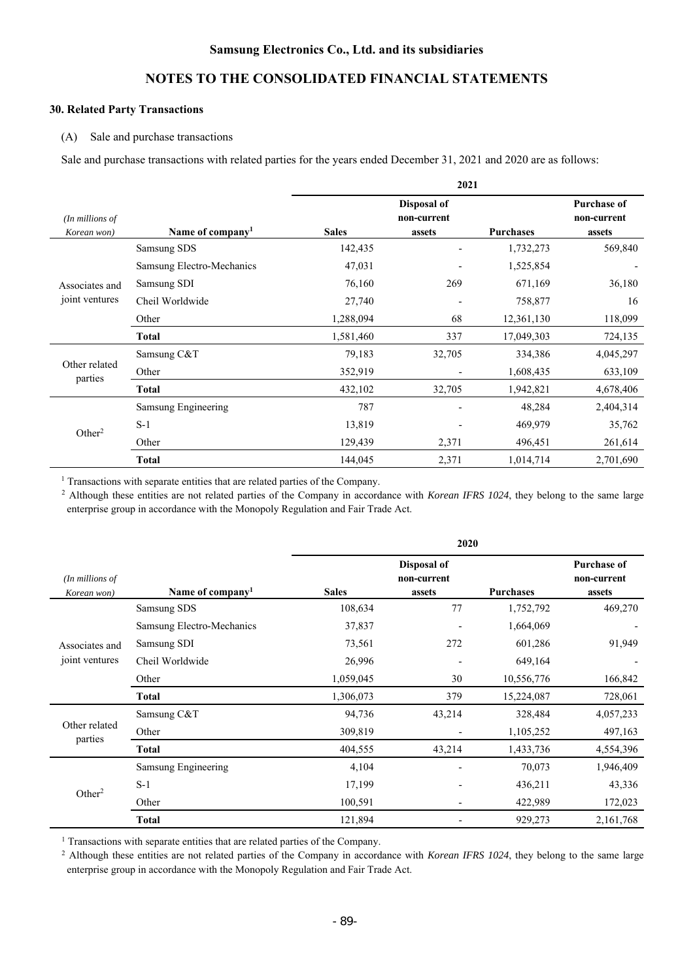# **NOTES TO THE CONSOLIDATED FINANCIAL STATEMENTS**

## **30. Related Party Transactions**

#### (A) Sale and purchase transactions

Sale and purchase transactions with related parties for the years ended December 31, 2021 and 2020 are as follows:

|                                  |                              |              | 2021                                 |                  |                                             |
|----------------------------------|------------------------------|--------------|--------------------------------------|------------------|---------------------------------------------|
| $(In$ millions of<br>Korean won) | Name of company <sup>1</sup> | <b>Sales</b> | Disposal of<br>non-current<br>assets | <b>Purchases</b> | <b>Purchase of</b><br>non-current<br>assets |
|                                  | Samsung SDS                  | 142,435      |                                      | 1,732,273        | 569,840                                     |
|                                  | Samsung Electro-Mechanics    | 47,031       |                                      | 1,525,854        |                                             |
| Associates and                   | Samsung SDI                  | 76,160       | 269                                  | 671,169          | 36,180                                      |
| joint ventures                   | Cheil Worldwide              | 27,740       |                                      | 758,877          | 16                                          |
|                                  | Other                        | 1,288,094    | 68                                   | 12,361,130       | 118,099                                     |
|                                  | <b>Total</b>                 | 1,581,460    | 337                                  | 17,049,303       | 724,135                                     |
|                                  | Samsung C&T                  | 79,183       | 32,705                               | 334,386          | 4,045,297                                   |
| Other related<br>parties         | Other                        | 352,919      |                                      | 1,608,435        | 633,109                                     |
|                                  | <b>Total</b>                 | 432,102      | 32,705                               | 1,942,821        | 4,678,406                                   |
|                                  | Samsung Engineering          | 787          |                                      | 48,284           | 2,404,314                                   |
|                                  | $S-1$                        | 13,819       |                                      | 469,979          | 35,762                                      |
| Other <sup>2</sup>               | Other                        | 129,439      | 2,371                                | 496,451          | 261,614                                     |
|                                  | <b>Total</b>                 | 144,045      | 2,371                                | 1,014,714        | 2,701,690                                   |

<sup>1</sup> Transactions with separate entities that are related parties of the Company.<br><sup>2</sup> Although these entities are not related parties of the Company in accordance with *Korean IFRS 1024*, they belong to the same large enterprise group in accordance with the Monopoly Regulation and Fair Trade Act.

|                                  |                              |              | 2020                                 |                  |                                             |
|----------------------------------|------------------------------|--------------|--------------------------------------|------------------|---------------------------------------------|
| $(In$ millions of<br>Korean won) | Name of company <sup>1</sup> | <b>Sales</b> | Disposal of<br>non-current<br>assets | <b>Purchases</b> | <b>Purchase of</b><br>non-current<br>assets |
|                                  | Samsung SDS                  | 108,634      | 77                                   | 1,752,792        | 469,270                                     |
|                                  | Samsung Electro-Mechanics    | 37,837       |                                      | 1,664,069        |                                             |
| Associates and                   | Samsung SDI                  | 73,561       | 272                                  | 601,286          | 91,949                                      |
| joint ventures                   | Cheil Worldwide              | 26,996       |                                      | 649,164          |                                             |
|                                  | Other                        | 1,059,045    | 30                                   | 10,556,776       | 166,842                                     |
|                                  | <b>Total</b>                 | 1,306,073    | 379                                  | 15,224,087       | 728,061                                     |
|                                  | Samsung C&T                  | 94,736       | 43,214                               | 328,484          | 4,057,233                                   |
| Other related<br>parties         | Other                        | 309,819      |                                      | 1,105,252        | 497,163                                     |
|                                  | <b>Total</b>                 | 404,555      | 43,214                               | 1,433,736        | 4,554,396                                   |
|                                  | Samsung Engineering          | 4,104        |                                      | 70,073           | 1,946,409                                   |
| Other <sup>2</sup>               | $S-1$                        | 17,199       |                                      | 436,211          | 43,336                                      |
|                                  | Other                        | 100,591      |                                      | 422,989          | 172,023                                     |
|                                  | <b>Total</b>                 | 121,894      |                                      | 929,273          | 2,161,768                                   |

1 Transactions with separate entities that are related parties of the Company. 2 Although these entities are not related parties of the Company in accordance with *Korean IFRS 1024*, they belong to the same large enterprise group in accordance with the Monopoly Regulation and Fair Trade Act.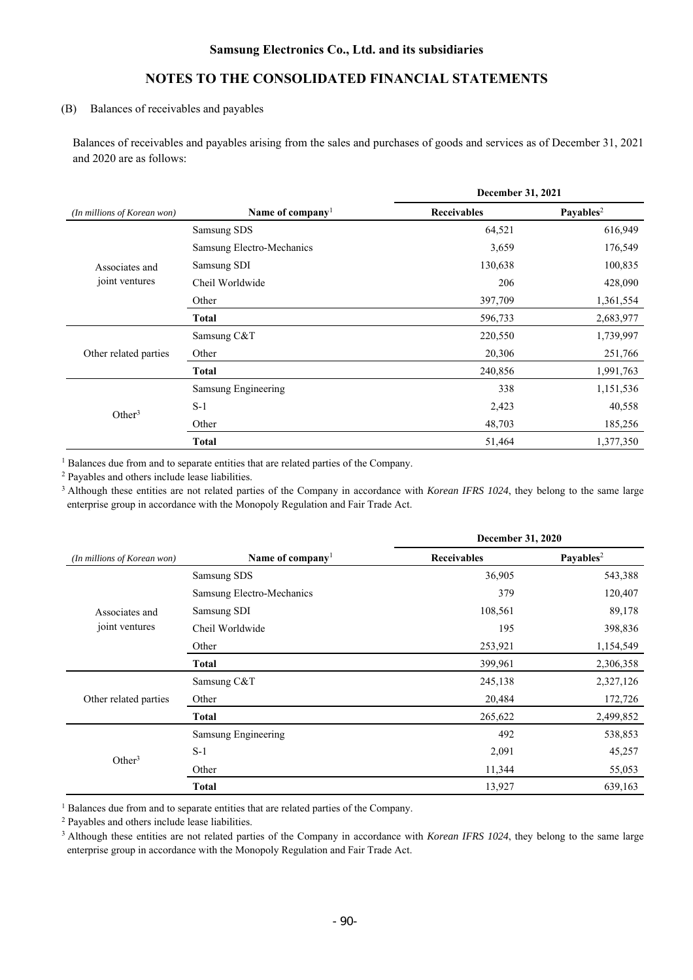# **NOTES TO THE CONSOLIDATED FINANCIAL STATEMENTS**

## (B) Balances of receivables and payables

Balances of receivables and payables arising from the sales and purchases of goods and services as of December 31, 2021 and 2020 are as follows:

|                             |                           | December 31, 2021  |                       |  |
|-----------------------------|---------------------------|--------------------|-----------------------|--|
| (In millions of Korean won) | Name of company           | <b>Receivables</b> | Payables <sup>2</sup> |  |
|                             | Samsung SDS               | 64,521             | 616,949               |  |
|                             | Samsung Electro-Mechanics | 3,659              | 176,549               |  |
| Associates and              | Samsung SDI               | 130,638            | 100,835               |  |
| joint ventures              | Cheil Worldwide           | 206                | 428,090               |  |
|                             | Other                     | 397,709            | 1,361,554             |  |
|                             | Total                     | 596,733            | 2,683,977             |  |
|                             | Samsung C&T               | 220,550            | 1,739,997             |  |
| Other related parties       | Other                     | 20,306             | 251,766               |  |
|                             | <b>Total</b>              | 240,856            | 1,991,763             |  |
|                             | Samsung Engineering       | 338                | 1,151,536             |  |
| Other <sup>3</sup>          | $S-1$                     | 2,423              | 40,558                |  |
|                             | Other                     | 48,703             | 185,256               |  |
|                             | <b>Total</b>              | 51,464             | 1,377,350             |  |

1 Balances due from and to separate entities that are related parties of the Company. 2 Payables and others include lease liabilities.

<sup>3</sup> Although these entities are not related parties of the Company in accordance with *Korean IFRS 1024*, they belong to the same large enterprise group in accordance with the Monopoly Regulation and Fair Trade Act.

|                             |                              | <b>December 31, 2020</b> |                       |  |
|-----------------------------|------------------------------|--------------------------|-----------------------|--|
| (In millions of Korean won) | Name of company <sup>1</sup> | <b>Receivables</b>       | Payables <sup>2</sup> |  |
|                             | Samsung SDS                  | 36,905                   | 543,388               |  |
|                             | Samsung Electro-Mechanics    | 379                      | 120,407               |  |
| Associates and              | Samsung SDI                  | 108,561                  | 89,178                |  |
| joint ventures              | Cheil Worldwide              | 195                      | 398,836               |  |
|                             | Other                        | 253,921                  | 1,154,549             |  |
|                             | <b>Total</b>                 | 399,961                  | 2,306,358             |  |
|                             | Samsung C&T                  | 245,138                  | 2,327,126             |  |
| Other related parties       | Other                        | 20,484                   | 172,726               |  |
|                             | <b>Total</b>                 | 265,622                  | 2,499,852             |  |
|                             | Samsung Engineering          | 492                      | 538,853               |  |
| Other <sup>3</sup>          | $S-1$                        | 2,091                    | 45,257                |  |
|                             | Other                        | 11,344                   | 55,053                |  |
|                             | <b>Total</b>                 | 13,927                   | 639,163               |  |

<sup>1</sup> Balances due from and to separate entities that are related parties of the Company.<br><sup>2</sup> Payables and others include lease liabilities.

3 Although these entities are not related parties of the Company in accordance with *Korean IFRS 1024*, they belong to the same large enterprise group in accordance with the Monopoly Regulation and Fair Trade Act.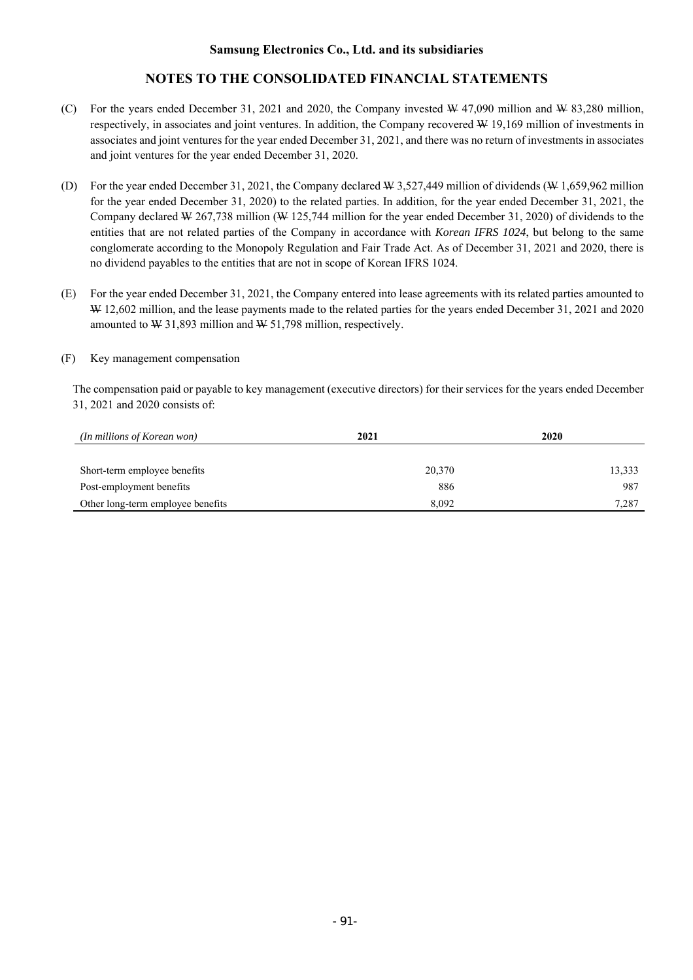# **NOTES TO THE CONSOLIDATED FINANCIAL STATEMENTS**

- (C) For the years ended December 31, 2021 and 2020, the Company invested  $\frac{W}{47,090}$  million and  $\frac{W}{83,280}$  million, respectively, in associates and joint ventures. In addition, the Company recovered W 19,169 million of investments in associates and joint ventures for the year ended December 31, 2021, and there was no return of investments in associates and joint ventures for the year ended December 31, 2020.
- (D) For the year ended December 31, 2021, the Company declared W 3,527,449 million of dividends (W 1,659,962 million for the year ended December 31, 2020) to the related parties. In addition, for the year ended December 31, 2021, the Company declared W 267,738 million (W 125,744 million for the year ended December 31, 2020) of dividends to the entities that are not related parties of the Company in accordance with *Korean IFRS 1024*, but belong to the same conglomerate according to the Monopoly Regulation and Fair Trade Act. As of December 31, 2021 and 2020, there is no dividend payables to the entities that are not in scope of Korean IFRS 1024.
- (E) For the year ended December 31, 2021, the Company entered into lease agreements with its related parties amounted to W 12,602 million, and the lease payments made to the related parties for the years ended December 31, 2021 and 2020 amounted to W 31,893 million and W 51,798 million, respectively.

### (F) Key management compensation

The compensation paid or payable to key management (executive directors) for their services for the years ended December 31, 2021 and 2020 consists of:

| (In millions of Korean won)       | 2021   | 2020   |
|-----------------------------------|--------|--------|
|                                   |        |        |
| Short-term employee benefits      | 20,370 | 13,333 |
| Post-employment benefits          | 886    | 987    |
| Other long-term employee benefits | 8.092  | 7.287  |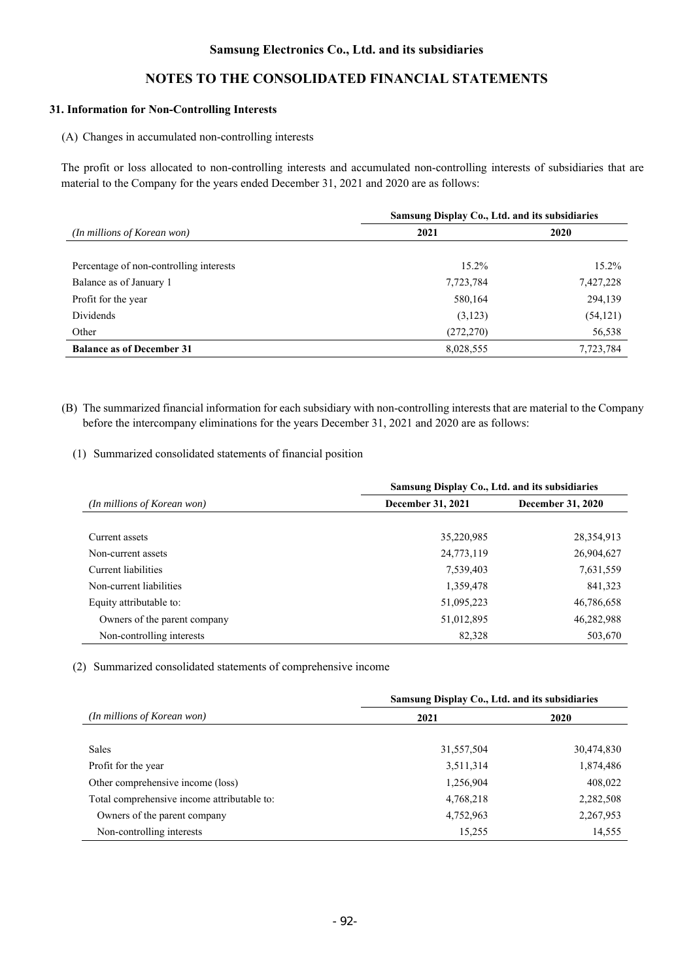# **NOTES TO THE CONSOLIDATED FINANCIAL STATEMENTS**

### **31. Information for Non-Controlling Interests**

(A) Changes in accumulated non-controlling interests

The profit or loss allocated to non-controlling interests and accumulated non-controlling interests of subsidiaries that are material to the Company for the years ended December 31, 2021 and 2020 are as follows:

|                                         | Samsung Display Co., Ltd. and its subsidiaries |           |
|-----------------------------------------|------------------------------------------------|-----------|
| (In millions of Korean won)             | 2021                                           | 2020      |
|                                         |                                                |           |
| Percentage of non-controlling interests | $15.2\%$                                       | 15.2%     |
| Balance as of January 1                 | 7,723,784                                      | 7,427,228 |
| Profit for the year                     | 580,164                                        | 294,139   |
| Dividends                               | (3,123)                                        | (54, 121) |
| Other                                   | (272, 270)                                     | 56,538    |
| <b>Balance as of December 31</b>        | 8,028,555                                      | 7,723,784 |

- (B) The summarized financial information for each subsidiary with non-controlling interests that are material to the Company before the intercompany eliminations for the years December 31, 2021 and 2020 are as follows:
	- (1) Summarized consolidated statements of financial position

|                                    | Samsung Display Co., Ltd. and its subsidiaries |                   |  |
|------------------------------------|------------------------------------------------|-------------------|--|
| <i>(In millions of Korean won)</i> | December 31, 2021                              | December 31, 2020 |  |
|                                    |                                                |                   |  |
| Current assets                     | 35,220,985                                     | 28,354,913        |  |
| Non-current assets                 | 24,773,119                                     | 26,904,627        |  |
| Current liabilities                | 7,539,403                                      | 7,631,559         |  |
| Non-current liabilities            | 1,359,478                                      | 841,323           |  |
| Equity attributable to:            | 51,095,223                                     | 46,786,658        |  |
| Owners of the parent company       | 51,012,895                                     | 46,282,988        |  |
| Non-controlling interests          | 82,328                                         | 503,670           |  |

(2) Summarized consolidated statements of comprehensive income

|                                             | Samsung Display Co., Ltd. and its subsidiaries |             |
|---------------------------------------------|------------------------------------------------|-------------|
| (In millions of Korean won)                 | 2021                                           | <b>2020</b> |
|                                             |                                                |             |
| Sales                                       | 31,557,504                                     | 30,474,830  |
| Profit for the year                         | 3,511,314                                      | 1,874,486   |
| Other comprehensive income (loss)           | 1,256,904                                      | 408,022     |
| Total comprehensive income attributable to: | 4,768,218                                      | 2,282,508   |
| Owners of the parent company                | 4,752,963                                      | 2,267,953   |
| Non-controlling interests                   | 15,255                                         | 14,555      |